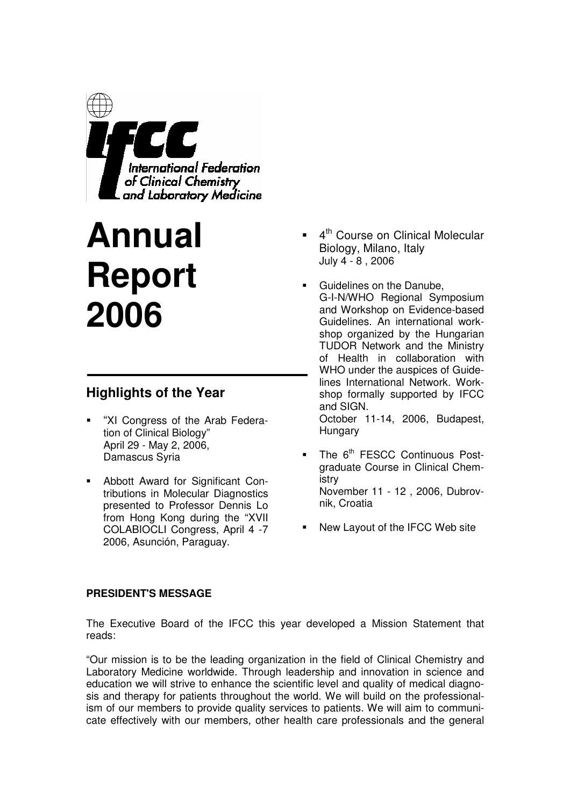

# **Annual Report 2006**

# **Highlights of the Year**

- "XI Congress of the Arab Federation of Clinical Biology" April 29 - May 2, 2006, Damascus Syria
- Abbott Award for Significant Contributions in Molecular Diagnostics presented to Professor Dennis Lo from Hong Kong during the "XVII COLABIOCLI Congress, April 4 -7 2006, Asunción, Paraguay.
- 4<sup>th</sup> Course on Clinical Molecular Biology, Milano, Italy July 4 - 8 , 2006
- Guidelines on the Danube, G-I-N/WHO Regional Symposium and Workshop on Evidence-based Guidelines. An international workshop organized by the Hungarian TUDOR Network and the Ministry of Health in collaboration with WHO under the auspices of Guidelines International Network. Workshop formally supported by IFCC and SIGN. October 11-14, 2006, Budapest, Hungary
- The 6<sup>th</sup> FESCC Continuous Postgraduate Course in Clinical Chemistry November 11 - 12 , 2006, Dubrovnik, Croatia
- New Layout of the IFCC Web site

#### **PRESIDENT'S MESSAGE**

The Executive Board of the IFCC this year developed a Mission Statement that reads:

"Our mission is to be the leading organization in the field of Clinical Chemistry and Laboratory Medicine worldwide. Through leadership and innovation in science and education we will strive to enhance the scientific level and quality of medical diagnosis and therapy for patients throughout the world. We will build on the professionalism of our members to provide quality services to patients. We will aim to communicate effectively with our members, other health care professionals and the general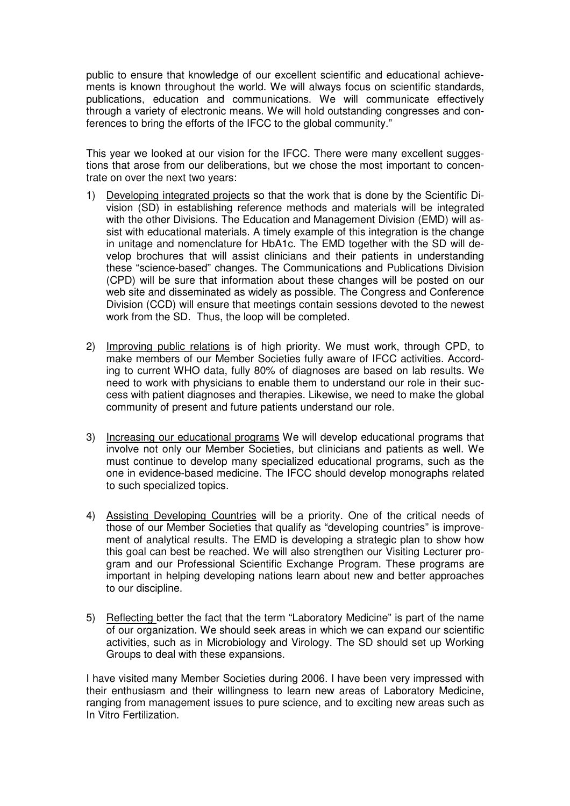public to ensure that knowledge of our excellent scientific and educational achievements is known throughout the world. We will always focus on scientific standards, publications, education and communications. We will communicate effectively through a variety of electronic means. We will hold outstanding congresses and conferences to bring the efforts of the IFCC to the global community."

This year we looked at our vision for the IFCC. There were many excellent suggestions that arose from our deliberations, but we chose the most important to concentrate on over the next two years:

- 1) Developing integrated projects so that the work that is done by the Scientific Division (SD) in establishing reference methods and materials will be integrated with the other Divisions. The Education and Management Division (EMD) will assist with educational materials. A timely example of this integration is the change in unitage and nomenclature for HbA1c. The EMD together with the SD will develop brochures that will assist clinicians and their patients in understanding these "science-based" changes. The Communications and Publications Division (CPD) will be sure that information about these changes will be posted on our web site and disseminated as widely as possible. The Congress and Conference Division (CCD) will ensure that meetings contain sessions devoted to the newest work from the SD. Thus, the loop will be completed.
- 2) Improving public relations is of high priority. We must work, through CPD, to make members of our Member Societies fully aware of IFCC activities. According to current WHO data, fully 80% of diagnoses are based on lab results. We need to work with physicians to enable them to understand our role in their success with patient diagnoses and therapies. Likewise, we need to make the global community of present and future patients understand our role.
- 3) Increasing our educational programs We will develop educational programs that involve not only our Member Societies, but clinicians and patients as well. We must continue to develop many specialized educational programs, such as the one in evidence-based medicine. The IFCC should develop monographs related to such specialized topics.
- 4) Assisting Developing Countries will be a priority. One of the critical needs of those of our Member Societies that qualify as "developing countries" is improvement of analytical results. The EMD is developing a strategic plan to show how this goal can best be reached. We will also strengthen our Visiting Lecturer program and our Professional Scientific Exchange Program. These programs are important in helping developing nations learn about new and better approaches to our discipline.
- 5) Reflecting better the fact that the term "Laboratory Medicine" is part of the name of our organization. We should seek areas in which we can expand our scientific activities, such as in Microbiology and Virology. The SD should set up Working Groups to deal with these expansions.

I have visited many Member Societies during 2006. I have been very impressed with their enthusiasm and their willingness to learn new areas of Laboratory Medicine, ranging from management issues to pure science, and to exciting new areas such as In Vitro Fertilization.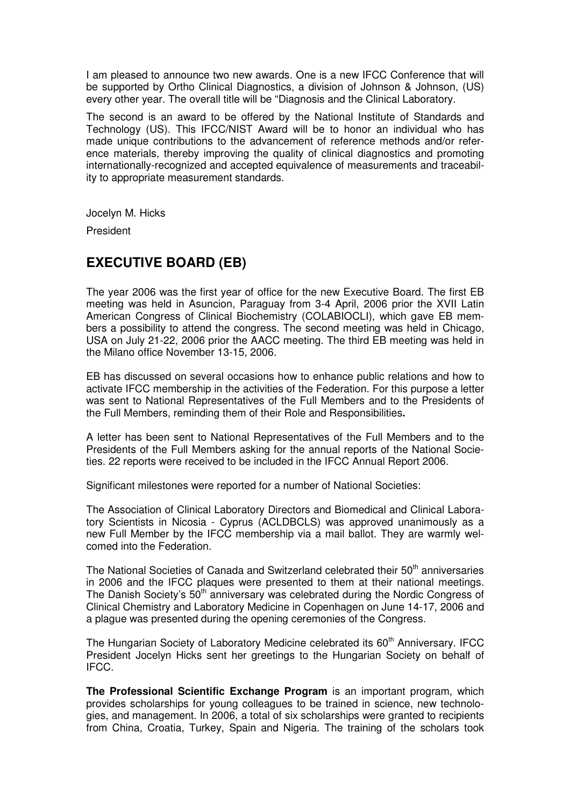I am pleased to announce two new awards. One is a new IFCC Conference that will be supported by Ortho Clinical Diagnostics, a division of Johnson & Johnson, (US) every other year. The overall title will be "Diagnosis and the Clinical Laboratory.

The second is an award to be offered by the National Institute of Standards and Technology (US). This IFCC/NIST Award will be to honor an individual who has made unique contributions to the advancement of reference methods and/or reference materials, thereby improving the quality of clinical diagnostics and promoting internationally-recognized and accepted equivalence of measurements and traceability to appropriate measurement standards.

Jocelyn M. Hicks

President

# **EXECUTIVE BOARD (EB)**

The year 2006 was the first year of office for the new Executive Board. The first EB meeting was held in Asuncion, Paraguay from 3-4 April, 2006 prior the XVII Latin American Congress of Clinical Biochemistry (COLABIOCLI), which gave EB members a possibility to attend the congress. The second meeting was held in Chicago, USA on July 21-22, 2006 prior the AACC meeting. The third EB meeting was held in the Milano office November 13-15, 2006.

EB has discussed on several occasions how to enhance public relations and how to activate IFCC membership in the activities of the Federation. For this purpose a letter was sent to National Representatives of the Full Members and to the Presidents of the Full Members, reminding them of their Role and Responsibilities**.** 

A letter has been sent to National Representatives of the Full Members and to the Presidents of the Full Members asking for the annual reports of the National Societies. 22 reports were received to be included in the IFCC Annual Report 2006.

Significant milestones were reported for a number of National Societies:

The Association of Clinical Laboratory Directors and Biomedical and Clinical Laboratory Scientists in Nicosia - Cyprus (ACLDBCLS) was approved unanimously as a new Full Member by the IFCC membership via a mail ballot. They are warmly welcomed into the Federation.

The National Societies of Canada and Switzerland celebrated their  $50<sup>th</sup>$  anniversaries in 2006 and the IFCC plaques were presented to them at their national meetings. The Danish Society's 50<sup>th</sup> anniversary was celebrated during the Nordic Congress of Clinical Chemistry and Laboratory Medicine in Copenhagen on June 14-17, 2006 and a plague was presented during the opening ceremonies of the Congress.

The Hungarian Society of Laboratory Medicine celebrated its 60<sup>th</sup> Anniversary. IFCC President Jocelyn Hicks sent her greetings to the Hungarian Society on behalf of IFCC.

**The Professional Scientific Exchange Program** is an important program, which provides scholarships for young colleagues to be trained in science, new technologies, and management. In 2006, a total of six scholarships were granted to recipients from China, Croatia, Turkey, Spain and Nigeria. The training of the scholars took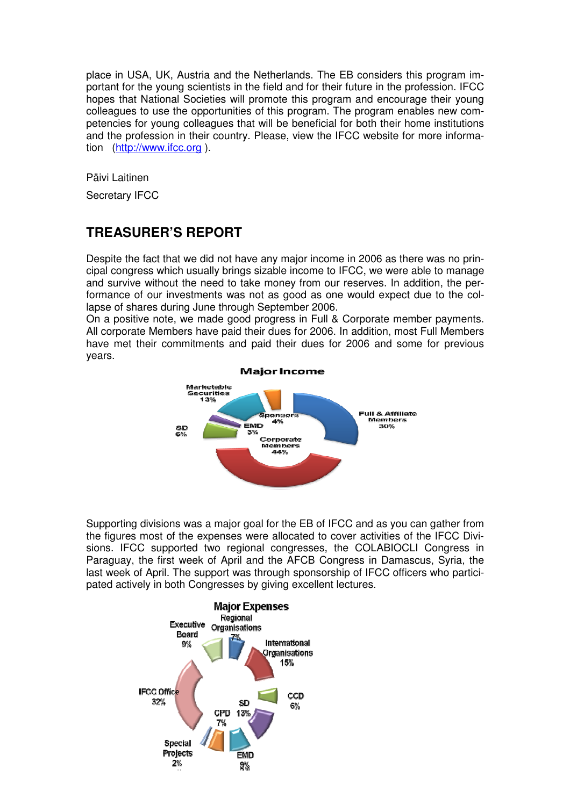place in USA, UK, Austria and the Netherlands. The EB considers this program important for the young scientists in the field and for their future in the profession. IFCC hopes that National Societies will promote this program and encourage their young colleagues to use the opportunities of this program. The program enables new competencies for young colleagues that will be beneficial for both their home institutions and the profession in their country. Please, view the IFCC website for more information (http://www.ifcc.org ).

Päivi Laitinen

Secretary IFCC

# **TREASURER'S REPORT**

Despite the fact that we did not have any major income in 2006 as there was no principal congress which usually brings sizable income to IFCC, we were able to manage and survive without the need to take money from our reserves. In addition, the performance of our investments was not as good as one would expect due to the collapse of shares during June through September 2006.

On a positive note, we made good progress in Full & Corporate member payments. All corporate Members have paid their dues for 2006. In addition, most Full Members have met their commitments and paid their dues for 2006 and some for previous years.



Supporting divisions was a major goal for the EB of IFCC and as you can gather from the figures most of the expenses were allocated to cover activities of the IFCC Divisions. IFCC supported two regional congresses, the COLABIOCLI Congress in Paraguay, the first week of April and the AFCB Congress in Damascus, Syria, the last week of April. The support was through sponsorship of IFCC officers who participated actively in both Congresses by giving excellent lectures.

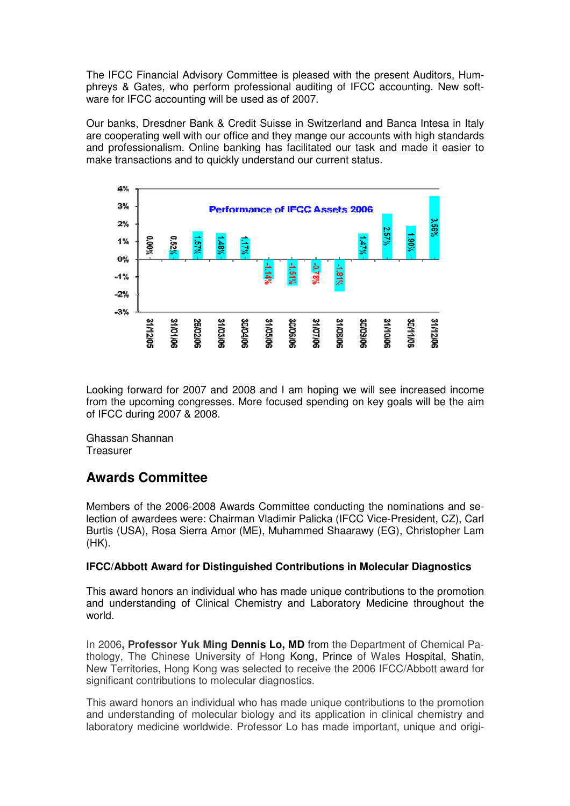The IFCC Financial Advisory Committee is pleased with the present Auditors, Humphreys & Gates, who perform professional auditing of IFCC accounting. New software for IFCC accounting will be used as of 2007.

Our banks, Dresdner Bank & Credit Suisse in Switzerland and Banca Intesa in Italy are cooperating well with our office and they mange our accounts with high standards and professionalism. Online banking has facilitated our task and made it easier to make transactions and to quickly understand our current status.



Looking forward for 2007 and 2008 and I am hoping we will see increased income from the upcoming congresses. More focused spending on key goals will be the aim of IFCC during 2007 & 2008.

Ghassan Shannan **Treasurer** 

# **Awards Committee**

Members of the 2006-2008 Awards Committee conducting the nominations and selection of awardees were: Chairman Vladimir Palicka (IFCC Vice-President, CZ), Carl Burtis (USA), Rosa Sierra Amor (ME), Muhammed Shaarawy (EG), Christopher Lam (HK).

#### **IFCC/Abbott Award for Distinguished Contributions in Molecular Diagnostics**

This award honors an individual who has made unique contributions to the promotion and understanding of Clinical Chemistry and Laboratory Medicine throughout the world.

In 2006**, Professor Yuk Ming Dennis Lo, MD** from the Department of Chemical Pathology, The Chinese University of Hong Kong, Prince of Wales Hospital, Shatin, New Territories, Hong Kong was selected to receive the 2006 IFCC/Abbott award for significant contributions to molecular diagnostics.

This award honors an individual who has made unique contributions to the promotion and understanding of molecular biology and its application in clinical chemistry and laboratory medicine worldwide. Professor Lo has made important, unique and origi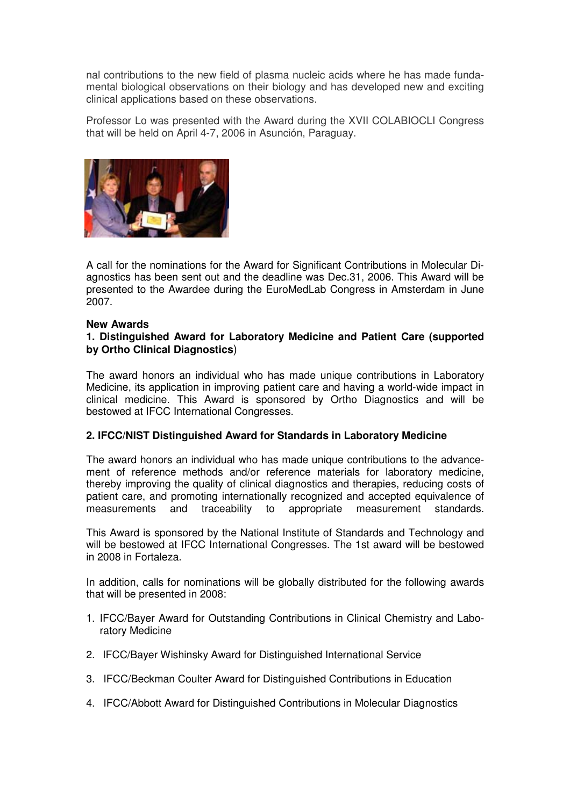nal contributions to the new field of plasma nucleic acids where he has made fundamental biological observations on their biology and has developed new and exciting clinical applications based on these observations.

Professor Lo was presented with the Award during the XVII COLABIOCLI Congress that will be held on April 4-7, 2006 in Asunción, Paraguay.



A call for the nominations for the Award for Significant Contributions in Molecular Diagnostics has been sent out and the deadline was Dec.31, 2006. This Award will be presented to the Awardee during the EuroMedLab Congress in Amsterdam in June 2007.

#### **New Awards**

#### **1. Distinguished Award for Laboratory Medicine and Patient Care (supported by Ortho Clinical Diagnostics**)

The award honors an individual who has made unique contributions in Laboratory Medicine, its application in improving patient care and having a world-wide impact in clinical medicine. This Award is sponsored by Ortho Diagnostics and will be bestowed at IFCC International Congresses.

#### **2. IFCC/NIST Distinguished Award for Standards in Laboratory Medicine**

The award honors an individual who has made unique contributions to the advancement of reference methods and/or reference materials for laboratory medicine, thereby improving the quality of clinical diagnostics and therapies, reducing costs of patient care, and promoting internationally recognized and accepted equivalence of measurements and traceability to appropriate measurement standards.

This Award is sponsored by the National Institute of Standards and Technology and will be bestowed at IFCC International Congresses. The 1st award will be bestowed in 2008 in Fortaleza.

In addition, calls for nominations will be globally distributed for the following awards that will be presented in 2008:

- 1. IFCC/Bayer Award for Outstanding Contributions in Clinical Chemistry and Laboratory Medicine
- 2. IFCC/Bayer Wishinsky Award for Distinguished International Service
- 3. IFCC/Beckman Coulter Award for Distinguished Contributions in Education
- 4. IFCC/Abbott Award for Distinguished Contributions in Molecular Diagnostics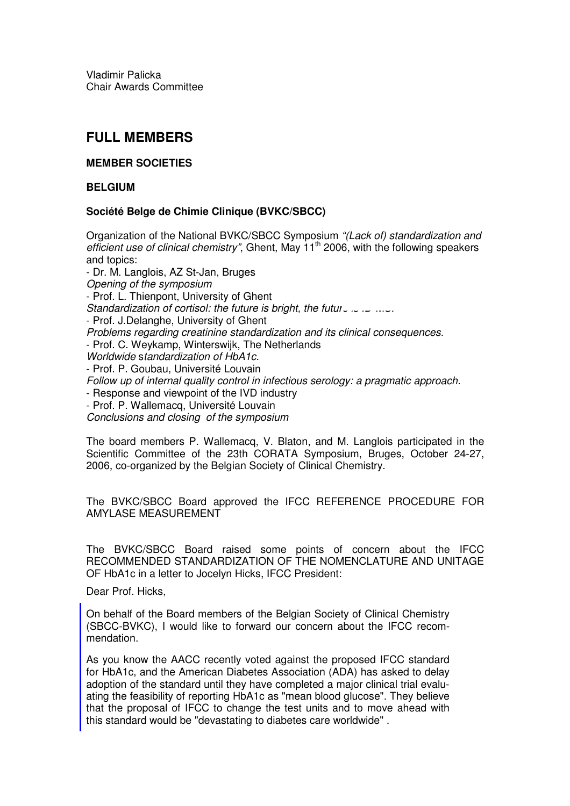Vladimir Palicka Chair Awards Committee

# **FULL MEMBERS**

#### **MEMBER SOCIETIES**

#### **BELGIUM**

#### **Société Belge de Chimie Clinique (BVKC/SBCC)**

Organization of the National BVKC/SBCC Symposium "(Lack of) standardization and efficient use of clinical chemistry", Ghent, May  $11<sup>th</sup>$  2006, with the following speakers and topics: - Dr. M. Langlois, AZ St-Jan, Bruges

Opening of the symposium - Prof. L. Thienpont, University of Ghent Standardization of cortisol: the future is bright, the future  $\ldots \ldots$ - Prof. J.Delanghe, University of Ghent Problems regarding creatinine standardization and its clinical consequences. - Prof. C. Weykamp, Winterswijk, The Netherlands Worldwide standardization of HbA1c. - Prof. P. Goubau, Université Louvain Follow up of internal quality control in infectious serology: a pragmatic approach. - Response and viewpoint of the IVD industry - Prof. P. Wallemacq, Université Louvain Conclusions and closing of the symposium

The board members P. Wallemacq, V. Blaton, and M. Langlois participated in the Scientific Committee of the 23th CORATA Symposium, Bruges, October 24-27, 2006, co-organized by the Belgian Society of Clinical Chemistry.

The BVKC/SBCC Board approved the IFCC REFERENCE PROCEDURE FOR AMYLASE MEASUREMENT

The BVKC/SBCC Board raised some points of concern about the IFCC RECOMMENDED STANDARDIZATION OF THE NOMENCLATURE AND UNITAGE OF HbA1c in a letter to Jocelyn Hicks, IFCC President:

Dear Prof. Hicks,

On behalf of the Board members of the Belgian Society of Clinical Chemistry (SBCC-BVKC), I would like to forward our concern about the IFCC recommendation.

As you know the AACC recently voted against the proposed IFCC standard for HbA1c, and the American Diabetes Association (ADA) has asked to delay adoption of the standard until they have completed a major clinical trial evaluating the feasibility of reporting HbA1c as "mean blood glucose". They believe that the proposal of IFCC to change the test units and to move ahead with this standard would be "devastating to diabetes care worldwide" .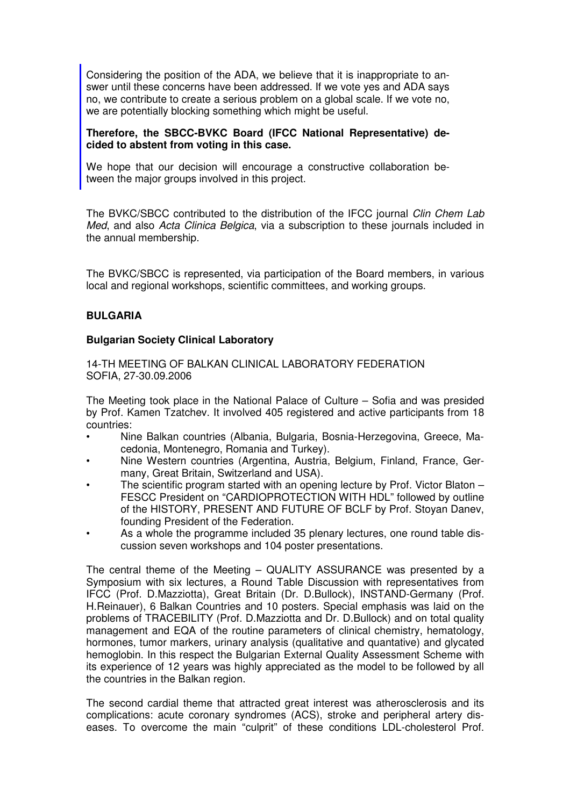Considering the position of the ADA, we believe that it is inappropriate to answer until these concerns have been addressed. If we vote yes and ADA says no, we contribute to create a serious problem on a global scale. If we vote no, we are potentially blocking something which might be useful.

#### **Therefore, the SBCC-BVKC Board (IFCC National Representative) decided to abstent from voting in this case.**

We hope that our decision will encourage a constructive collaboration between the major groups involved in this project.

The BVKC/SBCC contributed to the distribution of the IFCC journal Clin Chem Lab Med, and also Acta Clinica Belgica, via a subscription to these journals included in the annual membership.

The BVKC/SBCC is represented, via participation of the Board members, in various local and regional workshops, scientific committees, and working groups.

#### **BULGARIA**

#### **Bulgarian Society Clinical Laboratory**

14-TH MEETING OF BALKAN CLINICAL LABORATORY FEDERATION SOFIA, 27-30.09.2006

The Meeting took place in the National Palace of Culture – Sofia and was presided by Prof. Kamen Tzatchev. It involved 405 registered and active participants from 18 countries:

- Nine Balkan countries (Albania, Bulgaria, Bosnia-Herzegovina, Greece, Macedonia, Montenegro, Romania and Turkey).
- Nine Western countries (Argentina, Austria, Belgium, Finland, France, Germany, Great Britain, Switzerland and USA).
- The scientific program started with an opening lecture by Prof. Victor Blaton FESCC President on "CARDIOPROTECTION WITH HDL" followed by outline of the HISTORY, PRESENT AND FUTURE OF BCLF by Prof. Stoyan Danev, founding President of the Federation.
- As a whole the programme included 35 plenary lectures, one round table discussion seven workshops and 104 poster presentations.

The central theme of the Meeting – QUALITY ASSURANCE was presented by a Symposium with six lectures, a Round Table Discussion with representatives from IFCC (Prof. D.Mazziotta), Great Britain (Dr. D.Bullock), INSTAND-Germany (Prof. H.Reinauer), 6 Balkan Countries and 10 posters. Special emphasis was laid on the problems of TRACEBILITY (Prof. D.Mazziotta and Dr. D.Bullock) and on total quality management and EQA of the routine parameters of clinical chemistry, hematology, hormones, tumor markers, urinary analysis (qualitative and quantative) and glycated hemoglobin. In this respect the Bulgarian External Quality Assessment Scheme with its experience of 12 years was highly appreciated as the model to be followed by all the countries in the Balkan region.

The second cardial theme that attracted great interest was atherosclerosis and its complications: acute coronary syndromes (ACS), stroke and peripheral artery diseases. To overcome the main "culprit" of these conditions LDL-cholesterol Prof.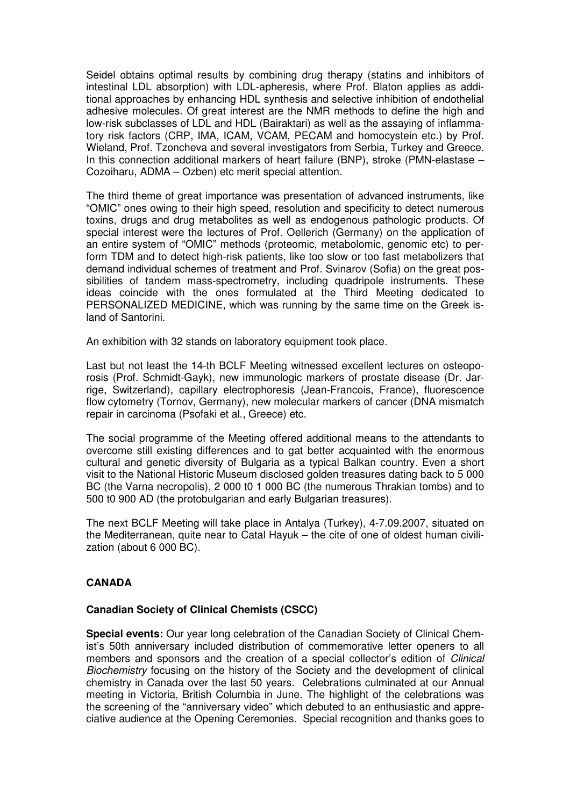Seidel obtains optimal results by combining drug therapy (statins and inhibitors of intestinal LDL absorption) with LDL-apheresis, where Prof. Blaton applies as additional approaches by enhancing HDL synthesis and selective inhibition of endothelial adhesive molecules. Of great interest are the NMR methods to define the high and low-risk subclasses of LDL and HDL (Bairaktari) as well as the assaying of inflammatory risk factors (CRP, IMA, ICAM, VCAM, PECAM and homocystein etc.) by Prof. Wieland, Prof. Tzoncheva and several investigators from Serbia, Turkey and Greece. In this connection additional markers of heart failure (BNP), stroke (PMN-elastase – Cozoiharu, ADMA – Ozben) etc merit special attention.

The third theme of great importance was presentation of advanced instruments, like "OMIC" ones owing to their high speed, resolution and specificity to detect numerous toxins, drugs and drug metabolites as well as endogenous pathologic products. Of special interest were the lectures of Prof. Oellerich (Germany) on the application of an entire system of "OMIC" methods (proteomic, metabolomic, genomic etc) to perform TDM and to detect high-risk patients, like too slow or too fast metabolizers that demand individual schemes of treatment and Prof. Svinarov (Sofia) on the great possibilities of tandem mass-spectrometry, including quadripole instruments. These ideas coincide with the ones formulated at the Third Meeting dedicated to PERSONALIZED MEDICINE, which was running by the same time on the Greek island of Santorini.

An exhibition with 32 stands on laboratory equipment took place.

Last but not least the 14-th BCLF Meeting witnessed excellent lectures on osteoporosis (Prof. Schmidt-Gayk), new immunologic markers of prostate disease (Dr. Jarrige, Switzerland), capillary electrophoresis (Jean-Francois, France), fluorescence flow cytometry (Tornov, Germany), new molecular markers of cancer (DNA mismatch repair in carcinoma (Psofaki et al., Greece) etc.

The social programme of the Meeting offered additional means to the attendants to overcome still existing differences and to gat better acquainted with the enormous cultural and genetic diversity of Bulgaria as a typical Balkan country. Even a short visit to the National Historic Museum disclosed golden treasures dating back to 5 000 BC (the Varna necropolis), 2 000 t0 1 000 BC (the numerous Thrakian tombs) and to 500 t0 900 AD (the protobulgarian and early Bulgarian treasures).

The next BCLF Meeting will take place in Antalya (Turkey), 4-7.09.2007, situated on the Mediterranean, quite near to Catal Hayuk – the cite of one of oldest human civilization (about 6 000 BC).

#### **CANADA**

#### **Canadian Society of Clinical Chemists (CSCC)**

**Special events:** Our year long celebration of the Canadian Society of Clinical Chemist's 50th anniversary included distribution of commemorative letter openers to all members and sponsors and the creation of a special collector's edition of Clinical Biochemistry focusing on the history of the Society and the development of clinical chemistry in Canada over the last 50 years. Celebrations culminated at our Annual meeting in Victoria, British Columbia in June. The highlight of the celebrations was the screening of the "anniversary video" which debuted to an enthusiastic and appreciative audience at the Opening Ceremonies. Special recognition and thanks goes to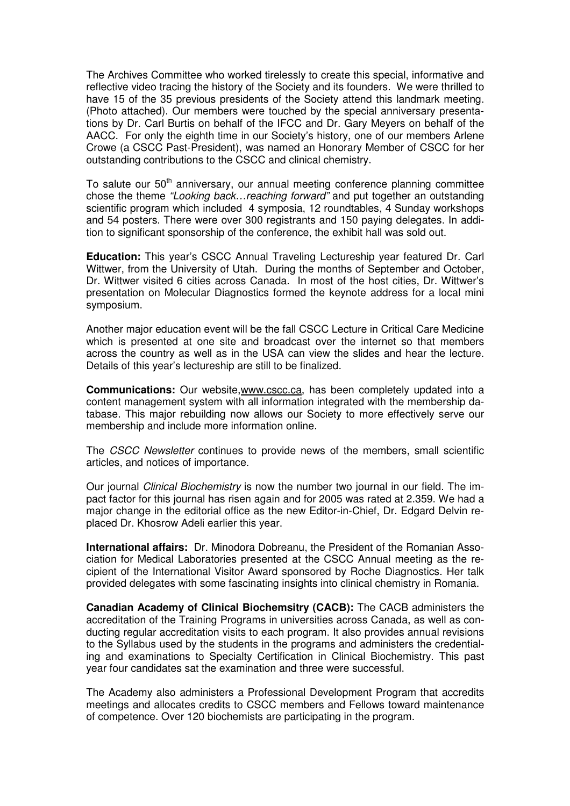The Archives Committee who worked tirelessly to create this special, informative and reflective video tracing the history of the Society and its founders. We were thrilled to have 15 of the 35 previous presidents of the Society attend this landmark meeting. (Photo attached). Our members were touched by the special anniversary presentations by Dr. Carl Burtis on behalf of the IFCC and Dr. Gary Meyers on behalf of the AACC. For only the eighth time in our Society's history, one of our members Arlene Crowe (a CSCC Past-President), was named an Honorary Member of CSCC for her outstanding contributions to the CSCC and clinical chemistry.

To salute our 50<sup>th</sup> anniversary, our annual meeting conference planning committee chose the theme "Looking back…reaching forward" and put together an outstanding scientific program which included 4 symposia, 12 roundtables, 4 Sunday workshops and 54 posters. There were over 300 registrants and 150 paying delegates. In addition to significant sponsorship of the conference, the exhibit hall was sold out.

**Education:** This year's CSCC Annual Traveling Lectureship year featured Dr. Carl Wittwer, from the University of Utah. During the months of September and October, Dr. Wittwer visited 6 cities across Canada. In most of the host cities, Dr. Wittwer's presentation on Molecular Diagnostics formed the keynote address for a local mini symposium.

Another major education event will be the fall CSCC Lecture in Critical Care Medicine which is presented at one site and broadcast over the internet so that members across the country as well as in the USA can view the slides and hear the lecture. Details of this year's lectureship are still to be finalized.

**Communications:** Our website,www.cscc.ca, has been completely updated into a content management system with all information integrated with the membership database. This major rebuilding now allows our Society to more effectively serve our membership and include more information online.

The CSCC Newsletter continues to provide news of the members, small scientific articles, and notices of importance.

Our journal Clinical Biochemistry is now the number two journal in our field. The impact factor for this journal has risen again and for 2005 was rated at 2.359. We had a major change in the editorial office as the new Editor-in-Chief, Dr. Edgard Delvin replaced Dr. Khosrow Adeli earlier this year.

**International affairs:** Dr. Minodora Dobreanu, the President of the Romanian Association for Medical Laboratories presented at the CSCC Annual meeting as the recipient of the International Visitor Award sponsored by Roche Diagnostics. Her talk provided delegates with some fascinating insights into clinical chemistry in Romania.

**Canadian Academy of Clinical Biochemsitry (CACB):** The CACB administers the accreditation of the Training Programs in universities across Canada, as well as conducting regular accreditation visits to each program. It also provides annual revisions to the Syllabus used by the students in the programs and administers the credentialing and examinations to Specialty Certification in Clinical Biochemistry. This past year four candidates sat the examination and three were successful.

The Academy also administers a Professional Development Program that accredits meetings and allocates credits to CSCC members and Fellows toward maintenance of competence. Over 120 biochemists are participating in the program.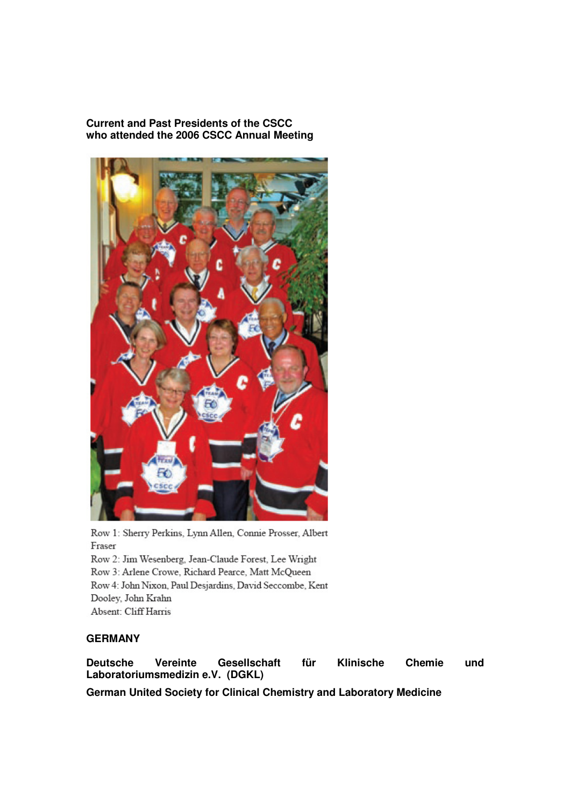#### **Current and Past Presidents of the CSCC who attended the 2006 CSCC Annual Meeting**



Row 1: Sherry Perkins, Lynn Allen, Connie Prosser, Albert Fraser Row 2: Jim Wesenberg, Jean-Claude Forest, Lee Wright Row 3: Arlene Crowe, Richard Pearce, Matt McQueen Row 4: John Nixon, Paul Desjardins, David Seccombe, Kent Dooley, John Krahn Absent: Cliff Harris

#### **GERMANY**

**Deutsche Vereinte Gesellschaft für Klinische Chemie und Laboratoriumsmedizin e.V. (DGKL)** 

**German United Society for Clinical Chemistry and Laboratory Medicine**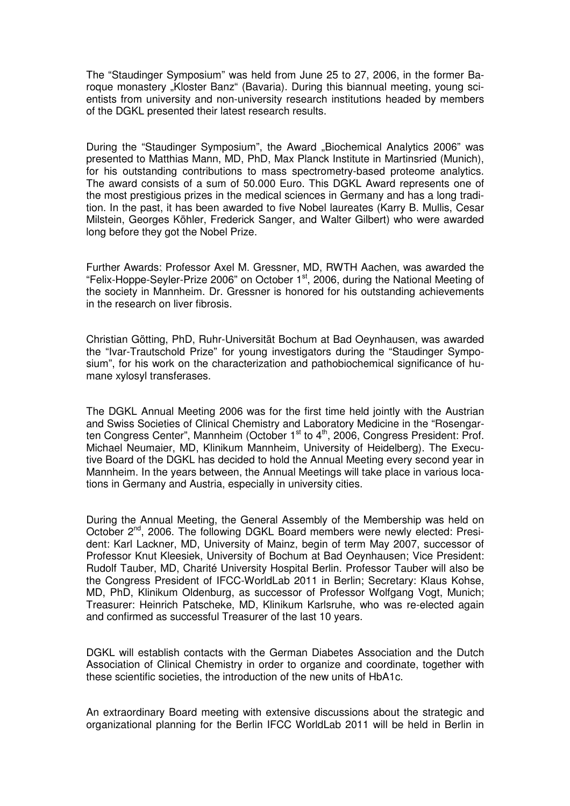The "Staudinger Symposium" was held from June 25 to 27, 2006, in the former Baroque monastery "Kloster Banz" (Bavaria). During this biannual meeting, young scientists from university and non-university research institutions headed by members of the DGKL presented their latest research results.

During the "Staudinger Symposium", the Award "Biochemical Analytics 2006" was presented to Matthias Mann, MD, PhD, Max Planck Institute in Martinsried (Munich), for his outstanding contributions to mass spectrometry-based proteome analytics. The award consists of a sum of 50.000 Euro. This DGKL Award represents one of the most prestigious prizes in the medical sciences in Germany and has a long tradition. In the past, it has been awarded to five Nobel laureates (Karry B. Mullis, Cesar Milstein, Georges Köhler, Frederick Sanger, and Walter Gilbert) who were awarded long before they got the Nobel Prize.

Further Awards: Professor Axel M. Gressner, MD, RWTH Aachen, was awarded the "Felix-Hoppe-Seyler-Prize 2006" on October 1st, 2006, during the National Meeting of the society in Mannheim. Dr. Gressner is honored for his outstanding achievements in the research on liver fibrosis.

Christian Götting, PhD, Ruhr-Universität Bochum at Bad Oeynhausen, was awarded the "Ivar-Trautschold Prize" for young investigators during the "Staudinger Symposium", for his work on the characterization and pathobiochemical significance of humane xylosyl transferases.

The DGKL Annual Meeting 2006 was for the first time held jointly with the Austrian and Swiss Societies of Clinical Chemistry and Laboratory Medicine in the "Rosengarten Congress Center", Mannheim (October 1<sup>st</sup> to 4<sup>th</sup>, 2006, Congress President: Prof. Michael Neumaier, MD, Klinikum Mannheim, University of Heidelberg). The Executive Board of the DGKL has decided to hold the Annual Meeting every second year in Mannheim. In the years between, the Annual Meetings will take place in various locations in Germany and Austria, especially in university cities.

During the Annual Meeting, the General Assembly of the Membership was held on October 2nd, 2006. The following DGKL Board members were newly elected: President: Karl Lackner, MD, University of Mainz, begin of term May 2007, successor of Professor Knut Kleesiek, University of Bochum at Bad Oeynhausen; Vice President: Rudolf Tauber, MD, Charité University Hospital Berlin. Professor Tauber will also be the Congress President of IFCC-WorldLab 2011 in Berlin; Secretary: Klaus Kohse, MD, PhD, Klinikum Oldenburg, as successor of Professor Wolfgang Vogt, Munich; Treasurer: Heinrich Patscheke, MD, Klinikum Karlsruhe, who was re-elected again and confirmed as successful Treasurer of the last 10 years.

DGKL will establish contacts with the German Diabetes Association and the Dutch Association of Clinical Chemistry in order to organize and coordinate, together with these scientific societies, the introduction of the new units of HbA1c.

An extraordinary Board meeting with extensive discussions about the strategic and organizational planning for the Berlin IFCC WorldLab 2011 will be held in Berlin in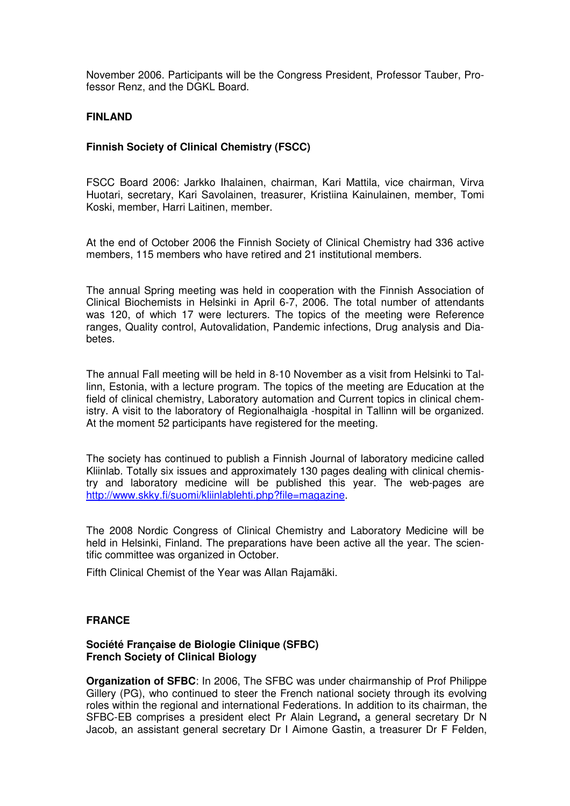November 2006. Participants will be the Congress President, Professor Tauber, Professor Renz, and the DGKL Board.

#### **FINLAND**

#### **Finnish Society of Clinical Chemistry (FSCC)**

FSCC Board 2006: Jarkko Ihalainen, chairman, Kari Mattila, vice chairman, Virva Huotari, secretary, Kari Savolainen, treasurer, Kristiina Kainulainen, member, Tomi Koski, member, Harri Laitinen, member.

At the end of October 2006 the Finnish Society of Clinical Chemistry had 336 active members, 115 members who have retired and 21 institutional members.

The annual Spring meeting was held in cooperation with the Finnish Association of Clinical Biochemists in Helsinki in April 6-7, 2006. The total number of attendants was 120, of which 17 were lecturers. The topics of the meeting were Reference ranges, Quality control, Autovalidation, Pandemic infections, Drug analysis and Diabetes.

The annual Fall meeting will be held in 8-10 November as a visit from Helsinki to Tallinn, Estonia, with a lecture program. The topics of the meeting are Education at the field of clinical chemistry, Laboratory automation and Current topics in clinical chemistry. A visit to the laboratory of Regionalhaigla -hospital in Tallinn will be organized. At the moment 52 participants have registered for the meeting.

The society has continued to publish a Finnish Journal of laboratory medicine called Kliinlab. Totally six issues and approximately 130 pages dealing with clinical chemistry and laboratory medicine will be published this year. The web-pages are http://www.skky.fi/suomi/kliinlablehti.php?file=magazine.

The 2008 Nordic Congress of Clinical Chemistry and Laboratory Medicine will be held in Helsinki, Finland. The preparations have been active all the year. The scientific committee was organized in October.

Fifth Clinical Chemist of the Year was Allan Rajamäki.

#### **FRANCE**

#### **Société Française de Biologie Clinique (SFBC) French Society of Clinical Biology**

**Organization of SFBC**: In 2006, The SFBC was under chairmanship of Prof Philippe Gillery (PG), who continued to steer the French national society through its evolving roles within the regional and international Federations. In addition to its chairman, the SFBC-EB comprises a president elect Pr Alain Legrand**,** a general secretary Dr N Jacob, an assistant general secretary Dr I Aimone Gastin, a treasurer Dr F Felden,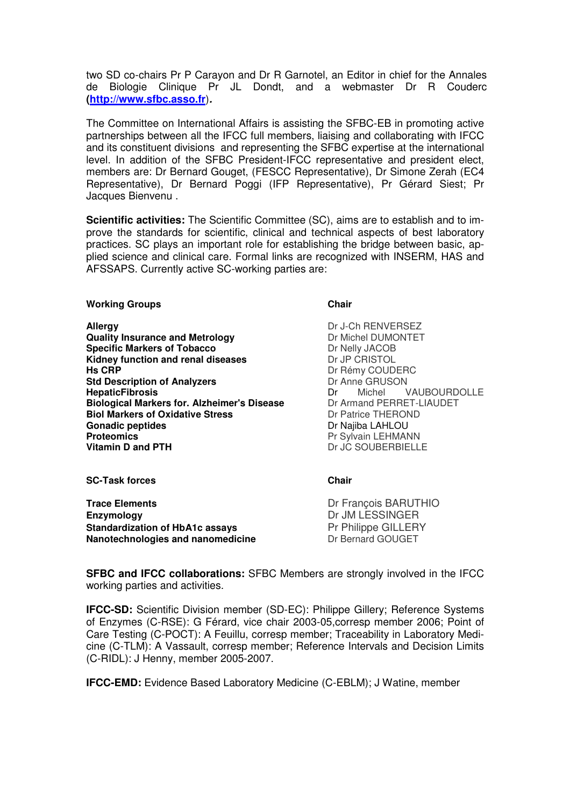two SD co-chairs Pr P Carayon and Dr R Garnotel, an Editor in chief for the Annales de Biologie Clinique Pr JL Dondt, and a webmaster Dr R Couderc **(http://www.sfbc.asso.fr**)**.**

The Committee on International Affairs is assisting the SFBC-EB in promoting active partnerships between all the IFCC full members, liaising and collaborating with IFCC and its constituent divisions and representing the SFBC expertise at the international level. In addition of the SFBC President-IFCC representative and president elect, members are: Dr Bernard Gouget, (FESCC Representative), Dr Simone Zerah (EC4 Representative), Dr Bernard Poggi (IFP Representative), Pr Gérard Siest; Pr Jacques Bienvenu .

**Scientific activities:** The Scientific Committee (SC), aims are to establish and to improve the standards for scientific, clinical and technical aspects of best laboratory practices. SC plays an important role for establishing the bridge between basic, applied science and clinical care. Formal links are recognized with INSERM, HAS and AFSSAPS. Currently active SC-working parties are:

#### Working Groups **Chair Chair Chair**

**Allergy** Dr J-Ch RENVERSEZ **Quality Insurance and Metrology Demonstral DUMONTET Specific Markers of Tobacco** Dr Nelly JACOB **Kidney function and renal diseases Dr JP CRISTOL Hs CRP Dr Rémy COUDERC Std Description of Analyzers Dr Anne GRUSON**<br> **HepaticFibrosis Dr** Michel V **Biological Markers for. Alzheimer's Disease** Dr Armand PERRET-L<br> **Biol Markers of Oxidative Stress** Dr Patrice THEROND **Biol Markers of Oxidative Stress Gonadic peptides Gonadic peptides**<br> **Proteomics**<br> **Proteomics**<br>
Proteomics **Proteomics**<br> **Proteomics**<br> **Proteomics**<br> **Proteomics**<br> **Proteomics**<br> **Proteomics** 

**Dr** Michel VAUBOURDOLLE<br>Dr Armand PERRET-LIAUDET Dr JC SOUBERBIELLE

**SC-Task forces** Chair **Chair Chair** 

**Trace Elements** Dr François BARUTHIO **Enzymology** Dr JM LESSINGER **Standardization of HbA1c assays Pr Philippe GILLERY**<br> **Nanotechnologies and nanomedicine Property Dr Bernard GOUGET Nanotechnologies and nanomedicine** 

**SFBC and IFCC collaborations:** SFBC Members are strongly involved in the IFCC working parties and activities.

**IFCC-SD:** Scientific Division member (SD-EC): Philippe Gillery; Reference Systems of Enzymes (C-RSE): G Férard, vice chair 2003-05,corresp member 2006; Point of Care Testing (C-POCT): A Feuillu, corresp member; Traceability in Laboratory Medicine (C-TLM): A Vassault, corresp member; Reference Intervals and Decision Limits (C-RIDL): J Henny, member 2005-2007.

**IFCC-EMD:** Evidence Based Laboratory Medicine (C-EBLM); J Watine, member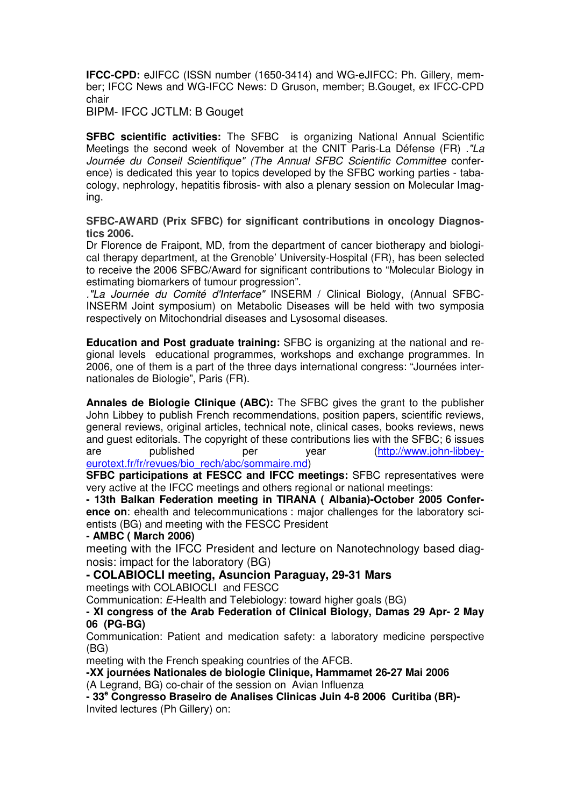**IFCC-CPD:** eJIFCC (ISSN number (1650-3414) and WG-eJIFCC: Ph. Gillery, member; IFCC News and WG-IFCC News: D Gruson, member; B.Gouget, ex IFCC-CPD chair

BIPM- IFCC JCTLM: B Gouget

**SFBC scientific activities:** The SFBC is organizing National Annual Scientific Meetings the second week of November at the CNIT Paris-La Défense (FR) ."La Journée du Conseil Scientifique" (The Annual SFBC Scientific Committee conference) is dedicated this year to topics developed by the SFBC working parties - tabacology, nephrology, hepatitis fibrosis- with also a plenary session on Molecular Imaging.

**SFBC-AWARD (Prix SFBC) for significant contributions in oncology Diagnostics 2006.** 

Dr Florence de Fraipont, MD, from the department of cancer biotherapy and biological therapy department, at the Grenoble' University-Hospital (FR), has been selected to receive the 2006 SFBC/Award for significant contributions to "Molecular Biology in estimating biomarkers of tumour progression".

."La Journée du Comité d'Interface" INSERM / Clinical Biology, (Annual SFBC-INSERM Joint symposium) on Metabolic Diseases will be held with two symposia respectively on Mitochondrial diseases and Lysosomal diseases.

**Education and Post graduate training:** SFBC is organizing at the national and regional levels educational programmes, workshops and exchange programmes. In 2006, one of them is a part of the three days international congress: "Journées internationales de Biologie", Paris (FR).

**Annales de Biologie Clinique (ABC):** The SFBC gives the grant to the publisher John Libbey to publish French recommendations, position papers, scientific reviews, general reviews, original articles, technical note, clinical cases, books reviews, news and guest editorials. The copyright of these contributions lies with the SFBC; 6 issues are published per year (http://www.john-libbeyeurotext.fr/fr/revues/bio\_rech/abc/sommaire.md)

**SFBC participations at FESCC and IFCC meetings:** SFBC representatives were very active at the IFCC meetings and others regional or national meetings:

**- 13th Balkan Federation meeting in TIRANA ( Albania)-October 2005 Conference on**: ehealth and telecommunications : major challenges for the laboratory scientists (BG) and meeting with the FESCC President

#### **- AMBC ( March 2006)**

meeting with the IFCC President and lecture on Nanotechnology based diagnosis: impact for the laboratory (BG)

**- COLABIOCLI meeting, Asuncion Paraguay, 29-31 Mars** meetings with COLABIOCLI and FESCC

Communication: E-Health and Telebiology: toward higher goals (BG)

**- XI congress of the Arab Federation of Clinical Biology, Damas 29 Apr- 2 May 06 (PG-BG)** 

Communication: Patient and medication safety: a laboratory medicine perspective (BG)

meeting with the French speaking countries of the AFCB.

**-XX journées Nationales de biologie Clinique, Hammamet 26-27 Mai 2006** (A Legrand, BG) co-chair of the session on Avian Influenza

**- 33<sup>e</sup> Congresso Braseiro de Analises Clinicas Juin 4-8 2006 Curitiba (BR)-**  Invited lectures (Ph Gillery) on: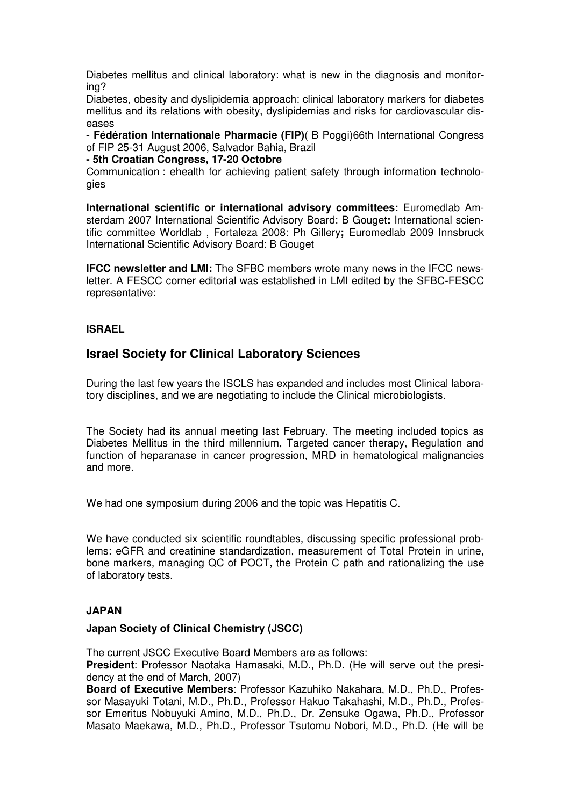Diabetes mellitus and clinical laboratory: what is new in the diagnosis and monitoring?

Diabetes, obesity and dyslipidemia approach: clinical laboratory markers for diabetes mellitus and its relations with obesity, dyslipidemias and risks for cardiovascular diseases

**- Fédération Internationale Pharmacie (FIP)**( B Poggi)66th International Congress of FIP 25-31 August 2006, Salvador Bahia, Brazil

#### **- 5th Croatian Congress, 17-20 Octobre**

Communication : ehealth for achieving patient safety through information technologies

**International scientific or international advisory committees:** Euromedlab Amsterdam 2007 International Scientific Advisory Board: B Gouget**:** International scientific committee Worldlab , Fortaleza 2008: Ph Gillery**;** Euromedlab 2009 Innsbruck International Scientific Advisory Board: B Gouget

**IFCC newsletter and LMI:** The SFBC members wrote many news in the IFCC newsletter. A FESCC corner editorial was established in LMI edited by the SFBC-FESCC representative:

#### **ISRAEL**

#### **Israel Society for Clinical Laboratory Sciences**

During the last few years the ISCLS has expanded and includes most Clinical laboratory disciplines, and we are negotiating to include the Clinical microbiologists.

The Society had its annual meeting last February. The meeting included topics as Diabetes Mellitus in the third millennium, Targeted cancer therapy, Regulation and function of heparanase in cancer progression, MRD in hematological malignancies and more.

We had one symposium during 2006 and the topic was Hepatitis C.

We have conducted six scientific roundtables, discussing specific professional problems: eGFR and creatinine standardization, measurement of Total Protein in urine, bone markers, managing QC of POCT, the Protein C path and rationalizing the use of laboratory tests.

#### **JAPAN**

#### **Japan Society of Clinical Chemistry (JSCC)**

The current JSCC Executive Board Members are as follows:

**President**: Professor Naotaka Hamasaki, M.D., Ph.D. (He will serve out the presidency at the end of March, 2007)

**Board of Executive Members**: Professor Kazuhiko Nakahara, M.D., Ph.D., Professor Masayuki Totani, M.D., Ph.D., Professor Hakuo Takahashi, M.D., Ph.D., Professor Emeritus Nobuyuki Amino, M.D., Ph.D., Dr. Zensuke Ogawa, Ph.D., Professor Masato Maekawa, M.D., Ph.D., Professor Tsutomu Nobori, M.D., Ph.D. (He will be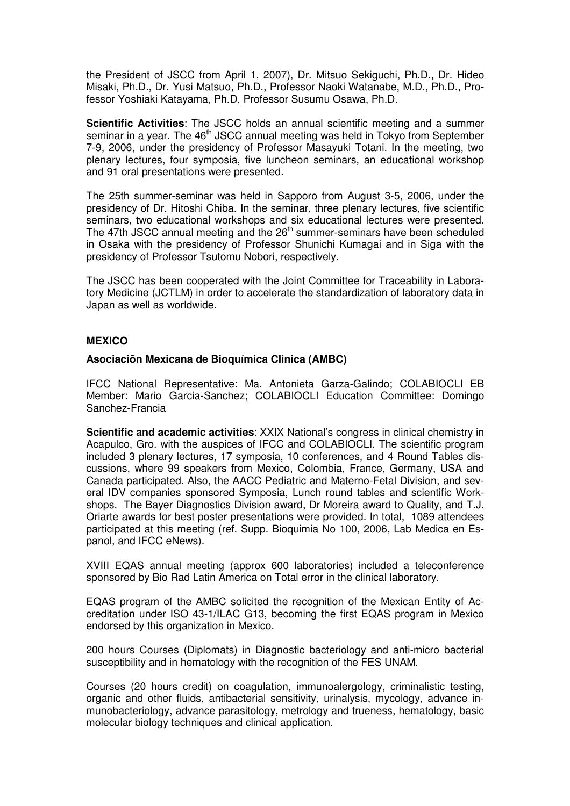the President of JSCC from April 1, 2007), Dr. Mitsuo Sekiguchi, Ph.D., Dr. Hideo Misaki, Ph.D., Dr. Yusi Matsuo, Ph.D., Professor Naoki Watanabe, M.D., Ph.D., Professor Yoshiaki Katayama, Ph.D, Professor Susumu Osawa, Ph.D.

**Scientific Activities**: The JSCC holds an annual scientific meeting and a summer seminar in a year. The 46<sup>th</sup> JSCC annual meeting was held in Tokyo from September 7-9, 2006, under the presidency of Professor Masayuki Totani. In the meeting, two plenary lectures, four symposia, five luncheon seminars, an educational workshop and 91 oral presentations were presented.

The 25th summer-seminar was held in Sapporo from August 3-5, 2006, under the presidency of Dr. Hitoshi Chiba. In the seminar, three plenary lectures, five scientific seminars, two educational workshops and six educational lectures were presented. The 47th JSCC annual meeting and the  $26<sup>th</sup>$  summer-seminars have been scheduled in Osaka with the presidency of Professor Shunichi Kumagai and in Siga with the presidency of Professor Tsutomu Nobori, respectively.

The JSCC has been cooperated with the Joint Committee for Traceability in Laboratory Medicine (JCTLM) in order to accelerate the standardization of laboratory data in Japan as well as worldwide.

#### **MEXICO**

#### **Asociaciõn Mexicana de Bioquímica Clinica (AMBC)**

IFCC National Representative: Ma. Antonieta Garza-Galindo; COLABIOCLI EB Member: Mario Garcia-Sanchez; COLABIOCLI Education Committee: Domingo Sanchez-Francia

**Scientific and academic activities**: XXIX National's congress in clinical chemistry in Acapulco, Gro. with the auspices of IFCC and COLABIOCLI. The scientific program included 3 plenary lectures, 17 symposia, 10 conferences, and 4 Round Tables discussions, where 99 speakers from Mexico, Colombia, France, Germany, USA and Canada participated. Also, the AACC Pediatric and Materno-Fetal Division, and several IDV companies sponsored Symposia, Lunch round tables and scientific Workshops. The Bayer Diagnostics Division award, Dr Moreira award to Quality, and T.J. Oriarte awards for best poster presentations were provided. In total, 1089 attendees participated at this meeting (ref. Supp. Bioquimia No 100, 2006, Lab Medica en Espanol, and IFCC eNews).

XVIII EQAS annual meeting (approx 600 laboratories) included a teleconference sponsored by Bio Rad Latin America on Total error in the clinical laboratory.

EQAS program of the AMBC solicited the recognition of the Mexican Entity of Accreditation under ISO 43-1/ILAC G13, becoming the first EQAS program in Mexico endorsed by this organization in Mexico.

200 hours Courses (Diplomats) in Diagnostic bacteriology and anti-micro bacterial susceptibility and in hematology with the recognition of the FES UNAM.

Courses (20 hours credit) on coagulation, immunoalergology, criminalistic testing, organic and other fluids, antibacterial sensitivity, urinalysis, mycology, advance inmunobacteriology, advance parasitology, metrology and trueness, hematology, basic molecular biology techniques and clinical application.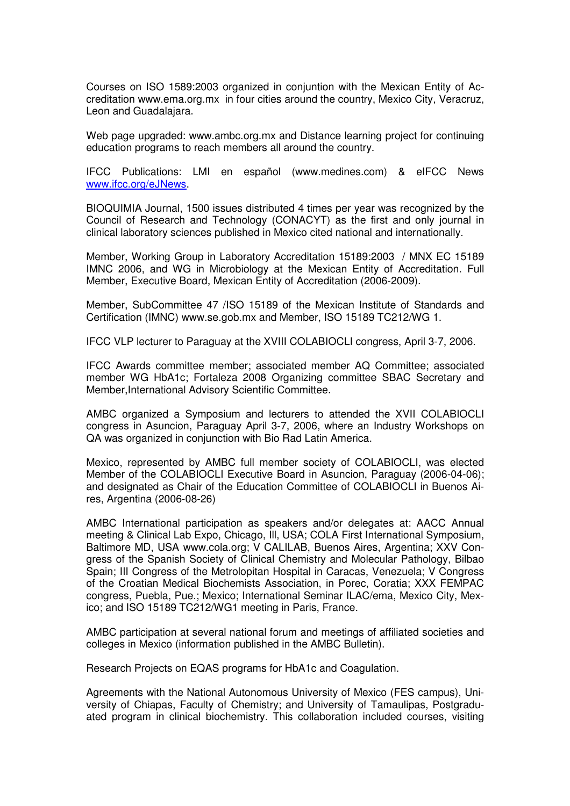Courses on ISO 1589:2003 organized in conjuntion with the Mexican Entity of Accreditation www.ema.org.mx in four cities around the country, Mexico City, Veracruz, Leon and Guadalajara.

Web page upgraded: www.ambc.org.mx and Distance learning project for continuing education programs to reach members all around the country.

IFCC Publications: LMI en español (www.medines.com) & eIFCC News www.ifcc.org/eJNews.

BIOQUIMIA Journal, 1500 issues distributed 4 times per year was recognized by the Council of Research and Technology (CONACYT) as the first and only journal in clinical laboratory sciences published in Mexico cited national and internationally.

Member, Working Group in Laboratory Accreditation 15189:2003 / MNX EC 15189 IMNC 2006, and WG in Microbiology at the Mexican Entity of Accreditation. Full Member, Executive Board, Mexican Entity of Accreditation (2006-2009).

Member, SubCommittee 47 /ISO 15189 of the Mexican Institute of Standards and Certification (IMNC) www.se.gob.mx and Member, ISO 15189 TC212/WG 1.

IFCC VLP lecturer to Paraguay at the XVIII COLABIOCLI congress, April 3-7, 2006.

IFCC Awards committee member; associated member AQ Committee; associated member WG HbA1c; Fortaleza 2008 Organizing committee SBAC Secretary and Member,International Advisory Scientific Committee.

AMBC organized a Symposium and lecturers to attended the XVII COLABIOCLI congress in Asuncion, Paraguay April 3-7, 2006, where an Industry Workshops on QA was organized in conjunction with Bio Rad Latin America.

Mexico, represented by AMBC full member society of COLABIOCLI, was elected Member of the COLABIOCLI Executive Board in Asuncion, Paraguay (2006-04-06); and designated as Chair of the Education Committee of COLABIOCLI in Buenos Aires, Argentina (2006-08-26)

AMBC International participation as speakers and/or delegates at: AACC Annual meeting & Clinical Lab Expo, Chicago, Ill, USA; COLA First International Symposium, Baltimore MD, USA www.cola.org; V CALILAB, Buenos Aires, Argentina; XXV Congress of the Spanish Society of Clinical Chemistry and Molecular Pathology, Bilbao Spain; III Congress of the Metrolopitan Hospital in Caracas, Venezuela; V Congress of the Croatian Medical Biochemists Association, in Porec, Coratia; XXX FEMPAC congress, Puebla, Pue.; Mexico; International Seminar ILAC/ema, Mexico City, Mexico; and ISO 15189 TC212/WG1 meeting in Paris, France.

AMBC participation at several national forum and meetings of affiliated societies and colleges in Mexico (information published in the AMBC Bulletin).

Research Projects on EQAS programs for HbA1c and Coagulation.

Agreements with the National Autonomous University of Mexico (FES campus), University of Chiapas, Faculty of Chemistry; and University of Tamaulipas, Postgraduated program in clinical biochemistry. This collaboration included courses, visiting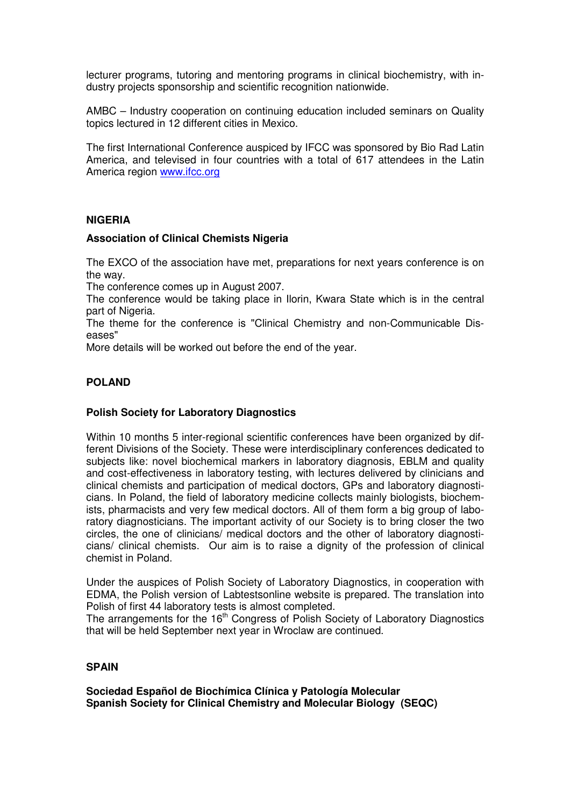lecturer programs, tutoring and mentoring programs in clinical biochemistry, with industry projects sponsorship and scientific recognition nationwide.

AMBC – Industry cooperation on continuing education included seminars on Quality topics lectured in 12 different cities in Mexico.

The first International Conference auspiced by IFCC was sponsored by Bio Rad Latin America, and televised in four countries with a total of 617 attendees in the Latin America region www.ifcc.org

#### **NIGERIA**

#### **Association of Clinical Chemists Nigeria**

The EXCO of the association have met, preparations for next years conference is on the way.

The conference comes up in August 2007.

The conference would be taking place in Ilorin, Kwara State which is in the central part of Nigeria.

The theme for the conference is "Clinical Chemistry and non-Communicable Diseases"

More details will be worked out before the end of the year.

#### **POLAND**

#### **Polish Society for Laboratory Diagnostics**

Within 10 months 5 inter-regional scientific conferences have been organized by different Divisions of the Society. These were interdisciplinary conferences dedicated to subjects like: novel biochemical markers in laboratory diagnosis, EBLM and quality and cost-effectiveness in laboratory testing, with lectures delivered by clinicians and clinical chemists and participation of medical doctors, GPs and laboratory diagnosticians. In Poland, the field of laboratory medicine collects mainly biologists, biochemists, pharmacists and very few medical doctors. All of them form a big group of laboratory diagnosticians. The important activity of our Society is to bring closer the two circles, the one of clinicians/ medical doctors and the other of laboratory diagnosticians/ clinical chemists. Our aim is to raise a dignity of the profession of clinical chemist in Poland.

Under the auspices of Polish Society of Laboratory Diagnostics, in cooperation with EDMA, the Polish version of Labtestsonline website is prepared. The translation into Polish of first 44 laboratory tests is almost completed.

The arrangements for the 16<sup>th</sup> Congress of Polish Society of Laboratory Diagnostics that will be held September next year in Wroclaw are continued.

#### **SPAIN**

**Sociedad Español de Biochímica Clínica y Patología Molecular Spanish Society for Clinical Chemistry and Molecular Biology (SEQC)**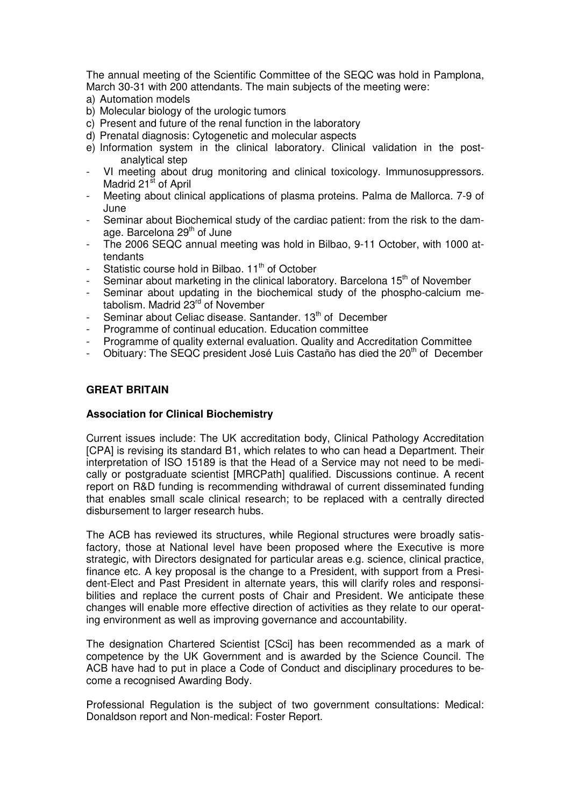The annual meeting of the Scientific Committee of the SEQC was hold in Pamplona, March 30-31 with 200 attendants. The main subjects of the meeting were:

- a) Automation models
- b) Molecular biology of the urologic tumors
- c) Present and future of the renal function in the laboratory
- d) Prenatal diagnosis: Cytogenetic and molecular aspects
- e) Information system in the clinical laboratory. Clinical validation in the postanalytical step
- VI meeting about drug monitoring and clinical toxicology. Immunosuppressors. Madrid 21<sup>st</sup> of April
- Meeting about clinical applications of plasma proteins. Palma de Mallorca. 7-9 of June
- Seminar about Biochemical study of the cardiac patient: from the risk to the damage. Barcelona 29<sup>th</sup> of June
- The 2006 SEQC annual meeting was hold in Bilbao, 9-11 October, with 1000 attendants
- Statistic course hold in Bilbao. 11<sup>th</sup> of October
- Seminar about marketing in the clinical laboratory. Barcelona 15<sup>th</sup> of November
- Seminar about updating in the biochemical study of the phospho-calcium metabolism. Madrid 23<sup>rd</sup> of November
- Seminar about Celiac disease. Santander. 13<sup>th</sup> of December
- Programme of continual education. Education committee
- Programme of quality external evaluation. Quality and Accreditation Committee
- Obituary: The SEQC president José Luis Castaño has died the 20<sup>th</sup> of December

#### **GREAT BRITAIN**

#### **Association for Clinical Biochemistry**

Current issues include: The UK accreditation body, Clinical Pathology Accreditation [CPA] is revising its standard B1, which relates to who can head a Department. Their interpretation of ISO 15189 is that the Head of a Service may not need to be medically or postgraduate scientist [MRCPath] qualified. Discussions continue. A recent report on R&D funding is recommending withdrawal of current disseminated funding that enables small scale clinical research; to be replaced with a centrally directed disbursement to larger research hubs.

The ACB has reviewed its structures, while Regional structures were broadly satisfactory, those at National level have been proposed where the Executive is more strategic, with Directors designated for particular areas e.g. science, clinical practice, finance etc. A key proposal is the change to a President, with support from a President-Elect and Past President in alternate years, this will clarify roles and responsibilities and replace the current posts of Chair and President. We anticipate these changes will enable more effective direction of activities as they relate to our operating environment as well as improving governance and accountability.

The designation Chartered Scientist [CSci] has been recommended as a mark of competence by the UK Government and is awarded by the Science Council. The ACB have had to put in place a Code of Conduct and disciplinary procedures to become a recognised Awarding Body.

Professional Regulation is the subject of two government consultations: Medical: Donaldson report and Non-medical: Foster Report.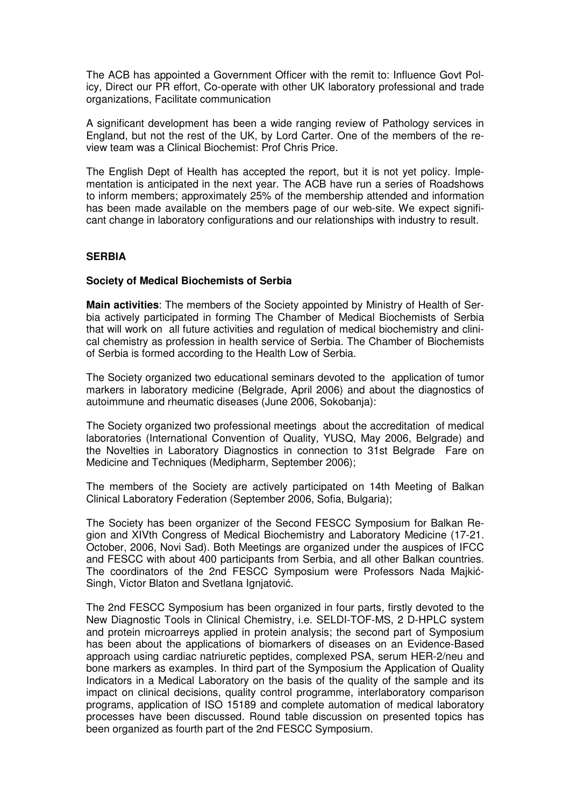The ACB has appointed a Government Officer with the remit to: Influence Govt Policy, Direct our PR effort, Co-operate with other UK laboratory professional and trade organizations, Facilitate communication

A significant development has been a wide ranging review of Pathology services in England, but not the rest of the UK, by Lord Carter. One of the members of the review team was a Clinical Biochemist: Prof Chris Price.

The English Dept of Health has accepted the report, but it is not yet policy. Implementation is anticipated in the next year. The ACB have run a series of Roadshows to inform members; approximately 25% of the membership attended and information has been made available on the members page of our web-site. We expect significant change in laboratory configurations and our relationships with industry to result.

#### **SERBIA**

#### **Society of Medical Biochemists of Serbia**

**Main activities**: The members of the Society appointed by Ministry of Health of Serbia actively participated in forming The Chamber of Medical Biochemists of Serbia that will work on all future activities and regulation of medical biochemistry and clinical chemistry as profession in health service of Serbia. The Chamber of Biochemists of Serbia is formed according to the Health Low of Serbia.

The Society organized two educational seminars devoted to the application of tumor markers in laboratory medicine (Belgrade, April 2006) and about the diagnostics of autoimmune and rheumatic diseases (June 2006, Sokobanja):

The Society organized two professional meetings about the accreditation of medical laboratories (International Convention of Quality, YUSQ, May 2006, Belgrade) and the Novelties in Laboratory Diagnostics in connection to 31st Belgrade Fare on Medicine and Techniques (Medipharm, September 2006);

The members of the Society are actively participated on 14th Meeting of Balkan Clinical Laboratory Federation (September 2006, Sofia, Bulgaria);

The Society has been organizer of the Second FESCC Symposium for Balkan Region and XIVth Congress of Medical Biochemistry and Laboratory Medicine (17-21. October, 2006, Novi Sad). Both Meetings are organized under the auspices of IFCC and FESCC with about 400 participants from Serbia, and all other Balkan countries. The coordinators of the 2nd FESCC Symposium were Professors Nada Majkić-Singh, Victor Blaton and Svetlana Ignjatović.

The 2nd FESCC Symposium has been organized in four parts, firstly devoted to the New Diagnostic Tools in Clinical Chemistry, i.e. SELDI-TOF-MS, 2 D-HPLC system and protein microarreys applied in protein analysis; the second part of Symposium has been about the applications of biomarkers of diseases on an Evidence-Based approach using cardiac natriuretic peptides, complexed PSA, serum HER-2/neu and bone markers as examples. In third part of the Symposium the Application of Quality Indicators in a Medical Laboratory on the basis of the quality of the sample and its impact on clinical decisions, quality control programme, interlaboratory comparison programs, application of ISO 15189 and complete automation of medical laboratory processes have been discussed. Round table discussion on presented topics has been organized as fourth part of the 2nd FESCC Symposium.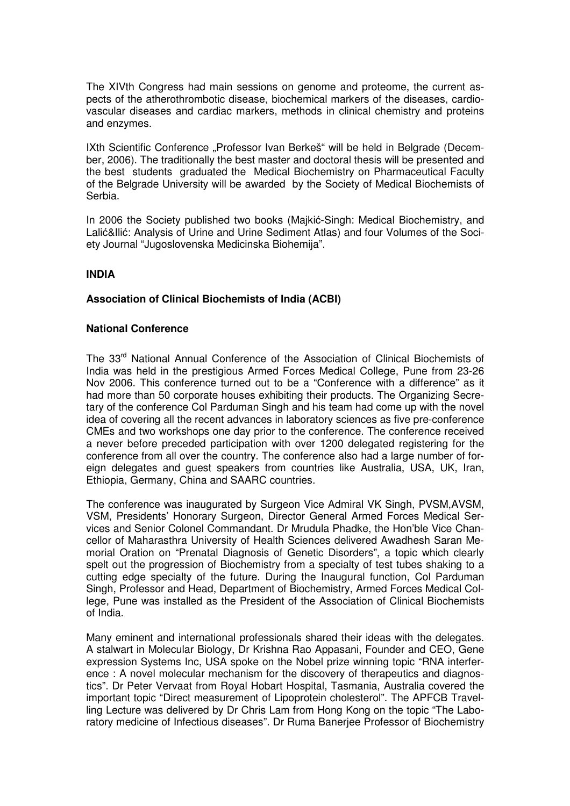The XIVth Congress had main sessions on genome and proteome, the current aspects of the atherothrombotic disease, biochemical markers of the diseases, cardiovascular diseases and cardiac markers, methods in clinical chemistry and proteins and enzymes.

IXth Scientific Conference "Professor Ivan Berkeš" will be held in Belgrade (December, 2006). The traditionally the best master and doctoral thesis will be presented and the best students graduated the Medical Biochemistry on Pharmaceutical Faculty of the Belgrade University will be awarded by the Society of Medical Biochemists of Serbia.

In 2006 the Society published two books (Majkić-Singh: Medical Biochemistry, and Lalić&Ilić: Analysis of Urine and Urine Sediment Atlas) and four Volumes of the Society Journal "Jugoslovenska Medicinska Biohemija".

#### **INDIA**

#### **Association of Clinical Biochemists of India (ACBI)**

#### **National Conference**

The 33rd National Annual Conference of the Association of Clinical Biochemists of India was held in the prestigious Armed Forces Medical College, Pune from 23-26 Nov 2006. This conference turned out to be a "Conference with a difference" as it had more than 50 corporate houses exhibiting their products. The Organizing Secretary of the conference Col Parduman Singh and his team had come up with the novel idea of covering all the recent advances in laboratory sciences as five pre-conference CMEs and two workshops one day prior to the conference. The conference received a never before preceded participation with over 1200 delegated registering for the conference from all over the country. The conference also had a large number of foreign delegates and guest speakers from countries like Australia, USA, UK, Iran, Ethiopia, Germany, China and SAARC countries.

The conference was inaugurated by Surgeon Vice Admiral VK Singh, PVSM,AVSM, VSM, Presidents' Honorary Surgeon, Director General Armed Forces Medical Services and Senior Colonel Commandant. Dr Mrudula Phadke, the Hon'ble Vice Chancellor of Maharasthra University of Health Sciences delivered Awadhesh Saran Memorial Oration on "Prenatal Diagnosis of Genetic Disorders", a topic which clearly spelt out the progression of Biochemistry from a specialty of test tubes shaking to a cutting edge specialty of the future. During the Inaugural function, Col Parduman Singh, Professor and Head, Department of Biochemistry, Armed Forces Medical College, Pune was installed as the President of the Association of Clinical Biochemists of India.

Many eminent and international professionals shared their ideas with the delegates. A stalwart in Molecular Biology, Dr Krishna Rao Appasani, Founder and CEO, Gene expression Systems Inc, USA spoke on the Nobel prize winning topic "RNA interference : A novel molecular mechanism for the discovery of therapeutics and diagnostics". Dr Peter Vervaat from Royal Hobart Hospital, Tasmania, Australia covered the important topic "Direct measurement of Lipoprotein cholesterol". The APFCB Travelling Lecture was delivered by Dr Chris Lam from Hong Kong on the topic "The Laboratory medicine of Infectious diseases". Dr Ruma Banerjee Professor of Biochemistry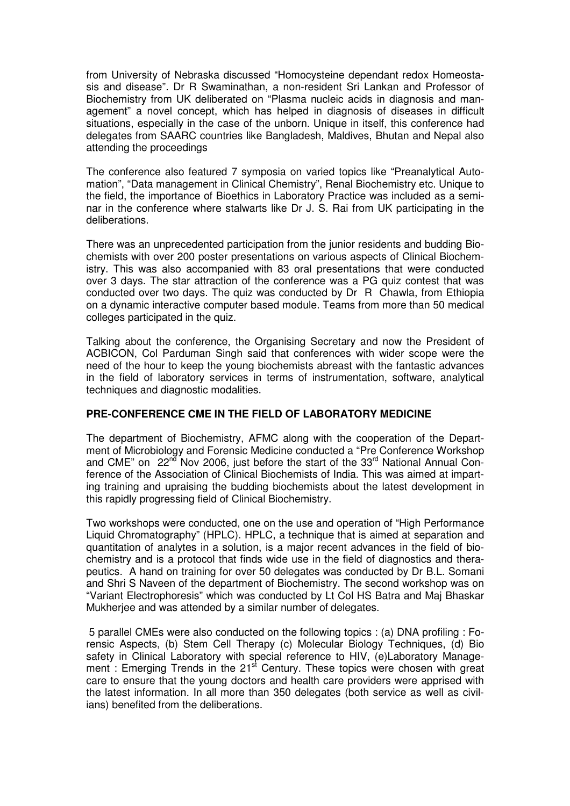from University of Nebraska discussed "Homocysteine dependant redox Homeostasis and disease". Dr R Swaminathan, a non-resident Sri Lankan and Professor of Biochemistry from UK deliberated on "Plasma nucleic acids in diagnosis and management" a novel concept, which has helped in diagnosis of diseases in difficult situations, especially in the case of the unborn. Unique in itself, this conference had delegates from SAARC countries like Bangladesh, Maldives, Bhutan and Nepal also attending the proceedings

The conference also featured 7 symposia on varied topics like "Preanalytical Automation", "Data management in Clinical Chemistry", Renal Biochemistry etc. Unique to the field, the importance of Bioethics in Laboratory Practice was included as a seminar in the conference where stalwarts like Dr J. S. Rai from UK participating in the deliberations.

There was an unprecedented participation from the junior residents and budding Biochemists with over 200 poster presentations on various aspects of Clinical Biochemistry. This was also accompanied with 83 oral presentations that were conducted over 3 days. The star attraction of the conference was a PG quiz contest that was conducted over two days. The quiz was conducted by Dr R Chawla, from Ethiopia on a dynamic interactive computer based module. Teams from more than 50 medical colleges participated in the quiz.

Talking about the conference, the Organising Secretary and now the President of ACBICON, Col Parduman Singh said that conferences with wider scope were the need of the hour to keep the young biochemists abreast with the fantastic advances in the field of laboratory services in terms of instrumentation, software, analytical techniques and diagnostic modalities.

#### **PRE-CONFERENCE CME IN THE FIELD OF LABORATORY MEDICINE**

The department of Biochemistry, AFMC along with the cooperation of the Department of Microbiology and Forensic Medicine conducted a "Pre Conference Workshop and CME" on  $22^{nd}$  Nov 2006, just before the start of the  $33^{rd}$  National Annual Conference of the Association of Clinical Biochemists of India. This was aimed at imparting training and upraising the budding biochemists about the latest development in this rapidly progressing field of Clinical Biochemistry.

Two workshops were conducted, one on the use and operation of "High Performance Liquid Chromatography" (HPLC). HPLC, a technique that is aimed at separation and quantitation of analytes in a solution, is a major recent advances in the field of biochemistry and is a protocol that finds wide use in the field of diagnostics and therapeutics. A hand on training for over 50 delegates was conducted by Dr B.L. Somani and Shri S Naveen of the department of Biochemistry. The second workshop was on "Variant Electrophoresis" which was conducted by Lt Col HS Batra and Maj Bhaskar Mukherjee and was attended by a similar number of delegates.

 5 parallel CMEs were also conducted on the following topics : (a) DNA profiling : Forensic Aspects, (b) Stem Cell Therapy (c) Molecular Biology Techniques, (d) Bio safety in Clinical Laboratory with special reference to HIV, (e)Laboratory Management : Emerging Trends in the  $21<sup>st</sup>$  Century. These topics were chosen with great care to ensure that the young doctors and health care providers were apprised with the latest information. In all more than 350 delegates (both service as well as civilians) benefited from the deliberations.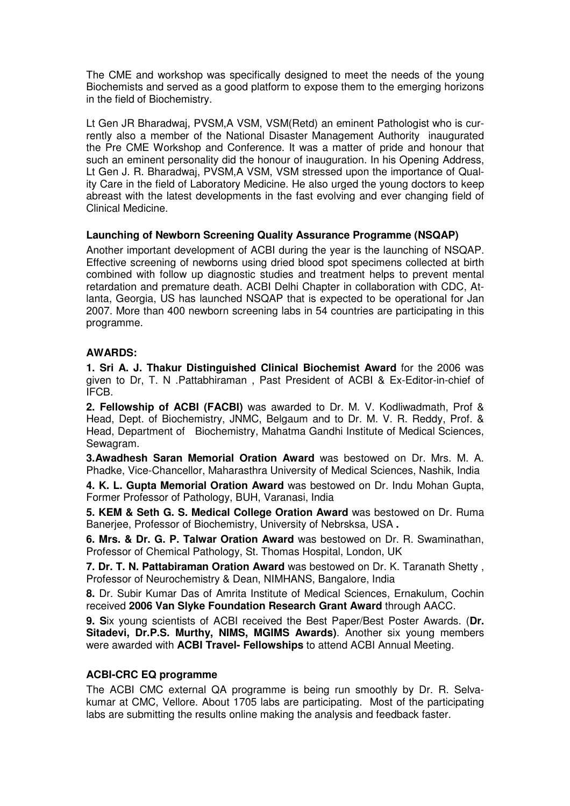The CME and workshop was specifically designed to meet the needs of the young Biochemists and served as a good platform to expose them to the emerging horizons in the field of Biochemistry.

Lt Gen JR Bharadwaj, PVSM,A VSM, VSM(Retd) an eminent Pathologist who is currently also a member of the National Disaster Management Authority inaugurated the Pre CME Workshop and Conference. It was a matter of pride and honour that such an eminent personality did the honour of inauguration. In his Opening Address, Lt Gen J. R. Bharadwaj, PVSM,A VSM, VSM stressed upon the importance of Quality Care in the field of Laboratory Medicine. He also urged the young doctors to keep abreast with the latest developments in the fast evolving and ever changing field of Clinical Medicine.

#### **Launching of Newborn Screening Quality Assurance Programme (NSQAP)**

Another important development of ACBI during the year is the launching of NSQAP. Effective screening of newborns using dried blood spot specimens collected at birth combined with follow up diagnostic studies and treatment helps to prevent mental retardation and premature death. ACBI Delhi Chapter in collaboration with CDC, Atlanta, Georgia, US has launched NSQAP that is expected to be operational for Jan 2007. More than 400 newborn screening labs in 54 countries are participating in this programme.

#### **AWARDS:**

**1. Sri A. J. Thakur Distinguished Clinical Biochemist Award** for the 2006 was given to Dr, T. N .Pattabhiraman , Past President of ACBI & Ex-Editor-in-chief of IFCB.

**2. Fellowship of ACBI (FACBI)** was awarded to Dr. M. V. Kodliwadmath, Prof & Head, Dept. of Biochemistry, JNMC, Belgaum and to Dr. M. V. R. Reddy, Prof. & Head, Department of Biochemistry, Mahatma Gandhi Institute of Medical Sciences, Sewagram.

**3.Awadhesh Saran Memorial Oration Award** was bestowed on Dr. Mrs. M. A. Phadke, Vice-Chancellor, Maharasthra University of Medical Sciences, Nashik, India

**4. K. L. Gupta Memorial Oration Award** was bestowed on Dr. Indu Mohan Gupta, Former Professor of Pathology, BUH, Varanasi, India

**5. KEM & Seth G. S. Medical College Oration Award** was bestowed on Dr. Ruma Banerjee, Professor of Biochemistry, University of Nebrsksa, USA **.** 

**6. Mrs. & Dr. G. P. Talwar Oration Award** was bestowed on Dr. R. Swaminathan, Professor of Chemical Pathology, St. Thomas Hospital, London, UK

**7. Dr. T. N. Pattabiraman Oration Award** was bestowed on Dr. K. Taranath Shetty , Professor of Neurochemistry & Dean, NIMHANS, Bangalore, India

**8.** Dr. Subir Kumar Das of Amrita Institute of Medical Sciences, Ernakulum, Cochin received **2006 Van Slyke Foundation Research Grant Award** through AACC.

**9. S**ix young scientists of ACBI received the Best Paper/Best Poster Awards. (**Dr. Sitadevi, Dr.P.S. Murthy, NIMS, MGIMS Awards)**. Another six young members were awarded with **ACBI Travel- Fellowships** to attend ACBI Annual Meeting.

#### **ACBI-CRC EQ programme**

The ACBI CMC external QA programme is being run smoothly by Dr. R. Selvakumar at CMC, Vellore. About 1705 labs are participating. Most of the participating labs are submitting the results online making the analysis and feedback faster.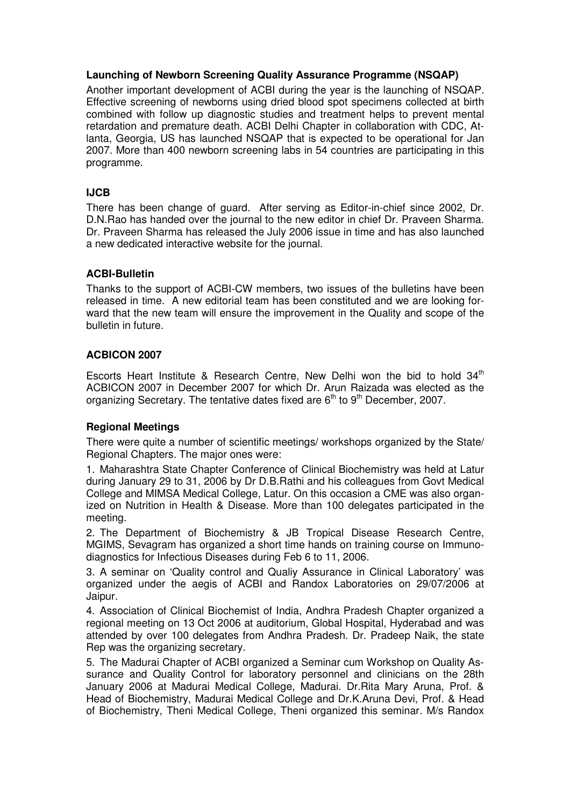#### **Launching of Newborn Screening Quality Assurance Programme (NSQAP)**

Another important development of ACBI during the year is the launching of NSQAP. Effective screening of newborns using dried blood spot specimens collected at birth combined with follow up diagnostic studies and treatment helps to prevent mental retardation and premature death. ACBI Delhi Chapter in collaboration with CDC, Atlanta, Georgia, US has launched NSQAP that is expected to be operational for Jan 2007. More than 400 newborn screening labs in 54 countries are participating in this programme.

#### **IJCB**

There has been change of guard. After serving as Editor-in-chief since 2002, Dr. D.N.Rao has handed over the journal to the new editor in chief Dr. Praveen Sharma. Dr. Praveen Sharma has released the July 2006 issue in time and has also launched a new dedicated interactive website for the journal.

#### **ACBI-Bulletin**

Thanks to the support of ACBI-CW members, two issues of the bulletins have been released in time. A new editorial team has been constituted and we are looking forward that the new team will ensure the improvement in the Quality and scope of the bulletin in future.

#### **ACBICON 2007**

Escorts Heart Institute & Research Centre, New Delhi won the bid to hold  $34<sup>th</sup>$ ACBICON 2007 in December 2007 for which Dr. Arun Raizada was elected as the organizing Secretary. The tentative dates fixed are  $6<sup>th</sup>$  to  $9<sup>th</sup>$  December, 2007.

#### **Regional Meetings**

There were quite a number of scientific meetings/ workshops organized by the State/ Regional Chapters. The major ones were:

1. Maharashtra State Chapter Conference of Clinical Biochemistry was held at Latur during January 29 to 31, 2006 by Dr D.B.Rathi and his colleagues from Govt Medical College and MIMSA Medical College, Latur. On this occasion a CME was also organized on Nutrition in Health & Disease. More than 100 delegates participated in the meeting.

2. The Department of Biochemistry & JB Tropical Disease Research Centre, MGIMS, Sevagram has organized a short time hands on training course on Immunodiagnostics for Infectious Diseases during Feb 6 to 11, 2006.

3. A seminar on 'Quality control and Qualiy Assurance in Clinical Laboratory' was organized under the aegis of ACBI and Randox Laboratories on 29/07/2006 at Jaipur.

4. Association of Clinical Biochemist of India, Andhra Pradesh Chapter organized a regional meeting on 13 Oct 2006 at auditorium, Global Hospital, Hyderabad and was attended by over 100 delegates from Andhra Pradesh. Dr. Pradeep Naik, the state Rep was the organizing secretary.

5. The Madurai Chapter of ACBI organized a Seminar cum Workshop on Quality Assurance and Quality Control for laboratory personnel and clinicians on the 28th January 2006 at Madurai Medical College, Madurai. Dr.Rita Mary Aruna, Prof. & Head of Biochemistry, Madurai Medical College and Dr.K.Aruna Devi, Prof. & Head of Biochemistry, Theni Medical College, Theni organized this seminar. M/s Randox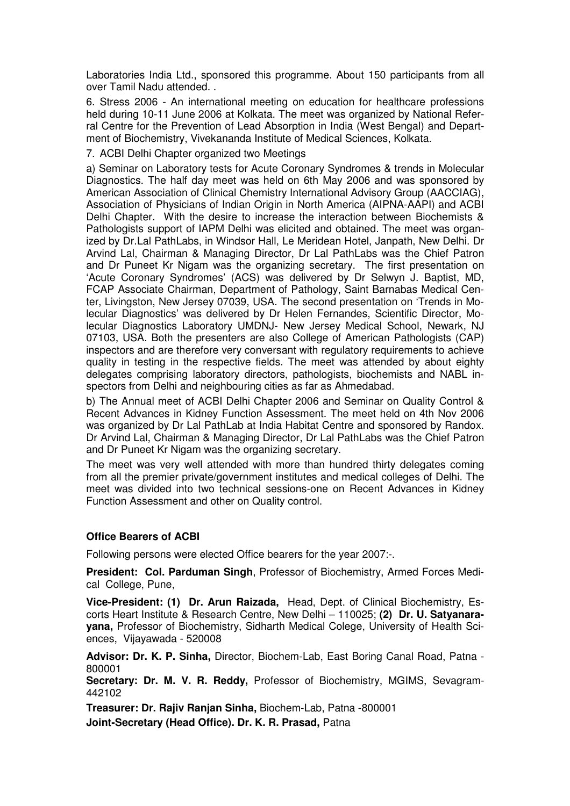Laboratories India Ltd., sponsored this programme. About 150 participants from all over Tamil Nadu attended. .

6. Stress 2006 - An international meeting on education for healthcare professions held during 10-11 June 2006 at Kolkata. The meet was organized by National Referral Centre for the Prevention of Lead Absorption in India (West Bengal) and Department of Biochemistry, Vivekananda Institute of Medical Sciences, Kolkata.

7. ACBI Delhi Chapter organized two Meetings

a) Seminar on Laboratory tests for Acute Coronary Syndromes & trends in Molecular Diagnostics. The half day meet was held on 6th May 2006 and was sponsored by American Association of Clinical Chemistry International Advisory Group (AACCIAG), Association of Physicians of Indian Origin in North America (AIPNA-AAPI) and ACBI Delhi Chapter. With the desire to increase the interaction between Biochemists & Pathologists support of IAPM Delhi was elicited and obtained. The meet was organized by Dr.Lal PathLabs, in Windsor Hall, Le Meridean Hotel, Janpath, New Delhi. Dr Arvind Lal, Chairman & Managing Director, Dr Lal PathLabs was the Chief Patron and Dr Puneet Kr Nigam was the organizing secretary. The first presentation on 'Acute Coronary Syndromes' (ACS) was delivered by Dr Selwyn J. Baptist, MD, FCAP Associate Chairman, Department of Pathology, Saint Barnabas Medical Center, Livingston, New Jersey 07039, USA. The second presentation on 'Trends in Molecular Diagnostics' was delivered by Dr Helen Fernandes, Scientific Director, Molecular Diagnostics Laboratory UMDNJ- New Jersey Medical School, Newark, NJ 07103, USA. Both the presenters are also College of American Pathologists (CAP) inspectors and are therefore very conversant with regulatory requirements to achieve quality in testing in the respective fields. The meet was attended by about eighty delegates comprising laboratory directors, pathologists, biochemists and NABL inspectors from Delhi and neighbouring cities as far as Ahmedabad.

b) The Annual meet of ACBI Delhi Chapter 2006 and Seminar on Quality Control & Recent Advances in Kidney Function Assessment. The meet held on 4th Nov 2006 was organized by Dr Lal PathLab at India Habitat Centre and sponsored by Randox. Dr Arvind Lal, Chairman & Managing Director, Dr Lal PathLabs was the Chief Patron and Dr Puneet Kr Nigam was the organizing secretary.

The meet was very well attended with more than hundred thirty delegates coming from all the premier private/government institutes and medical colleges of Delhi. The meet was divided into two technical sessions-one on Recent Advances in Kidney Function Assessment and other on Quality control.

#### **Office Bearers of ACBI**

Following persons were elected Office bearers for the year 2007:-.

**President: Col. Parduman Singh**, Professor of Biochemistry, Armed Forces Medical College, Pune,

**Vice-President: (1) Dr. Arun Raizada,** Head, Dept. of Clinical Biochemistry, Escorts Heart Institute & Research Centre, New Delhi – 110025; **(2) Dr. U. Satyanarayana,** Professor of Biochemistry, Sidharth Medical Colege, University of Health Sciences, Vijayawada - 520008

**Advisor: Dr. K. P. Sinha,** Director, Biochem-Lab, East Boring Canal Road, Patna - 800001

**Secretary: Dr. M. V. R. Reddy,** Professor of Biochemistry, MGIMS, Sevagram-442102

**Treasurer: Dr. Rajiv Ranjan Sinha,** Biochem-Lab, Patna -800001 **Joint-Secretary (Head Office). Dr. K. R. Prasad,** Patna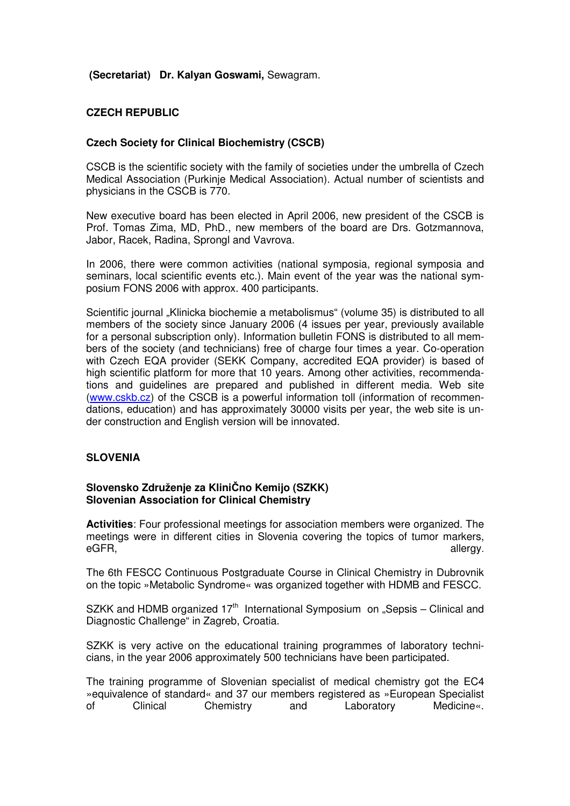#### **(Secretariat) Dr. Kalyan Goswami,** Sewagram.

#### **CZECH REPUBLIC**

#### **Czech Society for Clinical Biochemistry (CSCB)**

CSCB is the scientific society with the family of societies under the umbrella of Czech Medical Association (Purkinje Medical Association). Actual number of scientists and physicians in the CSCB is 770.

New executive board has been elected in April 2006, new president of the CSCB is Prof. Tomas Zima, MD, PhD., new members of the board are Drs. Gotzmannova, Jabor, Racek, Radina, Sprongl and Vavrova.

In 2006, there were common activities (national symposia, regional symposia and seminars, local scientific events etc.). Main event of the year was the national symposium FONS 2006 with approx. 400 participants.

Scientific journal "Klinicka biochemie a metabolismus" (volume 35) is distributed to all members of the society since January 2006 (4 issues per year, previously available for a personal subscription only). Information bulletin FONS is distributed to all members of the society (and technicians) free of charge four times a year. Co-operation with Czech EQA provider (SEKK Company, accredited EQA provider) is based of high scientific platform for more that 10 years. Among other activities, recommendations and guidelines are prepared and published in different media. Web site (www.cskb.cz) of the CSCB is a powerful information toll (information of recommendations, education) and has approximately 30000 visits per year, the web site is under construction and English version will be innovated.

#### **SLOVENIA**

#### **Slovensko Združenje za Klini**Č**no Kemijo (SZKK) Slovenian Association for Clinical Chemistry**

**Activities**: Four professional meetings for association members were organized. The meetings were in different cities in Slovenia covering the topics of tumor markers, eGFR, allergy.

The 6th FESCC Continuous Postgraduate Course in Clinical Chemistry in Dubrovnik on the topic »Metabolic Syndrome« was organized together with HDMB and FESCC.

SZKK and HDMB organized  $17<sup>th</sup>$  International Symposium on "Sepsis – Clinical and Diagnostic Challenge" in Zagreb, Croatia.

SZKK is very active on the educational training programmes of laboratory technicians, in the year 2006 approximately 500 technicians have been participated.

The training programme of Slovenian specialist of medical chemistry got the EC4 »equivalence of standard« and 37 our members registered as »European Specialist of Clinical Chemistry and Laboratory Medicine«.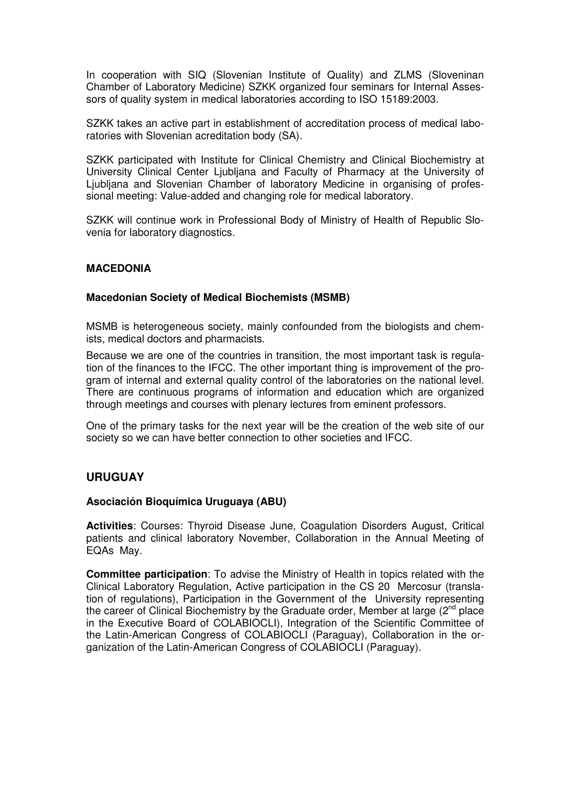In cooperation with SIQ (Slovenian Institute of Quality) and ZLMS (Sloveninan Chamber of Laboratory Medicine) SZKK organized four seminars for Internal Assessors of quality system in medical laboratories according to ISO 15189:2003.

SZKK takes an active part in establishment of accreditation process of medical laboratories with Slovenian acreditation body (SA).

SZKK participated with Institute for Clinical Chemistry and Clinical Biochemistry at University Clinical Center Ljubljana and Faculty of Pharmacy at the University of Ljubljana and Slovenian Chamber of laboratory Medicine in organising of professional meeting: Value-added and changing role for medical laboratory.

SZKK will continue work in Professional Body of Ministry of Health of Republic Slovenia for laboratory diagnostics.

#### **MACEDONIA**

#### **Macedonian Society of Medical Biochemists (MSMB)**

MSMB is heterogeneous society, mainly confounded from the biologists and chemists, medical doctors and pharmacists.

Because we are one of the countries in transition, the most important task is regulation of the finances to the IFCC. The other important thing is improvement of the program of internal and external quality control of the laboratories on the national level. There are continuous programs of information and education which are organized through meetings and courses with plenary lectures from eminent professors.

One of the primary tasks for the next year will be the creation of the web site of our society so we can have better connection to other societies and IFCC.

#### **URUGUAY**

#### **Asociación Bioquímica Uruguaya (ABU)**

**Activities**: Courses: Thyroid Disease June, Coagulation Disorders August, Critical patients and clinical laboratory November, Collaboration in the Annual Meeting of EQAs May.

**Committee participation**: To advise the Ministry of Health in topics related with the Clinical Laboratory Regulation, Active participation in the CS 20 Mercosur (translation of regulations), Participation in the Government of the University representing the career of Clinical Biochemistry by the Graduate order, Member at large  $(2^{nd}$  place in the Executive Board of COLABIOCLI), Integration of the Scientific Committee of the Latin-American Congress of COLABIOCLI (Paraguay), Collaboration in the organization of the Latin-American Congress of COLABIOCLI (Paraguay).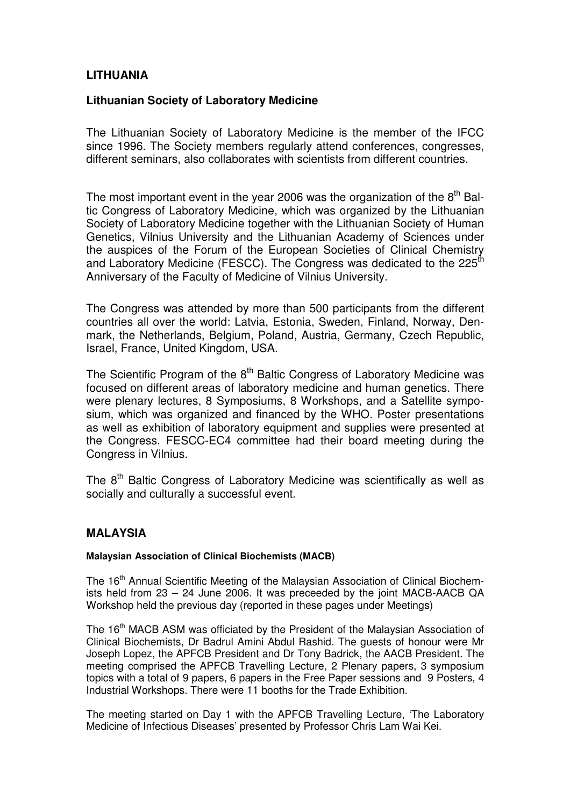## **LITHUANIA**

#### **Lithuanian Society of Laboratory Medicine**

The Lithuanian Society of Laboratory Medicine is the member of the IFCC since 1996. The Society members regularly attend conferences, congresses, different seminars, also collaborates with scientists from different countries.

The most important event in the year 2006 was the organization of the  $8<sup>th</sup>$  Baltic Congress of Laboratory Medicine, which was organized by the Lithuanian Society of Laboratory Medicine together with the Lithuanian Society of Human Genetics, Vilnius University and the Lithuanian Academy of Sciences under the auspices of the Forum of the European Societies of Clinical Chemistry and Laboratory Medicine (FESCC). The Congress was dedicated to the 225<sup>th</sup> Anniversary of the Faculty of Medicine of Vilnius University.

The Congress was attended by more than 500 participants from the different countries all over the world: Latvia, Estonia, Sweden, Finland, Norway, Denmark, the Netherlands, Belgium, Poland, Austria, Germany, Czech Republic, Israel, France, United Kingdom, USA.

The Scientific Program of the  $8<sup>th</sup>$  Baltic Congress of Laboratory Medicine was focused on different areas of laboratory medicine and human genetics. There were plenary lectures, 8 Symposiums, 8 Workshops, and a Satellite symposium, which was organized and financed by the WHO. Poster presentations as well as exhibition of laboratory equipment and supplies were presented at the Congress. FESCC-EC4 committee had their board meeting during the Congress in Vilnius.

The 8<sup>th</sup> Baltic Congress of Laboratory Medicine was scientifically as well as socially and culturally a successful event.

## **MALAYSIA**

#### **Malaysian Association of Clinical Biochemists (MACB)**

The 16<sup>th</sup> Annual Scientific Meeting of the Malaysian Association of Clinical Biochemists held from 23 – 24 June 2006. It was preceeded by the joint MACB-AACB QA Workshop held the previous day (reported in these pages under Meetings)

The 16<sup>th</sup> MACB ASM was officiated by the President of the Malaysian Association of Clinical Biochemists, Dr Badrul Amini Abdul Rashid. The guests of honour were Mr Joseph Lopez, the APFCB President and Dr Tony Badrick, the AACB President. The meeting comprised the APFCB Travelling Lecture, 2 Plenary papers, 3 symposium topics with a total of 9 papers, 6 papers in the Free Paper sessions and 9 Posters, 4 Industrial Workshops. There were 11 booths for the Trade Exhibition.

The meeting started on Day 1 with the APFCB Travelling Lecture, 'The Laboratory Medicine of Infectious Diseases' presented by Professor Chris Lam Wai Kei.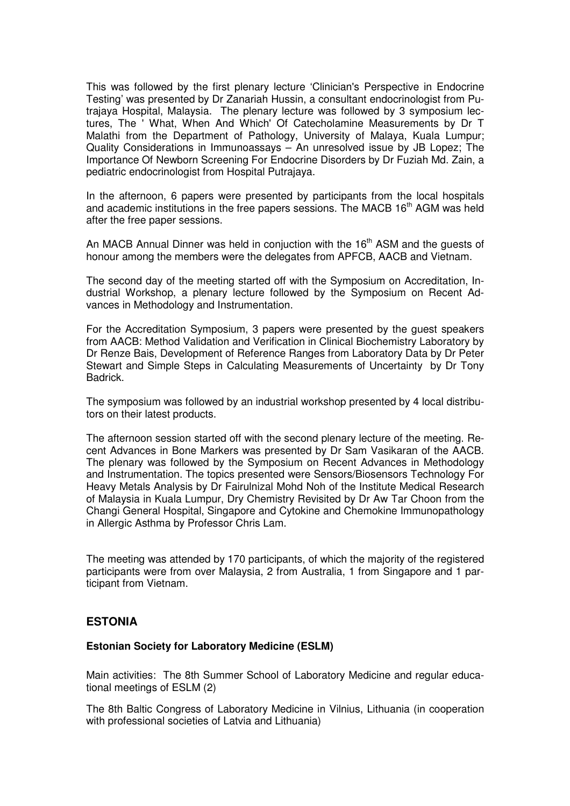This was followed by the first plenary lecture 'Clinician's Perspective in Endocrine Testing' was presented by Dr Zanariah Hussin, a consultant endocrinologist from Putrajaya Hospital, Malaysia. The plenary lecture was followed by 3 symposium lectures, The ' What, When And Which' Of Catecholamine Measurements by Dr T Malathi from the Department of Pathology, University of Malaya, Kuala Lumpur; Quality Considerations in Immunoassays – An unresolved issue by JB Lopez; The Importance Of Newborn Screening For Endocrine Disorders by Dr Fuziah Md. Zain, a pediatric endocrinologist from Hospital Putrajaya.

In the afternoon, 6 papers were presented by participants from the local hospitals and academic institutions in the free papers sessions. The MACB 16<sup>th</sup> AGM was held after the free paper sessions.

An MACB Annual Dinner was held in conjuction with the  $16<sup>th</sup>$  ASM and the quests of honour among the members were the delegates from APFCB, AACB and Vietnam.

The second day of the meeting started off with the Symposium on Accreditation, Industrial Workshop, a plenary lecture followed by the Symposium on Recent Advances in Methodology and Instrumentation.

For the Accreditation Symposium, 3 papers were presented by the guest speakers from AACB: Method Validation and Verification in Clinical Biochemistry Laboratory by Dr Renze Bais, Development of Reference Ranges from Laboratory Data by Dr Peter Stewart and Simple Steps in Calculating Measurements of Uncertainty by Dr Tony Badrick.

The symposium was followed by an industrial workshop presented by 4 local distributors on their latest products.

The afternoon session started off with the second plenary lecture of the meeting. Recent Advances in Bone Markers was presented by Dr Sam Vasikaran of the AACB. The plenary was followed by the Symposium on Recent Advances in Methodology and Instrumentation. The topics presented were Sensors/Biosensors Technology For Heavy Metals Analysis by Dr Fairulnizal Mohd Noh of the Institute Medical Research of Malaysia in Kuala Lumpur, Dry Chemistry Revisited by Dr Aw Tar Choon from the Changi General Hospital, Singapore and Cytokine and Chemokine Immunopathology in Allergic Asthma by Professor Chris Lam.

The meeting was attended by 170 participants, of which the majority of the registered participants were from over Malaysia, 2 from Australia, 1 from Singapore and 1 participant from Vietnam.

#### **ESTONIA**

#### **Estonian Society for Laboratory Medicine (ESLM)**

Main activities: The 8th Summer School of Laboratory Medicine and regular educational meetings of ESLM (2)

The 8th Baltic Congress of Laboratory Medicine in Vilnius, Lithuania (in cooperation with professional societies of Latvia and Lithuania)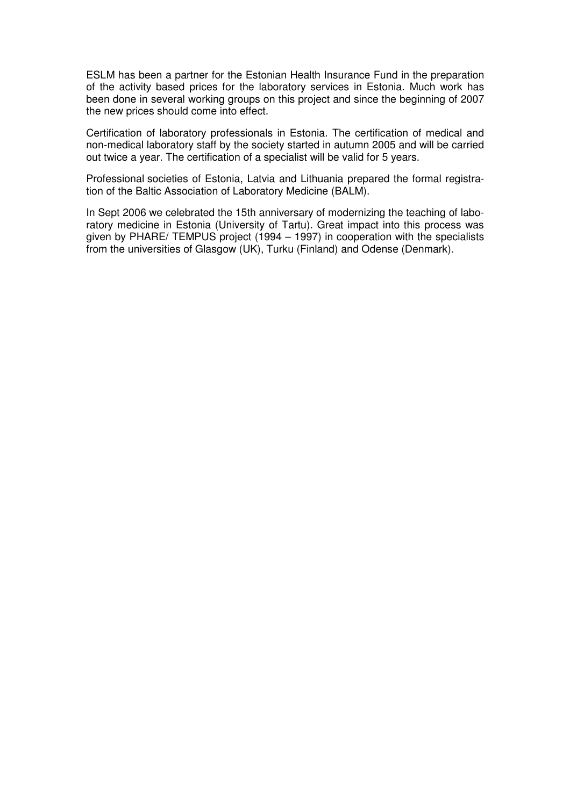ESLM has been a partner for the Estonian Health Insurance Fund in the preparation of the activity based prices for the laboratory services in Estonia. Much work has been done in several working groups on this project and since the beginning of 2007 the new prices should come into effect.

Certification of laboratory professionals in Estonia. The certification of medical and non-medical laboratory staff by the society started in autumn 2005 and will be carried out twice a year. The certification of a specialist will be valid for 5 years.

Professional societies of Estonia, Latvia and Lithuania prepared the formal registration of the Baltic Association of Laboratory Medicine (BALM).

In Sept 2006 we celebrated the 15th anniversary of modernizing the teaching of laboratory medicine in Estonia (University of Tartu). Great impact into this process was given by PHARE/ TEMPUS project (1994 – 1997) in cooperation with the specialists from the universities of Glasgow (UK), Turku (Finland) and Odense (Denmark).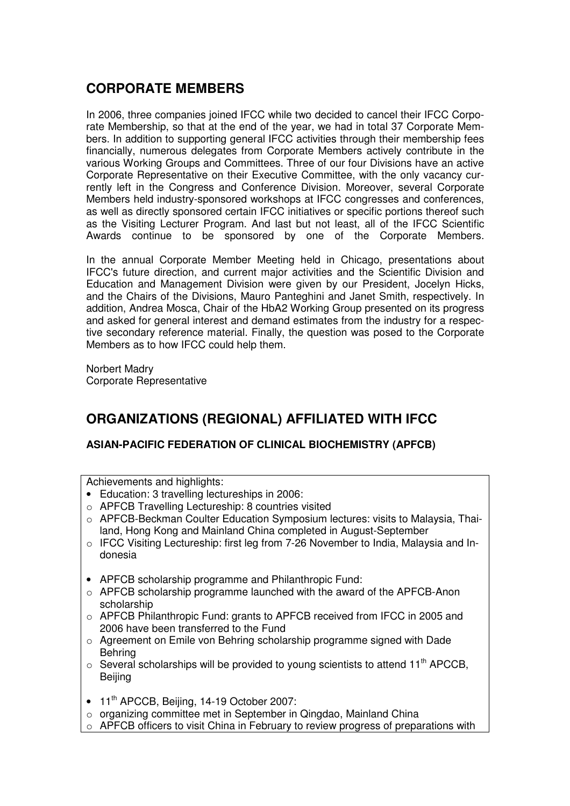# **CORPORATE MEMBERS**

In 2006, three companies joined IFCC while two decided to cancel their IFCC Corporate Membership, so that at the end of the year, we had in total 37 Corporate Members. In addition to supporting general IFCC activities through their membership fees financially, numerous delegates from Corporate Members actively contribute in the various Working Groups and Committees. Three of our four Divisions have an active Corporate Representative on their Executive Committee, with the only vacancy currently left in the Congress and Conference Division. Moreover, several Corporate Members held industry-sponsored workshops at IFCC congresses and conferences, as well as directly sponsored certain IFCC initiatives or specific portions thereof such as the Visiting Lecturer Program. And last but not least, all of the IFCC Scientific Awards continue to be sponsored by one of the Corporate Members.

In the annual Corporate Member Meeting held in Chicago, presentations about IFCC's future direction, and current major activities and the Scientific Division and Education and Management Division were given by our President, Jocelyn Hicks, and the Chairs of the Divisions, Mauro Panteghini and Janet Smith, respectively. In addition, Andrea Mosca, Chair of the HbA2 Working Group presented on its progress and asked for general interest and demand estimates from the industry for a respective secondary reference material. Finally, the question was posed to the Corporate Members as to how IFCC could help them.

Norbert Madry Corporate Representative

# **ORGANIZATIONS (REGIONAL) AFFILIATED WITH IFCC**

#### **ASIAN-PACIFIC FEDERATION OF CLINICAL BIOCHEMISTRY (APFCB)**

Achievements and highlights:

- Education: 3 travelling lectureships in 2006:
- o APFCB Travelling Lectureship: 8 countries visited
- $\circ$  APFCB-Beckman Coulter Education Symposium lectures: visits to Malaysia, Thailand, Hong Kong and Mainland China completed in August-September
- o IFCC Visiting Lectureship: first leg from 7-26 November to India, Malaysia and Indonesia
- APFCB scholarship programme and Philanthropic Fund:
- o APFCB scholarship programme launched with the award of the APFCB-Anon scholarship
- $\circ$  APFCB Philanthropic Fund: grants to APFCB received from IFCC in 2005 and 2006 have been transferred to the Fund
- $\circ$  Agreement on Emile von Behring scholarship programme signed with Dade Behring
- $\circ$  Several scholarships will be provided to young scientists to attend 11<sup>th</sup> APCCB, **Beiling**
- 11<sup>th</sup> APCCB, Beijing, 14-19 October 2007:
- o organizing committee met in September in Qingdao, Mainland China
- o APFCB officers to visit China in February to review progress of preparations with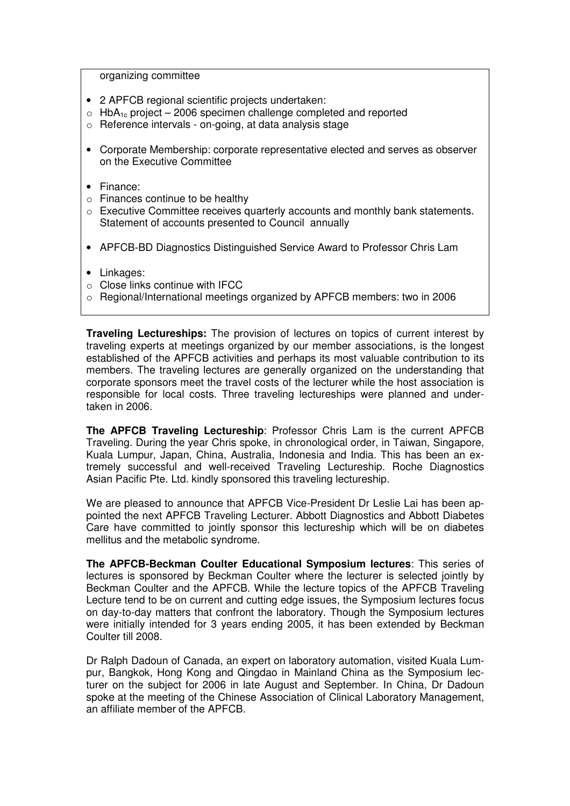organizing committee

- 2 APFCB regional scientific projects undertaken:
- $\circ$  HbA<sub>1c</sub> project 2006 specimen challenge completed and reported
- o Reference intervals on-going, at data analysis stage
- Corporate Membership: corporate representative elected and serves as observer on the Executive Committee
- Finance:
- $\circ$  Finances continue to be healthy
- o Executive Committee receives quarterly accounts and monthly bank statements. Statement of accounts presented to Council annually
- APFCB-BD Diagnostics Distinguished Service Award to Professor Chris Lam
- Linkages:
- o Close links continue with IFCC
- o Regional/International meetings organized by APFCB members: two in 2006

**Traveling Lectureships:** The provision of lectures on topics of current interest by traveling experts at meetings organized by our member associations, is the longest established of the APFCB activities and perhaps its most valuable contribution to its members. The traveling lectures are generally organized on the understanding that corporate sponsors meet the travel costs of the lecturer while the host association is responsible for local costs. Three traveling lectureships were planned and undertaken in 2006.

**The APFCB Traveling Lectureship**: Professor Chris Lam is the current APFCB Traveling. During the year Chris spoke, in chronological order, in Taiwan, Singapore, Kuala Lumpur, Japan, China, Australia, Indonesia and India. This has been an extremely successful and well-received Traveling Lectureship. Roche Diagnostics Asian Pacific Pte. Ltd. kindly sponsored this traveling lectureship.

We are pleased to announce that APFCB Vice-President Dr Leslie Lai has been appointed the next APFCB Traveling Lecturer. Abbott Diagnostics and Abbott Diabetes Care have committed to jointly sponsor this lectureship which will be on diabetes mellitus and the metabolic syndrome.

**The APFCB-Beckman Coulter Educational Symposium lectures**: This series of lectures is sponsored by Beckman Coulter where the lecturer is selected jointly by Beckman Coulter and the APFCB. While the lecture topics of the APFCB Traveling Lecture tend to be on current and cutting edge issues, the Symposium lectures focus on day-to-day matters that confront the laboratory. Though the Symposium lectures were initially intended for 3 years ending 2005, it has been extended by Beckman Coulter till 2008.

Dr Ralph Dadoun of Canada, an expert on laboratory automation, visited Kuala Lumpur, Bangkok, Hong Kong and Qingdao in Mainland China as the Symposium lecturer on the subject for 2006 in late August and September. In China, Dr Dadoun spoke at the meeting of the Chinese Association of Clinical Laboratory Management, an affiliate member of the APFCB.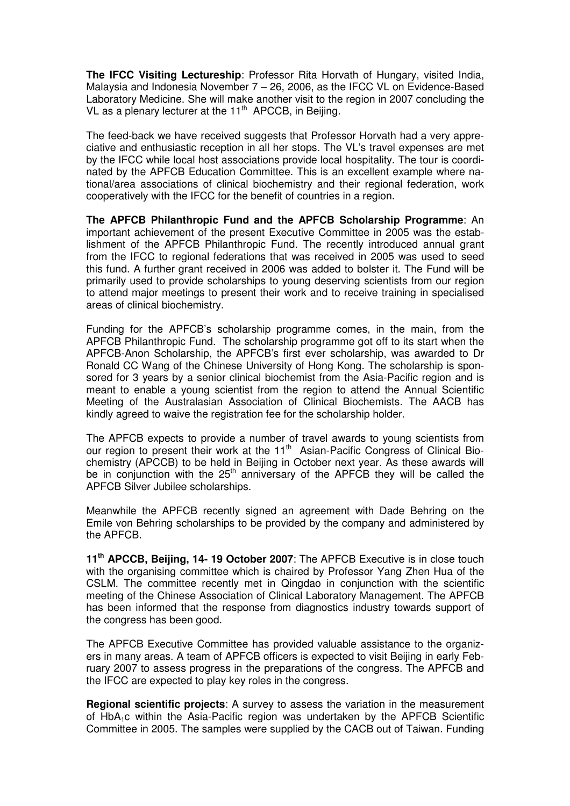**The IFCC Visiting Lectureship**: Professor Rita Horvath of Hungary, visited India, Malaysia and Indonesia November 7 – 26, 2006, as the IFCC VL on Evidence-Based Laboratory Medicine. She will make another visit to the region in 2007 concluding the VL as a plenary lecturer at the  $11<sup>th</sup>$  APCCB, in Beijing.

The feed-back we have received suggests that Professor Horvath had a very appreciative and enthusiastic reception in all her stops. The VL's travel expenses are met by the IFCC while local host associations provide local hospitality. The tour is coordinated by the APFCB Education Committee. This is an excellent example where national/area associations of clinical biochemistry and their regional federation, work cooperatively with the IFCC for the benefit of countries in a region.

**The APFCB Philanthropic Fund and the APFCB Scholarship Programme**: An important achievement of the present Executive Committee in 2005 was the establishment of the APFCB Philanthropic Fund. The recently introduced annual grant from the IFCC to regional federations that was received in 2005 was used to seed this fund. A further grant received in 2006 was added to bolster it. The Fund will be primarily used to provide scholarships to young deserving scientists from our region to attend major meetings to present their work and to receive training in specialised areas of clinical biochemistry.

Funding for the APFCB's scholarship programme comes, in the main, from the APFCB Philanthropic Fund. The scholarship programme got off to its start when the APFCB-Anon Scholarship, the APFCB's first ever scholarship, was awarded to Dr Ronald CC Wang of the Chinese University of Hong Kong. The scholarship is sponsored for 3 years by a senior clinical biochemist from the Asia-Pacific region and is meant to enable a young scientist from the region to attend the Annual Scientific Meeting of the Australasian Association of Clinical Biochemists. The AACB has kindly agreed to waive the registration fee for the scholarship holder.

The APFCB expects to provide a number of travel awards to young scientists from our region to present their work at the 11<sup>th</sup> Asian-Pacific Congress of Clinical Biochemistry (APCCB) to be held in Beijing in October next year. As these awards will be in conjunction with the  $25<sup>th</sup>$  anniversary of the APFCB they will be called the APFCB Silver Jubilee scholarships.

Meanwhile the APFCB recently signed an agreement with Dade Behring on the Emile von Behring scholarships to be provided by the company and administered by the APFCB.

**11th APCCB, Beijing, 14- 19 October 2007**: The APFCB Executive is in close touch with the organising committee which is chaired by Professor Yang Zhen Hua of the CSLM. The committee recently met in Qingdao in conjunction with the scientific meeting of the Chinese Association of Clinical Laboratory Management. The APFCB has been informed that the response from diagnostics industry towards support of the congress has been good.

The APFCB Executive Committee has provided valuable assistance to the organizers in many areas. A team of APFCB officers is expected to visit Beijing in early February 2007 to assess progress in the preparations of the congress. The APFCB and the IFCC are expected to play key roles in the congress.

**Regional scientific projects**: A survey to assess the variation in the measurement of HbA1c within the Asia-Pacific region was undertaken by the APFCB Scientific Committee in 2005. The samples were supplied by the CACB out of Taiwan. Funding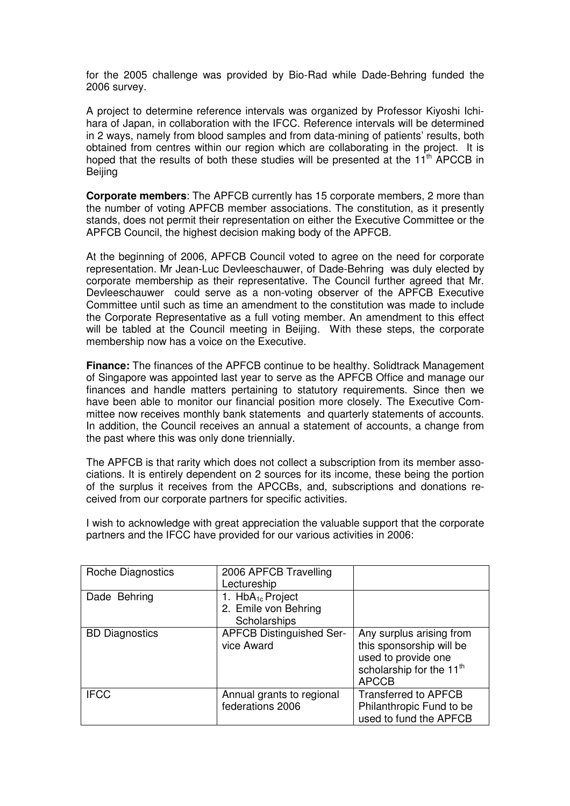for the 2005 challenge was provided by Bio-Rad while Dade-Behring funded the 2006 survey.

A project to determine reference intervals was organized by Professor Kiyoshi Ichihara of Japan, in collaboration with the IFCC. Reference intervals will be determined in 2 ways, namely from blood samples and from data-mining of patients' results, both obtained from centres within our region which are collaborating in the project. It is hoped that the results of both these studies will be presented at the 11<sup>th</sup> APCCB in Beijing

**Corporate members**: The APFCB currently has 15 corporate members, 2 more than the number of voting APFCB member associations. The constitution, as it presently stands, does not permit their representation on either the Executive Committee or the APFCB Council, the highest decision making body of the APFCB.

At the beginning of 2006, APFCB Council voted to agree on the need for corporate representation. Mr Jean-Luc Devleeschauwer, of Dade-Behring was duly elected by corporate membership as their representative. The Council further agreed that Mr. Devleeschauwer could serve as a non-voting observer of the APFCB Executive Committee until such as time an amendment to the constitution was made to include the Corporate Representative as a full voting member. An amendment to this effect will be tabled at the Council meeting in Beijing. With these steps, the corporate membership now has a voice on the Executive.

**Finance:** The finances of the APFCB continue to be healthy. Solidtrack Management of Singapore was appointed last year to serve as the APFCB Office and manage our finances and handle matters pertaining to statutory requirements. Since then we have been able to monitor our financial position more closely. The Executive Committee now receives monthly bank statements and quarterly statements of accounts. In addition, the Council receives an annual a statement of accounts, a change from the past where this was only done triennially.

The APFCB is that rarity which does not collect a subscription from its member associations. It is entirely dependent on 2 sources for its income, these being the portion of the surplus it receives from the APCCBs, and, subscriptions and donations received from our corporate partners for specific activities.

I wish to acknowledge with great appreciation the valuable support that the corporate partners and the IFCC have provided for our various activities in 2006:

| Roche Diagnostics     | 2006 APFCB Travelling           |                                      |
|-----------------------|---------------------------------|--------------------------------------|
|                       | Lectureship                     |                                      |
| Dade Behring          | 1. $HbA_{1c}$ Project           |                                      |
|                       | 2. Emile von Behring            |                                      |
|                       | Scholarships                    |                                      |
| <b>BD</b> Diagnostics | <b>APFCB Distinguished Ser-</b> | Any surplus arising from             |
|                       | vice Award                      | this sponsorship will be             |
|                       |                                 | used to provide one                  |
|                       |                                 | scholarship for the 11 <sup>th</sup> |
|                       |                                 | <b>APCCB</b>                         |
| <b>IFCC</b>           | Annual grants to regional       | <b>Transferred to APFCB</b>          |
|                       | federations 2006                | Philanthropic Fund to be             |
|                       |                                 | used to fund the APFCB               |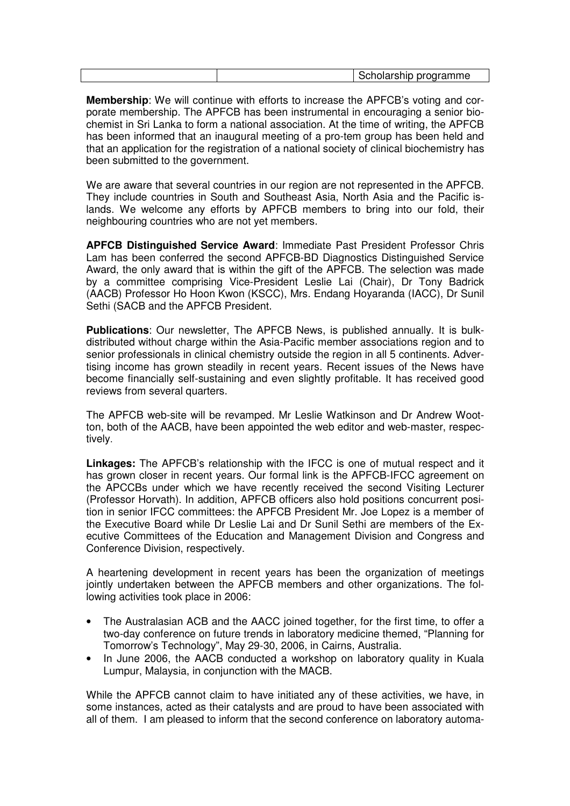|  |  | programma<br>וו<br>٦r<br>annue<br>'ت<br>. |
|--|--|-------------------------------------------|
|--|--|-------------------------------------------|

**Membership**: We will continue with efforts to increase the APFCB's voting and corporate membership. The APFCB has been instrumental in encouraging a senior biochemist in Sri Lanka to form a national association. At the time of writing, the APFCB has been informed that an inaugural meeting of a pro-tem group has been held and that an application for the registration of a national society of clinical biochemistry has been submitted to the government.

We are aware that several countries in our region are not represented in the APFCB. They include countries in South and Southeast Asia, North Asia and the Pacific islands. We welcome any efforts by APFCB members to bring into our fold, their neighbouring countries who are not yet members.

**APFCB Distinguished Service Award**: Immediate Past President Professor Chris Lam has been conferred the second APFCB-BD Diagnostics Distinguished Service Award, the only award that is within the gift of the APFCB. The selection was made by a committee comprising Vice-President Leslie Lai (Chair), Dr Tony Badrick (AACB) Professor Ho Hoon Kwon (KSCC), Mrs. Endang Hoyaranda (IACC), Dr Sunil Sethi (SACB and the APFCB President.

**Publications**: Our newsletter, The APFCB News, is published annually. It is bulkdistributed without charge within the Asia-Pacific member associations region and to senior professionals in clinical chemistry outside the region in all 5 continents. Advertising income has grown steadily in recent years. Recent issues of the News have become financially self-sustaining and even slightly profitable. It has received good reviews from several quarters.

The APFCB web-site will be revamped. Mr Leslie Watkinson and Dr Andrew Wootton, both of the AACB, have been appointed the web editor and web-master, respectively.

**Linkages:** The APFCB's relationship with the IFCC is one of mutual respect and it has grown closer in recent years. Our formal link is the APFCB-IFCC agreement on the APCCBs under which we have recently received the second Visiting Lecturer (Professor Horvath). In addition, APFCB officers also hold positions concurrent position in senior IFCC committees: the APFCB President Mr. Joe Lopez is a member of the Executive Board while Dr Leslie Lai and Dr Sunil Sethi are members of the Executive Committees of the Education and Management Division and Congress and Conference Division, respectively.

A heartening development in recent years has been the organization of meetings jointly undertaken between the APFCB members and other organizations. The following activities took place in 2006:

- The Australasian ACB and the AACC joined together, for the first time, to offer a two-day conference on future trends in laboratory medicine themed, "Planning for Tomorrow's Technology", May 29-30, 2006, in Cairns, Australia.
- In June 2006, the AACB conducted a workshop on laboratory quality in Kuala Lumpur, Malaysia, in conjunction with the MACB.

While the APFCB cannot claim to have initiated any of these activities, we have, in some instances, acted as their catalysts and are proud to have been associated with all of them. I am pleased to inform that the second conference on laboratory automa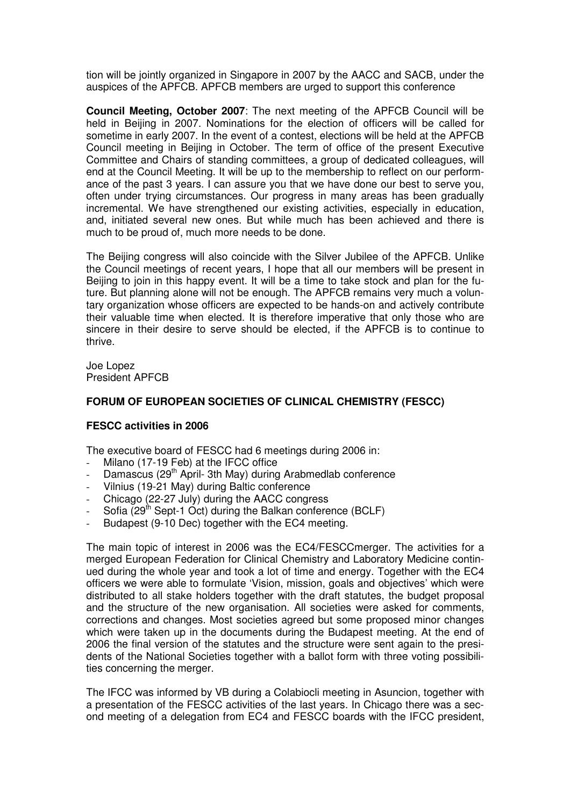tion will be jointly organized in Singapore in 2007 by the AACC and SACB, under the auspices of the APFCB. APFCB members are urged to support this conference

**Council Meeting, October 2007**: The next meeting of the APFCB Council will be held in Beijing in 2007. Nominations for the election of officers will be called for sometime in early 2007. In the event of a contest, elections will be held at the APFCB Council meeting in Beijing in October. The term of office of the present Executive Committee and Chairs of standing committees, a group of dedicated colleagues, will end at the Council Meeting. It will be up to the membership to reflect on our performance of the past 3 years. I can assure you that we have done our best to serve you, often under trying circumstances. Our progress in many areas has been gradually incremental. We have strengthened our existing activities, especially in education, and, initiated several new ones. But while much has been achieved and there is much to be proud of, much more needs to be done.

The Beijing congress will also coincide with the Silver Jubilee of the APFCB. Unlike the Council meetings of recent years, I hope that all our members will be present in Beijing to join in this happy event. It will be a time to take stock and plan for the future. But planning alone will not be enough. The APFCB remains very much a voluntary organization whose officers are expected to be hands-on and actively contribute their valuable time when elected. It is therefore imperative that only those who are sincere in their desire to serve should be elected, if the APFCB is to continue to thrive.

Joe Lopez President APFCB

#### **FORUM OF EUROPEAN SOCIETIES OF CLINICAL CHEMISTRY (FESCC)**

#### **FESCC activities in 2006**

The executive board of FESCC had 6 meetings during 2006 in:

- Milano (17-19 Feb) at the IFCC office
- Damascus (29<sup>th</sup> April- 3th May) during Arabmedlab conference
- Vilnius (19-21 May) during Baltic conference
- Chicago (22-27 July) during the AACC congress
- Sofia  $(29<sup>th</sup>$  Sept-1 Oct) during the Balkan conference (BCLF)
- Budapest (9-10 Dec) together with the EC4 meeting.

The main topic of interest in 2006 was the EC4/FESCCmerger. The activities for a merged European Federation for Clinical Chemistry and Laboratory Medicine continued during the whole year and took a lot of time and energy. Together with the EC4 officers we were able to formulate 'Vision, mission, goals and objectives' which were distributed to all stake holders together with the draft statutes, the budget proposal and the structure of the new organisation. All societies were asked for comments, corrections and changes. Most societies agreed but some proposed minor changes which were taken up in the documents during the Budapest meeting. At the end of 2006 the final version of the statutes and the structure were sent again to the presidents of the National Societies together with a ballot form with three voting possibilities concerning the merger.

The IFCC was informed by VB during a Colabiocli meeting in Asuncion, together with a presentation of the FESCC activities of the last years. In Chicago there was a second meeting of a delegation from EC4 and FESCC boards with the IFCC president,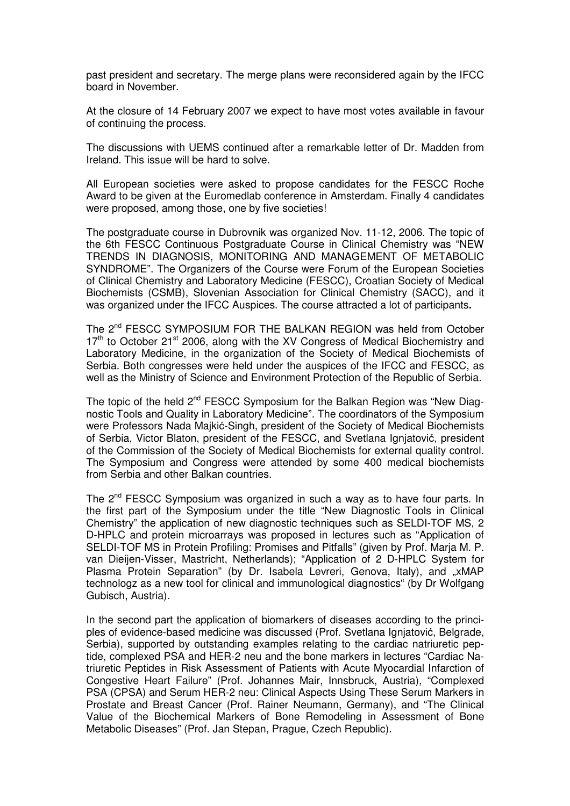past president and secretary. The merge plans were reconsidered again by the IFCC board in November.

At the closure of 14 February 2007 we expect to have most votes available in favour of continuing the process.

The discussions with UEMS continued after a remarkable letter of Dr. Madden from Ireland. This issue will be hard to solve.

All European societies were asked to propose candidates for the FESCC Roche Award to be given at the Euromedlab conference in Amsterdam. Finally 4 candidates were proposed, among those, one by five societies!

The postgraduate course in Dubrovnik was organized Nov. 11-12, 2006. The topic of the 6th FESCC Continuous Postgraduate Course in Clinical Chemistry was "NEW TRENDS IN DIAGNOSIS, MONITORING AND MANAGEMENT OF METABOLIC SYNDROME". The Organizers of the Course were Forum of the European Societies of Clinical Chemistry and Laboratory Medicine (FESCC), Croatian Society of Medical Biochemists (CSMB), Slovenian Association for Clinical Chemistry (SACC), and it was organized under the IFCC Auspices. The course attracted a lot of participants**.**

The 2<sup>nd</sup> FESCC SYMPOSIUM FOR THE BALKAN REGION was held from October  $17<sup>th</sup>$  to October 21<sup>st</sup> 2006, along with the XV Congress of Medical Biochemistry and Laboratory Medicine, in the organization of the Society of Medical Biochemists of Serbia. Both congresses were held under the auspices of the IFCC and FESCC, as well as the Ministry of Science and Environment Protection of the Republic of Serbia.

The topic of the held 2<sup>nd</sup> FESCC Symposium for the Balkan Region was "New Diagnostic Tools and Quality in Laboratory Medicine". The coordinators of the Symposium were Professors Nada Majkić-Singh, president of the Society of Medical Biochemists of Serbia, Victor Blaton, president of the FESCC, and Svetlana Ignjatović, president of the Commission of the Society of Medical Biochemists for external quality control. The Symposium and Congress were attended by some 400 medical biochemists from Serbia and other Balkan countries.

The 2<sup>nd</sup> FESCC Symposium was organized in such a way as to have four parts. In the first part of the Symposium under the title "New Diagnostic Tools in Clinical Chemistry" the application of new diagnostic techniques such as SELDI-TOF MS, 2 D-HPLC and protein microarrays was proposed in lectures such as "Application of SELDI-TOF MS in Protein Profiling: Promises and Pitfalls" (given by Prof. Marja M. P. van Dieijen-Visser, Mastricht, Netherlands); "Application of 2 D-HPLC System for Plasma Protein Separation" (by Dr. Isabela Levreri, Genova, Italy), and .xMAP technologz as a new tool for clinical and immunological diagnostics" (by Dr Wolfgang Gubisch, Austria).

In the second part the application of biomarkers of diseases according to the principles of evidence-based medicine was discussed (Prof. Svetlana Ignjatović, Belgrade, Serbia), supported by outstanding examples relating to the cardiac natriuretic peptide, complexed PSA and HER-2 neu and the bone markers in lectures "Cardiac Natriuretic Peptides in Risk Assessment of Patients with Acute Myocardial Infarction of Congestive Heart Failure" (Prof. Johannes Mair, Innsbruck, Austria), "Complexed PSA (CPSA) and Serum HER-2 neu: Clinical Aspects Using These Serum Markers in Prostate and Breast Cancer (Prof. Rainer Neumann, Germany), and "The Clinical Value of the Biochemical Markers of Bone Remodeling in Assessment of Bone Metabolic Diseases" (Prof. Jan Stepan, Prague, Czech Republic).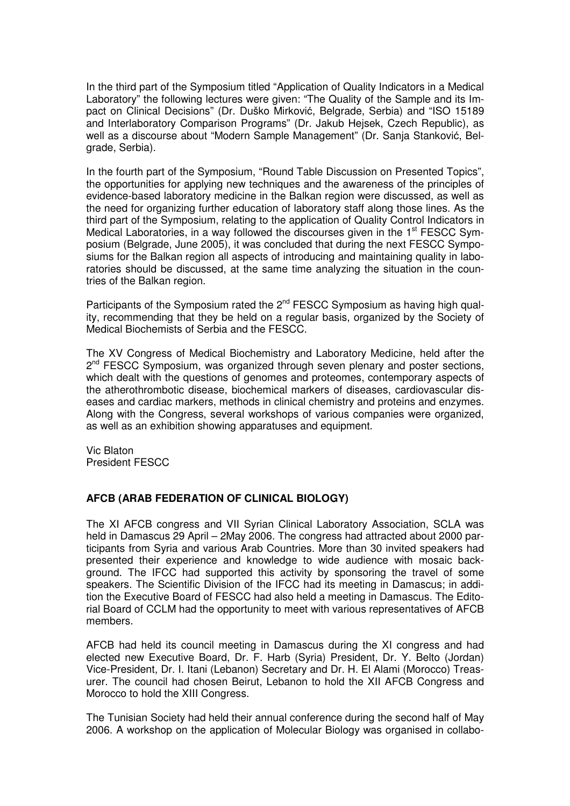In the third part of the Symposium titled "Application of Quality Indicators in a Medical Laboratory" the following lectures were given: "The Quality of the Sample and its Impact on Clinical Decisions" (Dr. Duško Mirković, Belgrade, Serbia) and "ISO 15189 and Interlaboratory Comparison Programs" (Dr. Jakub Hejsek, Czech Republic), as well as a discourse about "Modern Sample Management" (Dr. Sanja Stanković, Belgrade, Serbia).

In the fourth part of the Symposium, "Round Table Discussion on Presented Topics", the opportunities for applying new techniques and the awareness of the principles of evidence-based laboratory medicine in the Balkan region were discussed, as well as the need for organizing further education of laboratory staff along those lines. As the third part of the Symposium, relating to the application of Quality Control Indicators in Medical Laboratories, in a way followed the discourses given in the  $1<sup>st</sup>$  FESCC Symposium (Belgrade, June 2005), it was concluded that during the next FESCC Symposiums for the Balkan region all aspects of introducing and maintaining quality in laboratories should be discussed, at the same time analyzing the situation in the countries of the Balkan region.

Participants of the Symposium rated the  $2^{nd}$  FESCC Symposium as having high quality, recommending that they be held on a regular basis, organized by the Society of Medical Biochemists of Serbia and the FESCC.

The XV Congress of Medical Biochemistry and Laboratory Medicine, held after the 2<sup>nd</sup> FESCC Symposium, was organized through seven plenary and poster sections, which dealt with the questions of genomes and proteomes, contemporary aspects of the atherothrombotic disease, biochemical markers of diseases, cardiovascular diseases and cardiac markers, methods in clinical chemistry and proteins and enzymes. Along with the Congress, several workshops of various companies were organized, as well as an exhibition showing apparatuses and equipment.

Vic Blaton President FESCC

#### **AFCB (ARAB FEDERATION OF CLINICAL BIOLOGY)**

The XI AFCB congress and VII Syrian Clinical Laboratory Association, SCLA was held in Damascus 29 April – 2May 2006. The congress had attracted about 2000 participants from Syria and various Arab Countries. More than 30 invited speakers had presented their experience and knowledge to wide audience with mosaic background. The IFCC had supported this activity by sponsoring the travel of some speakers. The Scientific Division of the IFCC had its meeting in Damascus; in addition the Executive Board of FESCC had also held a meeting in Damascus. The Editorial Board of CCLM had the opportunity to meet with various representatives of AFCB members.

AFCB had held its council meeting in Damascus during the XI congress and had elected new Executive Board, Dr. F. Harb (Syria) President, Dr. Y. Belto (Jordan) Vice-President, Dr. I. Itani (Lebanon) Secretary and Dr. H. El Alami (Morocco) Treasurer. The council had chosen Beirut, Lebanon to hold the XII AFCB Congress and Morocco to hold the XIII Congress.

The Tunisian Society had held their annual conference during the second half of May 2006. A workshop on the application of Molecular Biology was organised in collabo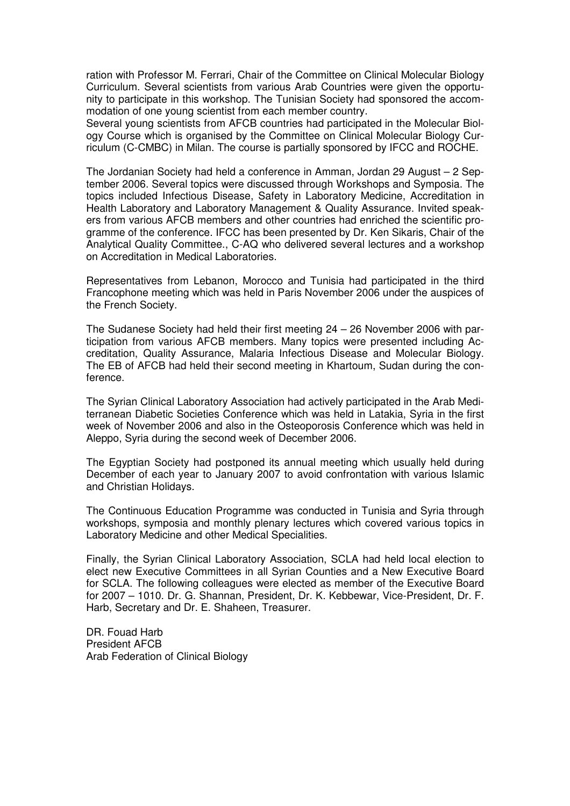ration with Professor M. Ferrari, Chair of the Committee on Clinical Molecular Biology Curriculum. Several scientists from various Arab Countries were given the opportunity to participate in this workshop. The Tunisian Society had sponsored the accommodation of one young scientist from each member country.

Several young scientists from AFCB countries had participated in the Molecular Biology Course which is organised by the Committee on Clinical Molecular Biology Curriculum (C-CMBC) in Milan. The course is partially sponsored by IFCC and ROCHE.

The Jordanian Society had held a conference in Amman, Jordan 29 August – 2 September 2006. Several topics were discussed through Workshops and Symposia. The topics included Infectious Disease, Safety in Laboratory Medicine, Accreditation in Health Laboratory and Laboratory Management & Quality Assurance. Invited speakers from various AFCB members and other countries had enriched the scientific programme of the conference. IFCC has been presented by Dr. Ken Sikaris, Chair of the Analytical Quality Committee., C-AQ who delivered several lectures and a workshop on Accreditation in Medical Laboratories.

Representatives from Lebanon, Morocco and Tunisia had participated in the third Francophone meeting which was held in Paris November 2006 under the auspices of the French Society.

The Sudanese Society had held their first meeting 24 – 26 November 2006 with participation from various AFCB members. Many topics were presented including Accreditation, Quality Assurance, Malaria Infectious Disease and Molecular Biology. The EB of AFCB had held their second meeting in Khartoum, Sudan during the conference.

The Syrian Clinical Laboratory Association had actively participated in the Arab Mediterranean Diabetic Societies Conference which was held in Latakia, Syria in the first week of November 2006 and also in the Osteoporosis Conference which was held in Aleppo, Syria during the second week of December 2006.

The Egyptian Society had postponed its annual meeting which usually held during December of each year to January 2007 to avoid confrontation with various Islamic and Christian Holidays.

The Continuous Education Programme was conducted in Tunisia and Syria through workshops, symposia and monthly plenary lectures which covered various topics in Laboratory Medicine and other Medical Specialities.

Finally, the Syrian Clinical Laboratory Association, SCLA had held local election to elect new Executive Committees in all Syrian Counties and a New Executive Board for SCLA. The following colleagues were elected as member of the Executive Board for 2007 – 1010. Dr. G. Shannan, President, Dr. K. Kebbewar, Vice-President, Dr. F. Harb, Secretary and Dr. E. Shaheen, Treasurer.

DR. Fouad Harb President AFCB Arab Federation of Clinical Biology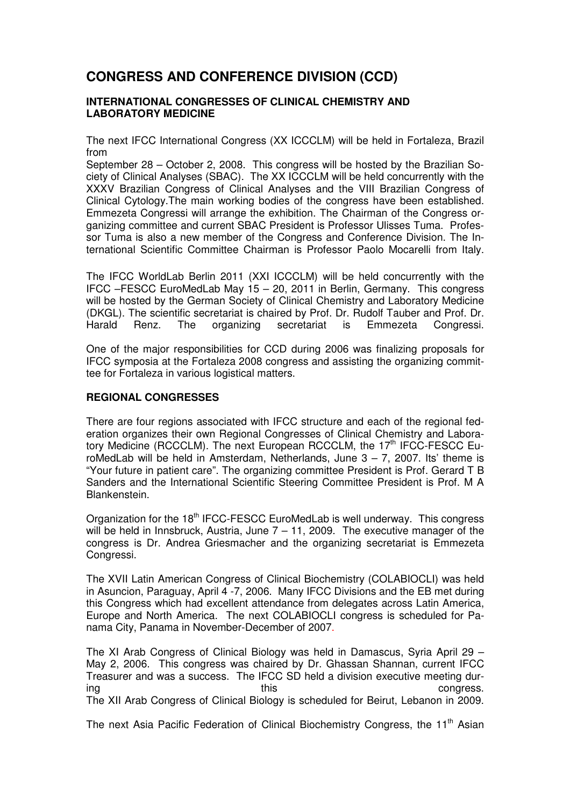# **CONGRESS AND CONFERENCE DIVISION (CCD)**

#### **INTERNATIONAL CONGRESSES OF CLINICAL CHEMISTRY AND LABORATORY MEDICINE**

The next IFCC International Congress (XX ICCCLM) will be held in Fortaleza, Brazil from

September 28 – October 2, 2008. This congress will be hosted by the Brazilian Society of Clinical Analyses (SBAC). The XX ICCCLM will be held concurrently with the XXXV Brazilian Congress of Clinical Analyses and the VIII Brazilian Congress of Clinical Cytology.The main working bodies of the congress have been established. Emmezeta Congressi will arrange the exhibition. The Chairman of the Congress organizing committee and current SBAC President is Professor Ulisses Tuma. Professor Tuma is also a new member of the Congress and Conference Division. The International Scientific Committee Chairman is Professor Paolo Mocarelli from Italy.

The IFCC WorldLab Berlin 2011 (XXI ICCCLM) will be held concurrently with the IFCC –FESCC EuroMedLab May 15 – 20, 2011 in Berlin, Germany. This congress will be hosted by the German Society of Clinical Chemistry and Laboratory Medicine (DKGL). The scientific secretariat is chaired by Prof. Dr. Rudolf Tauber and Prof. Dr. Harald Renz. The organizing secretariat is Emmezeta Congressi.

One of the major responsibilities for CCD during 2006 was finalizing proposals for IFCC symposia at the Fortaleza 2008 congress and assisting the organizing committee for Fortaleza in various logistical matters.

#### **REGIONAL CONGRESSES**

There are four regions associated with IFCC structure and each of the regional federation organizes their own Regional Congresses of Clinical Chemistry and Laboratory Medicine (RCCCLM). The next European RCCCLM, the 17<sup>th</sup> IFCC-FESCC EuroMedLab will be held in Amsterdam, Netherlands, June  $3 - 7$ , 2007. Its' theme is "Your future in patient care". The organizing committee President is Prof. Gerard T B Sanders and the International Scientific Steering Committee President is Prof. M A Blankenstein.

Organization for the 18<sup>th</sup> IFCC-FESCC EuroMedLab is well underway. This congress will be held in Innsbruck, Austria, June  $7 - 11$ , 2009. The executive manager of the congress is Dr. Andrea Griesmacher and the organizing secretariat is Emmezeta Congressi.

The XVII Latin American Congress of Clinical Biochemistry (COLABIOCLI) was held in Asuncion, Paraguay, April 4 -7, 2006. Many IFCC Divisions and the EB met during this Congress which had excellent attendance from delegates across Latin America, Europe and North America. The next COLABIOCLI congress is scheduled for Panama City, Panama in November-December of 2007.

The XI Arab Congress of Clinical Biology was held in Damascus, Syria April 29 – May 2, 2006. This congress was chaired by Dr. Ghassan Shannan, current IFCC Treasurer and was a success. The IFCC SD held a division executive meeting during this this congress. The XII Arab Congress of Clinical Biology is scheduled for Beirut, Lebanon in 2009.

The next Asia Pacific Federation of Clinical Biochemistry Congress, the 11<sup>th</sup> Asian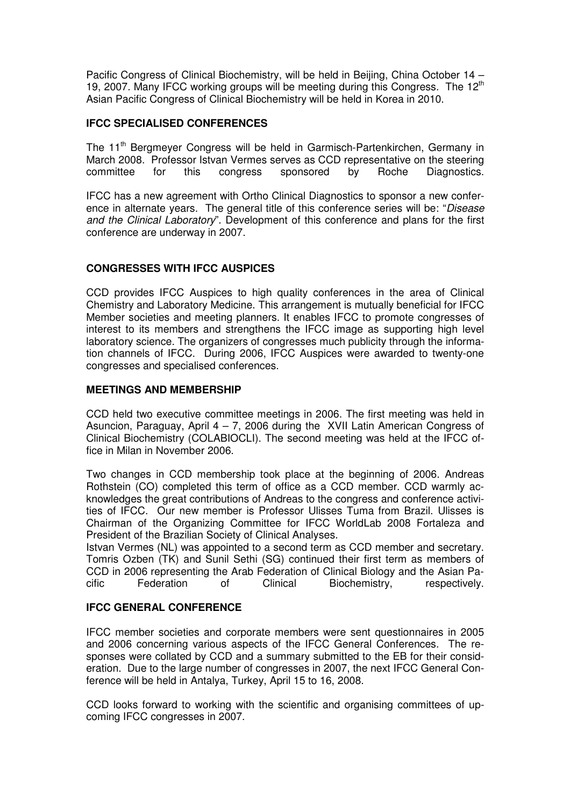Pacific Congress of Clinical Biochemistry, will be held in Beijing, China October 14 – 19, 2007. Many IFCC working groups will be meeting during this Congress. The  $12<sup>th</sup>$ Asian Pacific Congress of Clinical Biochemistry will be held in Korea in 2010.

#### **IFCC SPECIALISED CONFERENCES**

The 11<sup>th</sup> Bergmeyer Congress will be held in Garmisch-Partenkirchen, Germany in March 2008. Professor Istvan Vermes serves as CCD representative on the steering committee for this congress sponsored by Roche Diagnostics.

IFCC has a new agreement with Ortho Clinical Diagnostics to sponsor a new conference in alternate years. The general title of this conference series will be: "Disease and the Clinical Laboratory". Development of this conference and plans for the first conference are underway in 2007.

#### **CONGRESSES WITH IFCC AUSPICES**

CCD provides IFCC Auspices to high quality conferences in the area of Clinical Chemistry and Laboratory Medicine. This arrangement is mutually beneficial for IFCC Member societies and meeting planners. It enables IFCC to promote congresses of interest to its members and strengthens the IFCC image as supporting high level laboratory science. The organizers of congresses much publicity through the information channels of IFCC. During 2006, IFCC Auspices were awarded to twenty-one congresses and specialised conferences.

#### **MEETINGS AND MEMBERSHIP**

CCD held two executive committee meetings in 2006. The first meeting was held in Asuncion, Paraguay, April 4 – 7, 2006 during the XVII Latin American Congress of Clinical Biochemistry (COLABIOCLI). The second meeting was held at the IFCC office in Milan in November 2006.

Two changes in CCD membership took place at the beginning of 2006. Andreas Rothstein (CO) completed this term of office as a CCD member. CCD warmly acknowledges the great contributions of Andreas to the congress and conference activities of IFCC. Our new member is Professor Ulisses Tuma from Brazil. Ulisses is Chairman of the Organizing Committee for IFCC WorldLab 2008 Fortaleza and President of the Brazilian Society of Clinical Analyses.

Istvan Vermes (NL) was appointed to a second term as CCD member and secretary. Tomris Ozben (TK) and Sunil Sethi (SG) continued their first term as members of CCD in 2006 representing the Arab Federation of Clinical Biology and the Asian Pacific Federation of Clinical Biochemistry, respectively.

#### **IFCC GENERAL CONFERENCE**

IFCC member societies and corporate members were sent questionnaires in 2005 and 2006 concerning various aspects of the IFCC General Conferences. The responses were collated by CCD and a summary submitted to the EB for their consideration. Due to the large number of congresses in 2007, the next IFCC General Conference will be held in Antalya, Turkey, April 15 to 16, 2008.

CCD looks forward to working with the scientific and organising committees of upcoming IFCC congresses in 2007.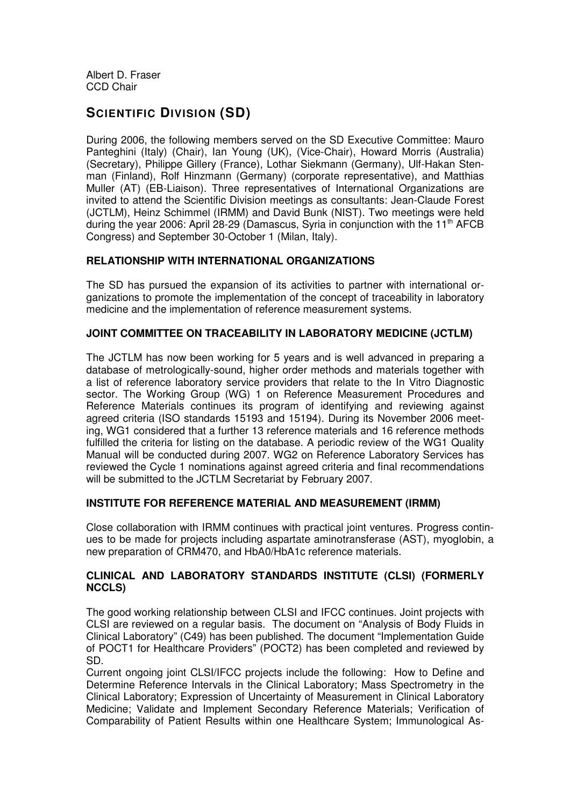Albert D. Fraser CCD Chair

# **SCIENTIFIC DIVISION (SD)**

During 2006, the following members served on the SD Executive Committee: Mauro Panteghini (Italy) (Chair), Ian Young (UK), (Vice-Chair), Howard Morris (Australia) (Secretary), Philippe Gillery (France), Lothar Siekmann (Germany), Ulf-Hakan Stenman (Finland), Rolf Hinzmann (Germany) (corporate representative), and Matthias Muller (AT) (EB-Liaison). Three representatives of International Organizations are invited to attend the Scientific Division meetings as consultants: Jean-Claude Forest (JCTLM), Heinz Schimmel (IRMM) and David Bunk (NIST). Two meetings were held during the year 2006: April 28-29 (Damascus, Syria in conjunction with the 11<sup>th</sup> AFCB Congress) and September 30-October 1 (Milan, Italy).

#### **RELATIONSHIP WITH INTERNATIONAL ORGANIZATIONS**

The SD has pursued the expansion of its activities to partner with international organizations to promote the implementation of the concept of traceability in laboratory medicine and the implementation of reference measurement systems.

#### **JOINT COMMITTEE ON TRACEABILITY IN LABORATORY MEDICINE (JCTLM)**

The JCTLM has now been working for 5 years and is well advanced in preparing a database of metrologically-sound, higher order methods and materials together with a list of reference laboratory service providers that relate to the In Vitro Diagnostic sector. The Working Group (WG) 1 on Reference Measurement Procedures and Reference Materials continues its program of identifying and reviewing against agreed criteria (ISO standards 15193 and 15194). During its November 2006 meeting, WG1 considered that a further 13 reference materials and 16 reference methods fulfilled the criteria for listing on the database. A periodic review of the WG1 Quality Manual will be conducted during 2007. WG2 on Reference Laboratory Services has reviewed the Cycle 1 nominations against agreed criteria and final recommendations will be submitted to the JCTLM Secretariat by February 2007.

#### **INSTITUTE FOR REFERENCE MATERIAL AND MEASUREMENT (IRMM)**

Close collaboration with IRMM continues with practical joint ventures. Progress continues to be made for projects including aspartate aminotransferase (AST), myoglobin, a new preparation of CRM470, and HbA0/HbA1c reference materials.

#### **CLINICAL AND LABORATORY STANDARDS INSTITUTE (CLSI) (FORMERLY NCCLS)**

The good working relationship between CLSI and IFCC continues. Joint projects with CLSI are reviewed on a regular basis. The document on "Analysis of Body Fluids in Clinical Laboratory" (C49) has been published. The document "Implementation Guide of POCT1 for Healthcare Providers" (POCT2) has been completed and reviewed by SD.

Current ongoing joint CLSI/IFCC projects include the following: How to Define and Determine Reference Intervals in the Clinical Laboratory; Mass Spectrometry in the Clinical Laboratory; Expression of Uncertainty of Measurement in Clinical Laboratory Medicine; Validate and Implement Secondary Reference Materials; Verification of Comparability of Patient Results within one Healthcare System; Immunological As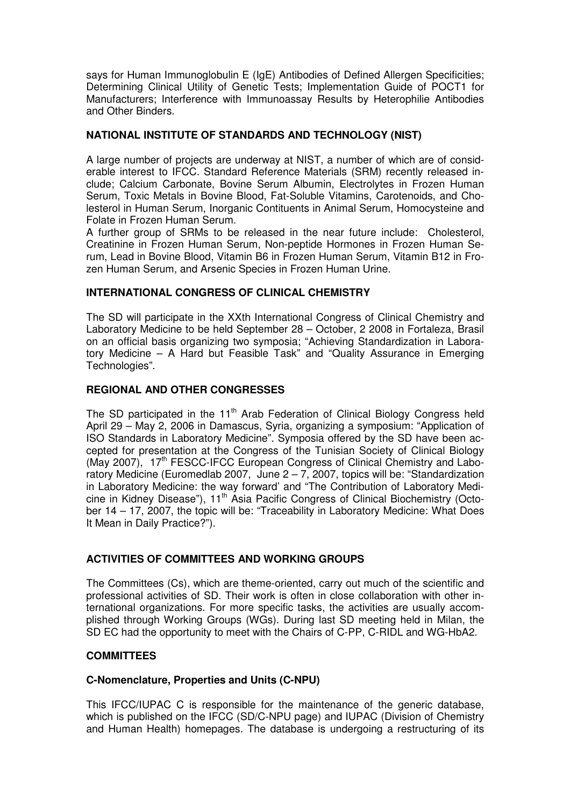says for Human Immunoglobulin E (IgE) Antibodies of Defined Allergen Specificities; Determining Clinical Utility of Genetic Tests; Implementation Guide of POCT1 for Manufacturers; Interference with Immunoassay Results by Heterophilie Antibodies and Other Binders.

#### **NATIONAL INSTITUTE OF STANDARDS AND TECHNOLOGY (NIST)**

A large number of projects are underway at NIST, a number of which are of considerable interest to IFCC. Standard Reference Materials (SRM) recently released include; Calcium Carbonate, Bovine Serum Albumin, Electrolytes in Frozen Human Serum, Toxic Metals in Bovine Blood, Fat-Soluble Vitamins, Carotenoids, and Cholesterol in Human Serum, Inorganic Contituents in Animal Serum, Homocysteine and Folate in Frozen Human Serum.

A further group of SRMs to be released in the near future include: Cholesterol, Creatinine in Frozen Human Serum, Non-peptide Hormones in Frozen Human Serum, Lead in Bovine Blood, Vitamin B6 in Frozen Human Serum, Vitamin B12 in Frozen Human Serum, and Arsenic Species in Frozen Human Urine.

#### **INTERNATIONAL CONGRESS OF CLINICAL CHEMISTRY**

The SD will participate in the XXth International Congress of Clinical Chemistry and Laboratory Medicine to be held September 28 – October, 2 2008 in Fortaleza, Brasil on an official basis organizing two symposia; "Achieving Standardization in Laboratory Medicine – A Hard but Feasible Task" and "Quality Assurance in Emerging Technologies".

#### **REGIONAL AND OTHER CONGRESSES**

The SD participated in the 11<sup>th</sup> Arab Federation of Clinical Biology Congress held April 29 – May 2, 2006 in Damascus, Syria, organizing a symposium: "Application of ISO Standards in Laboratory Medicine". Symposia offered by the SD have been accepted for presentation at the Congress of the Tunisian Society of Clinical Biology (May 2007), 17<sup>th</sup> FESCC-IFCC European Congress of Clinical Chemistry and Laboratory Medicine (Euromedlab 2007, June  $2 - 7$ , 2007, topics will be: "Standardization in Laboratory Medicine: the way forward' and "The Contribution of Laboratory Medicine in Kidney Disease"), 11<sup>th</sup> Asia Pacific Congress of Clinical Biochemistry (October 14 – 17, 2007, the topic will be: "Traceability in Laboratory Medicine: What Does It Mean in Daily Practice?").

#### **ACTIVITIES OF COMMITTEES AND WORKING GROUPS**

The Committees (Cs), which are theme-oriented, carry out much of the scientific and professional activities of SD. Their work is often in close collaboration with other international organizations. For more specific tasks, the activities are usually accomplished through Working Groups (WGs). During last SD meeting held in Milan, the SD EC had the opportunity to meet with the Chairs of C-PP, C-RIDL and WG-HbA2.

#### **COMMITTEES**

#### **C-Nomenclature, Properties and Units (C-NPU)**

This IFCC/IUPAC C is responsible for the maintenance of the generic database, which is published on the IFCC (SD/C-NPU page) and IUPAC (Division of Chemistry and Human Health) homepages. The database is undergoing a restructuring of its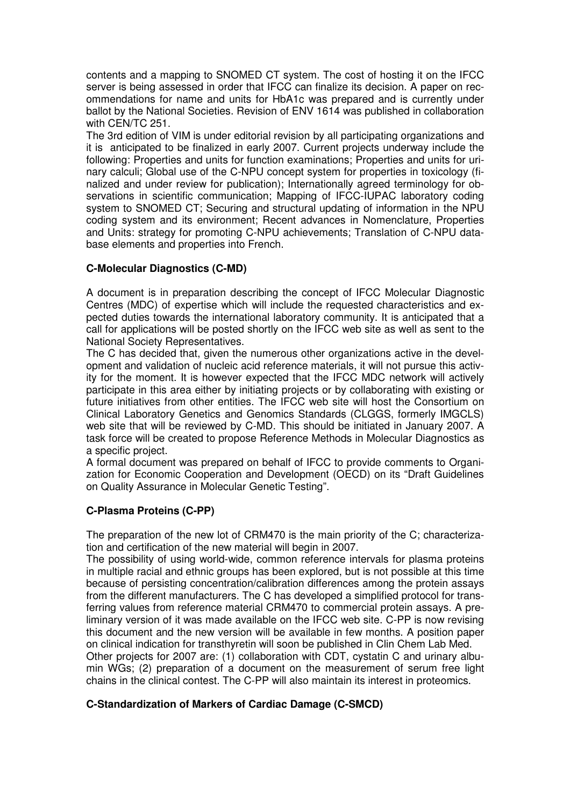contents and a mapping to SNOMED CT system. The cost of hosting it on the IFCC server is being assessed in order that IFCC can finalize its decision. A paper on recommendations for name and units for HbA1c was prepared and is currently under ballot by the National Societies. Revision of ENV 1614 was published in collaboration with CEN/TC 251.

The 3rd edition of VIM is under editorial revision by all participating organizations and it is anticipated to be finalized in early 2007. Current projects underway include the following: Properties and units for function examinations; Properties and units for urinary calculi; Global use of the C-NPU concept system for properties in toxicology (finalized and under review for publication); Internationally agreed terminology for observations in scientific communication; Mapping of IFCC-IUPAC laboratory coding system to SNOMED CT; Securing and structural updating of information in the NPU coding system and its environment; Recent advances in Nomenclature, Properties and Units: strategy for promoting C-NPU achievements; Translation of C-NPU database elements and properties into French.

#### **C-Molecular Diagnostics (C-MD)**

A document is in preparation describing the concept of IFCC Molecular Diagnostic Centres (MDC) of expertise which will include the requested characteristics and expected duties towards the international laboratory community. It is anticipated that a call for applications will be posted shortly on the IFCC web site as well as sent to the National Society Representatives.

The C has decided that, given the numerous other organizations active in the development and validation of nucleic acid reference materials, it will not pursue this activity for the moment. It is however expected that the IFCC MDC network will actively participate in this area either by initiating projects or by collaborating with existing or future initiatives from other entities. The IFCC web site will host the Consortium on Clinical Laboratory Genetics and Genomics Standards (CLGGS, formerly IMGCLS) web site that will be reviewed by C-MD. This should be initiated in January 2007. A task force will be created to propose Reference Methods in Molecular Diagnostics as a specific project.

A formal document was prepared on behalf of IFCC to provide comments to Organization for Economic Cooperation and Development (OECD) on its "Draft Guidelines on Quality Assurance in Molecular Genetic Testing".

#### **C-Plasma Proteins (C-PP)**

The preparation of the new lot of CRM470 is the main priority of the C; characterization and certification of the new material will begin in 2007.

The possibility of using world-wide, common reference intervals for plasma proteins in multiple racial and ethnic groups has been explored, but is not possible at this time because of persisting concentration/calibration differences among the protein assays from the different manufacturers. The C has developed a simplified protocol for transferring values from reference material CRM470 to commercial protein assays. A preliminary version of it was made available on the IFCC web site. C-PP is now revising this document and the new version will be available in few months. A position paper on clinical indication for transthyretin will soon be published in Clin Chem Lab Med. Other projects for 2007 are: (1) collaboration with CDT, cystatin C and urinary albumin WGs; (2) preparation of a document on the measurement of serum free light chains in the clinical contest. The C-PP will also maintain its interest in proteomics.

#### **C-Standardization of Markers of Cardiac Damage (C-SMCD)**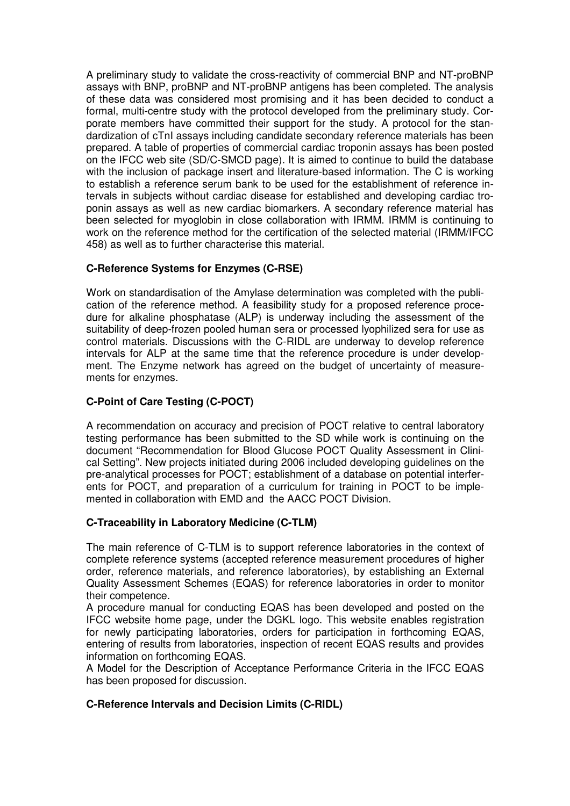A preliminary study to validate the cross-reactivity of commercial BNP and NT-proBNP assays with BNP, proBNP and NT-proBNP antigens has been completed. The analysis of these data was considered most promising and it has been decided to conduct a formal, multi-centre study with the protocol developed from the preliminary study. Corporate members have committed their support for the study. A protocol for the standardization of cTnI assays including candidate secondary reference materials has been prepared. A table of properties of commercial cardiac troponin assays has been posted on the IFCC web site (SD/C-SMCD page). It is aimed to continue to build the database with the inclusion of package insert and literature-based information. The C is working to establish a reference serum bank to be used for the establishment of reference intervals in subjects without cardiac disease for established and developing cardiac troponin assays as well as new cardiac biomarkers. A secondary reference material has been selected for myoglobin in close collaboration with IRMM. IRMM is continuing to work on the reference method for the certification of the selected material (IRMM/IFCC 458) as well as to further characterise this material.

#### **C-Reference Systems for Enzymes (C-RSE)**

Work on standardisation of the Amylase determination was completed with the publication of the reference method. A feasibility study for a proposed reference procedure for alkaline phosphatase (ALP) is underway including the assessment of the suitability of deep-frozen pooled human sera or processed lyophilized sera for use as control materials. Discussions with the C-RIDL are underway to develop reference intervals for ALP at the same time that the reference procedure is under development. The Enzyme network has agreed on the budget of uncertainty of measurements for enzymes.

#### **C-Point of Care Testing (C-POCT)**

A recommendation on accuracy and precision of POCT relative to central laboratory testing performance has been submitted to the SD while work is continuing on the document "Recommendation for Blood Glucose POCT Quality Assessment in Clinical Setting". New projects initiated during 2006 included developing guidelines on the pre-analytical processes for POCT; establishment of a database on potential interferents for POCT, and preparation of a curriculum for training in POCT to be implemented in collaboration with EMD and the AACC POCT Division.

#### **C-Traceability in Laboratory Medicine (C-TLM)**

The main reference of C-TLM is to support reference laboratories in the context of complete reference systems (accepted reference measurement procedures of higher order, reference materials, and reference laboratories), by establishing an External Quality Assessment Schemes (EQAS) for reference laboratories in order to monitor their competence.

A procedure manual for conducting EQAS has been developed and posted on the IFCC website home page, under the DGKL logo. This website enables registration for newly participating laboratories, orders for participation in forthcoming EQAS, entering of results from laboratories, inspection of recent EQAS results and provides information on forthcoming EQAS.

A Model for the Description of Acceptance Performance Criteria in the IFCC EQAS has been proposed for discussion.

#### **C-Reference Intervals and Decision Limits (C-RIDL)**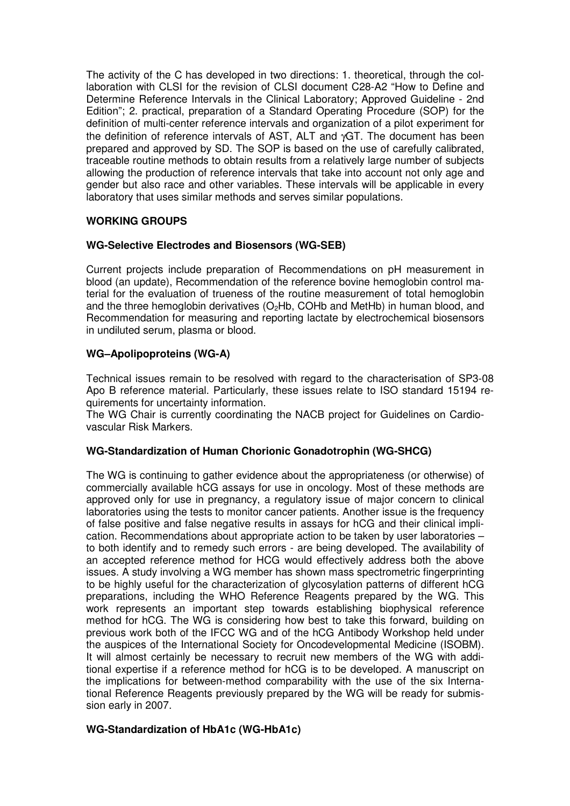The activity of the C has developed in two directions: 1. theoretical, through the collaboration with CLSI for the revision of CLSI document C28-A2 "How to Define and Determine Reference Intervals in the Clinical Laboratory; Approved Guideline - 2nd Edition"; 2. practical, preparation of a Standard Operating Procedure (SOP) for the definition of multi-center reference intervals and organization of a pilot experiment for the definition of reference intervals of AST, ALT and γGT. The document has been prepared and approved by SD. The SOP is based on the use of carefully calibrated, traceable routine methods to obtain results from a relatively large number of subjects allowing the production of reference intervals that take into account not only age and gender but also race and other variables. These intervals will be applicable in every laboratory that uses similar methods and serves similar populations.

#### **WORKING GROUPS**

#### **WG-Selective Electrodes and Biosensors (WG-SEB)**

Current projects include preparation of Recommendations on pH measurement in blood (an update), Recommendation of the reference bovine hemoglobin control material for the evaluation of trueness of the routine measurement of total hemoglobin and the three hemoglobin derivatives  $(O_2Hb, COHb$  and MetHb) in human blood, and Recommendation for measuring and reporting lactate by electrochemical biosensors in undiluted serum, plasma or blood.

#### **WG–Apolipoproteins (WG-A)**

Technical issues remain to be resolved with regard to the characterisation of SP3-08 Apo B reference material. Particularly, these issues relate to ISO standard 15194 requirements for uncertainty information.

The WG Chair is currently coordinating the NACB project for Guidelines on Cardiovascular Risk Markers.

#### **WG-Standardization of Human Chorionic Gonadotrophin (WG-SHCG)**

The WG is continuing to gather evidence about the appropriateness (or otherwise) of commercially available hCG assays for use in oncology. Most of these methods are approved only for use in pregnancy, a regulatory issue of major concern to clinical laboratories using the tests to monitor cancer patients. Another issue is the frequency of false positive and false negative results in assays for hCG and their clinical implication. Recommendations about appropriate action to be taken by user laboratories – to both identify and to remedy such errors - are being developed. The availability of an accepted reference method for HCG would effectively address both the above issues. A study involving a WG member has shown mass spectrometric fingerprinting to be highly useful for the characterization of glycosylation patterns of different hCG preparations, including the WHO Reference Reagents prepared by the WG. This work represents an important step towards establishing biophysical reference method for hCG. The WG is considering how best to take this forward, building on previous work both of the IFCC WG and of the hCG Antibody Workshop held under the auspices of the International Society for Oncodevelopmental Medicine (ISOBM). It will almost certainly be necessary to recruit new members of the WG with additional expertise if a reference method for hCG is to be developed. A manuscript on the implications for between-method comparability with the use of the six International Reference Reagents previously prepared by the WG will be ready for submission early in 2007.

#### **WG-Standardization of HbA1c (WG-HbA1c)**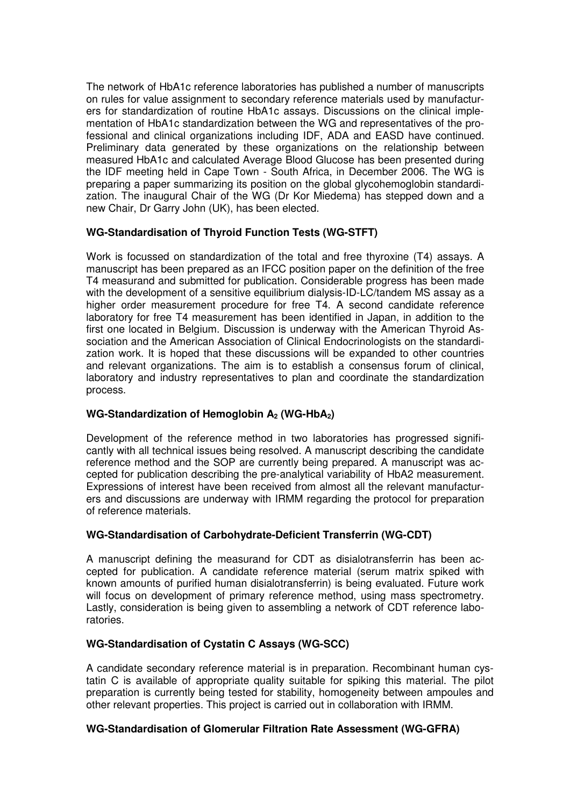The network of HbA1c reference laboratories has published a number of manuscripts on rules for value assignment to secondary reference materials used by manufacturers for standardization of routine HbA1c assays. Discussions on the clinical implementation of HbA1c standardization between the WG and representatives of the professional and clinical organizations including IDF, ADA and EASD have continued. Preliminary data generated by these organizations on the relationship between measured HbA1c and calculated Average Blood Glucose has been presented during the IDF meeting held in Cape Town - South Africa, in December 2006. The WG is preparing a paper summarizing its position on the global glycohemoglobin standardization. The inaugural Chair of the WG (Dr Kor Miedema) has stepped down and a new Chair, Dr Garry John (UK), has been elected.

#### **WG-Standardisation of Thyroid Function Tests (WG-STFT)**

Work is focussed on standardization of the total and free thyroxine (T4) assays. A manuscript has been prepared as an IFCC position paper on the definition of the free T4 measurand and submitted for publication. Considerable progress has been made with the development of a sensitive equilibrium dialysis-ID-LC/tandem MS assay as a higher order measurement procedure for free T4. A second candidate reference laboratory for free T4 measurement has been identified in Japan, in addition to the first one located in Belgium. Discussion is underway with the American Thyroid Association and the American Association of Clinical Endocrinologists on the standardization work. It is hoped that these discussions will be expanded to other countries and relevant organizations. The aim is to establish a consensus forum of clinical, laboratory and industry representatives to plan and coordinate the standardization process.

#### **WG-Standardization of Hemoglobin A2 (WG-HbA2)**

Development of the reference method in two laboratories has progressed significantly with all technical issues being resolved. A manuscript describing the candidate reference method and the SOP are currently being prepared. A manuscript was accepted for publication describing the pre-analytical variability of HbA2 measurement. Expressions of interest have been received from almost all the relevant manufacturers and discussions are underway with IRMM regarding the protocol for preparation of reference materials.

#### **WG-Standardisation of Carbohydrate-Deficient Transferrin (WG-CDT)**

A manuscript defining the measurand for CDT as disialotransferrin has been accepted for publication. A candidate reference material (serum matrix spiked with known amounts of purified human disialotransferrin) is being evaluated. Future work will focus on development of primary reference method, using mass spectrometry. Lastly, consideration is being given to assembling a network of CDT reference laboratories.

#### **WG-Standardisation of Cystatin C Assays (WG-SCC)**

A candidate secondary reference material is in preparation. Recombinant human cystatin C is available of appropriate quality suitable for spiking this material. The pilot preparation is currently being tested for stability, homogeneity between ampoules and other relevant properties. This project is carried out in collaboration with IRMM.

#### **WG-Standardisation of Glomerular Filtration Rate Assessment (WG-GFRA)**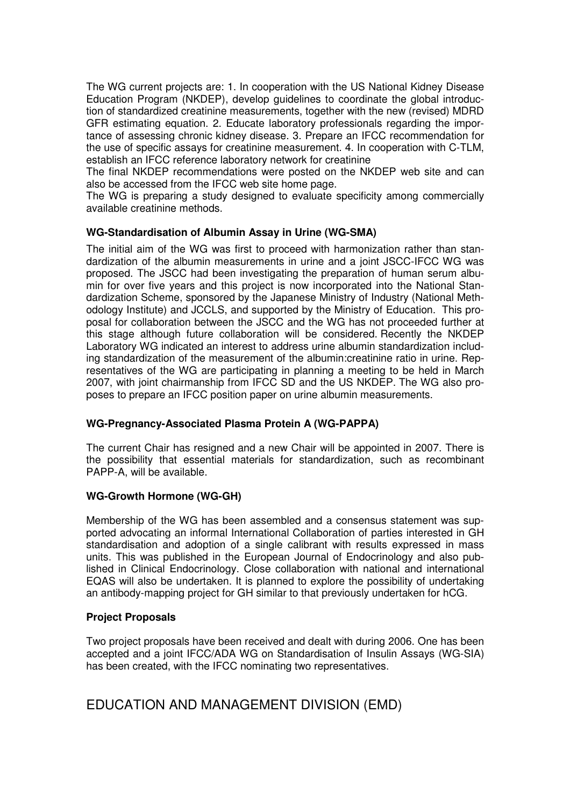The WG current projects are: 1. In cooperation with the US National Kidney Disease Education Program (NKDEP), develop guidelines to coordinate the global introduction of standardized creatinine measurements, together with the new (revised) MDRD GFR estimating equation. 2. Educate laboratory professionals regarding the importance of assessing chronic kidney disease. 3. Prepare an IFCC recommendation for the use of specific assays for creatinine measurement. 4. In cooperation with C-TLM, establish an IFCC reference laboratory network for creatinine

The final NKDEP recommendations were posted on the NKDEP web site and can also be accessed from the IFCC web site home page.

The WG is preparing a study designed to evaluate specificity among commercially available creatinine methods.

#### **WG-Standardisation of Albumin Assay in Urine (WG-SMA)**

The initial aim of the WG was first to proceed with harmonization rather than standardization of the albumin measurements in urine and a joint JSCC-IFCC WG was proposed. The JSCC had been investigating the preparation of human serum albumin for over five years and this project is now incorporated into the National Standardization Scheme, sponsored by the Japanese Ministry of Industry (National Methodology Institute) and JCCLS, and supported by the Ministry of Education. This proposal for collaboration between the JSCC and the WG has not proceeded further at this stage although future collaboration will be considered. Recently the NKDEP Laboratory WG indicated an interest to address urine albumin standardization including standardization of the measurement of the albumin:creatinine ratio in urine. Representatives of the WG are participating in planning a meeting to be held in March 2007, with joint chairmanship from IFCC SD and the US NKDEP. The WG also proposes to prepare an IFCC position paper on urine albumin measurements.

#### **WG-Pregnancy-Associated Plasma Protein A (WG-PAPPA)**

The current Chair has resigned and a new Chair will be appointed in 2007. There is the possibility that essential materials for standardization, such as recombinant PAPP-A, will be available.

#### **WG-Growth Hormone (WG-GH)**

Membership of the WG has been assembled and a consensus statement was supported advocating an informal International Collaboration of parties interested in GH standardisation and adoption of a single calibrant with results expressed in mass units. This was published in the European Journal of Endocrinology and also published in Clinical Endocrinology. Close collaboration with national and international EQAS will also be undertaken. It is planned to explore the possibility of undertaking an antibody-mapping project for GH similar to that previously undertaken for hCG.

#### **Project Proposals**

Two project proposals have been received and dealt with during 2006. One has been accepted and a joint IFCC/ADA WG on Standardisation of Insulin Assays (WG-SIA) has been created, with the IFCC nominating two representatives.

EDUCATION AND MANAGEMENT DIVISION (EMD)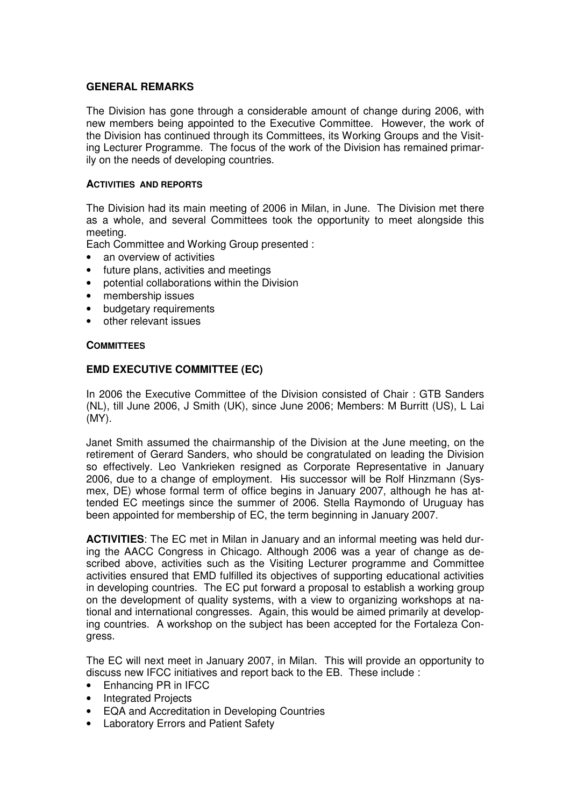#### **GENERAL REMARKS**

The Division has gone through a considerable amount of change during 2006, with new members being appointed to the Executive Committee. However, the work of the Division has continued through its Committees, its Working Groups and the Visiting Lecturer Programme. The focus of the work of the Division has remained primarily on the needs of developing countries.

#### **ACTIVITIES AND REPORTS**

The Division had its main meeting of 2006 in Milan, in June. The Division met there as a whole, and several Committees took the opportunity to meet alongside this meeting.

Each Committee and Working Group presented :

- an overview of activities
- future plans, activities and meetings
- potential collaborations within the Division
- membership issues
- budgetary requirements
- other relevant issues

#### **COMMITTEES**

#### **EMD EXECUTIVE COMMITTEE (EC)**

In 2006 the Executive Committee of the Division consisted of Chair : GTB Sanders (NL), till June 2006, J Smith (UK), since June 2006; Members: M Burritt (US), L Lai (MY).

Janet Smith assumed the chairmanship of the Division at the June meeting, on the retirement of Gerard Sanders, who should be congratulated on leading the Division so effectively. Leo Vankrieken resigned as Corporate Representative in January 2006, due to a change of employment. His successor will be Rolf Hinzmann (Sysmex, DE) whose formal term of office begins in January 2007, although he has attended EC meetings since the summer of 2006. Stella Raymondo of Uruguay has been appointed for membership of EC, the term beginning in January 2007.

**ACTIVITIES**: The EC met in Milan in January and an informal meeting was held during the AACC Congress in Chicago. Although 2006 was a year of change as described above, activities such as the Visiting Lecturer programme and Committee activities ensured that EMD fulfilled its objectives of supporting educational activities in developing countries. The EC put forward a proposal to establish a working group on the development of quality systems, with a view to organizing workshops at national and international congresses. Again, this would be aimed primarily at developing countries. A workshop on the subject has been accepted for the Fortaleza Congress.

The EC will next meet in January 2007, in Milan. This will provide an opportunity to discuss new IFCC initiatives and report back to the EB. These include :

- Enhancing PR in IFCC
- Integrated Projects
- EQA and Accreditation in Developing Countries
- Laboratory Errors and Patient Safety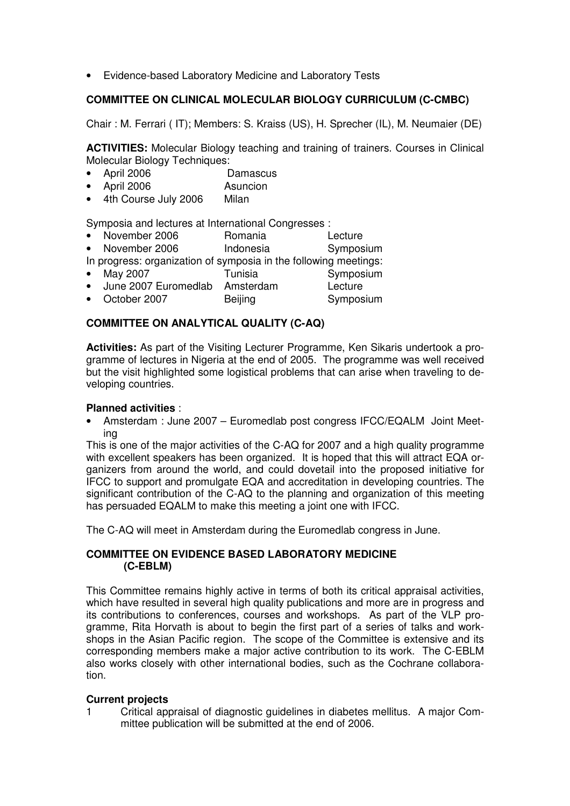• Evidence-based Laboratory Medicine and Laboratory Tests

#### **COMMITTEE ON CLINICAL MOLECULAR BIOLOGY CURRICULUM (C-CMBC)**

Chair : M. Ferrari ( IT); Members: S. Kraiss (US), H. Sprecher (IL), M. Neumaier (DE)

**ACTIVITIES:** Molecular Biology teaching and training of trainers. Courses in Clinical Molecular Biology Techniques:

- April 2006 Damascus
- April 2006 Asuncion
- 4th Course July 2006 Milan

Symposia and lectures at International Congresses :

- November 2006 Romania Lecture
- November 2006 **Indonesia** Symposium
- In progress: organization of symposia in the following meetings:
- May 2007 **Tunisia Tunisia** Symposium
- June 2007 Euromedlab Amsterdam Lecture
- October 2007 Beijing Symposium

#### **COMMITTEE ON ANALYTICAL QUALITY (C-AQ)**

**Activities:** As part of the Visiting Lecturer Programme, Ken Sikaris undertook a programme of lectures in Nigeria at the end of 2005. The programme was well received but the visit highlighted some logistical problems that can arise when traveling to developing countries.

#### **Planned activities** :

• Amsterdam : June 2007 – Euromedlab post congress IFCC/EQALM Joint Meeting

This is one of the major activities of the C-AQ for 2007 and a high quality programme with excellent speakers has been organized. It is hoped that this will attract EQA organizers from around the world, and could dovetail into the proposed initiative for IFCC to support and promulgate EQA and accreditation in developing countries. The significant contribution of the C-AQ to the planning and organization of this meeting has persuaded EQALM to make this meeting a joint one with IFCC.

The C-AQ will meet in Amsterdam during the Euromedlab congress in June.

#### **COMMITTEE ON EVIDENCE BASED LABORATORY MEDICINE (C-EBLM)**

This Committee remains highly active in terms of both its critical appraisal activities, which have resulted in several high quality publications and more are in progress and its contributions to conferences, courses and workshops. As part of the VLP programme, Rita Horvath is about to begin the first part of a series of talks and workshops in the Asian Pacific region. The scope of the Committee is extensive and its corresponding members make a major active contribution to its work. The C-EBLM also works closely with other international bodies, such as the Cochrane collaboration.

#### **Current projects**

1 Critical appraisal of diagnostic guidelines in diabetes mellitus. A major Committee publication will be submitted at the end of 2006.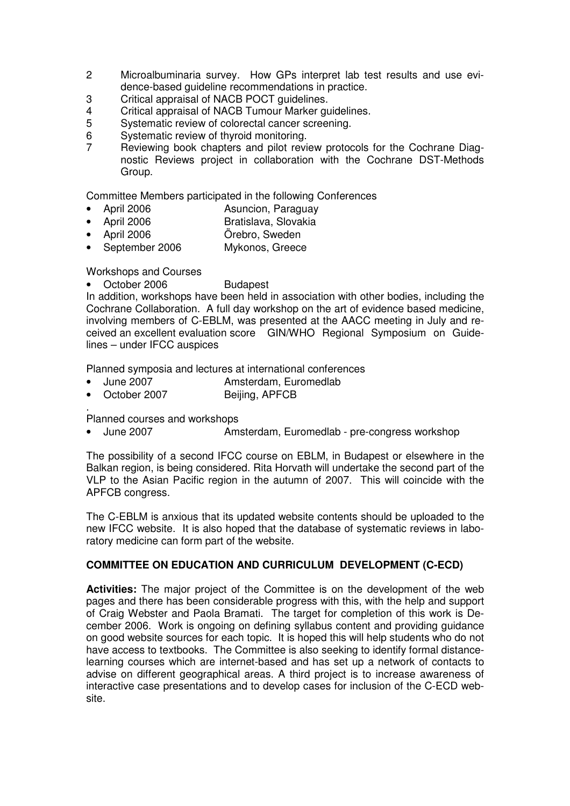- 2 Microalbuminaria survey. How GPs interpret lab test results and use evidence-based guideline recommendations in practice.
- 3 Critical appraisal of NACB POCT guidelines.
- 4 Critical appraisal of NACB Tumour Marker guidelines.<br>5 Systematic review of colorectal cancer screening.
- Systematic review of colorectal cancer screening.
- 6 Systematic review of thyroid monitoring.
- 7 Reviewing book chapters and pilot review protocols for the Cochrane Diagnostic Reviews project in collaboration with the Cochrane DST-Methods Group.

Committee Members participated in the following Conferences

- April 2006 **Asuncion, Paraguay**
- April 2006 Bratislava, Slovakia
- April 2006 Örebro, Sweden
- September 2006 Mykonos, Greece

#### Workshops and Courses

October 2006 Budapest

In addition, workshops have been held in association with other bodies, including the Cochrane Collaboration. A full day workshop on the art of evidence based medicine, involving members of C-EBLM, was presented at the AACC meeting in July and received an excellent evaluation score GIN/WHO Regional Symposium on Guidelines – under IFCC auspices

Planned symposia and lectures at international conferences

- June 2007 Amsterdam, Euromedlab
- Beijing, APFCB

. Planned courses and workshops

• June 2007 Amsterdam, Euromedlab - pre-congress workshop

The possibility of a second IFCC course on EBLM, in Budapest or elsewhere in the Balkan region, is being considered. Rita Horvath will undertake the second part of the VLP to the Asian Pacific region in the autumn of 2007. This will coincide with the APFCB congress.

The C-EBLM is anxious that its updated website contents should be uploaded to the new IFCC website. It is also hoped that the database of systematic reviews in laboratory medicine can form part of the website.

#### **COMMITTEE ON EDUCATION AND CURRICULUM DEVELOPMENT (C-ECD)**

**Activities:** The major project of the Committee is on the development of the web pages and there has been considerable progress with this, with the help and support of Craig Webster and Paola Bramati. The target for completion of this work is December 2006. Work is ongoing on defining syllabus content and providing guidance on good website sources for each topic. It is hoped this will help students who do not have access to textbooks. The Committee is also seeking to identify formal distancelearning courses which are internet-based and has set up a network of contacts to advise on different geographical areas. A third project is to increase awareness of interactive case presentations and to develop cases for inclusion of the C-ECD website.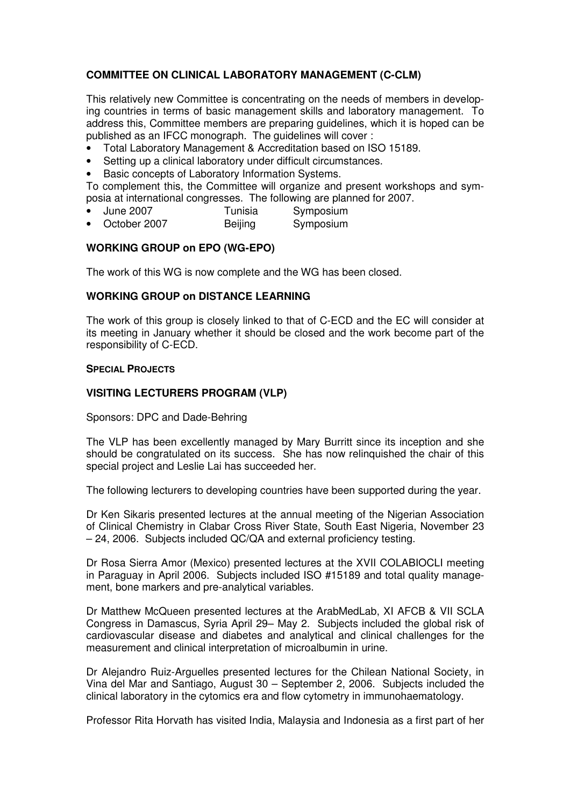#### **COMMITTEE ON CLINICAL LABORATORY MANAGEMENT (C-CLM)**

This relatively new Committee is concentrating on the needs of members in developing countries in terms of basic management skills and laboratory management. To address this, Committee members are preparing guidelines, which it is hoped can be published as an IFCC monograph. The guidelines will cover :

- Total Laboratory Management & Accreditation based on ISO 15189.
- Setting up a clinical laboratory under difficult circumstances.
- Basic concepts of Laboratory Information Systems.

To complement this, the Committee will organize and present workshops and symposia at international congresses. The following are planned for 2007.

- June 2007 **Tunisia** Symposium
- October 2007 **Beijing** Symposium

#### **WORKING GROUP on EPO (WG-EPO)**

The work of this WG is now complete and the WG has been closed.

#### **WORKING GROUP on DISTANCE LEARNING**

The work of this group is closely linked to that of C-ECD and the EC will consider at its meeting in January whether it should be closed and the work become part of the responsibility of C-ECD.

#### **SPECIAL PROJECTS**

#### **VISITING LECTURERS PROGRAM (VLP)**

Sponsors: DPC and Dade-Behring

The VLP has been excellently managed by Mary Burritt since its inception and she should be congratulated on its success. She has now relinquished the chair of this special project and Leslie Lai has succeeded her.

The following lecturers to developing countries have been supported during the year.

Dr Ken Sikaris presented lectures at the annual meeting of the Nigerian Association of Clinical Chemistry in Clabar Cross River State, South East Nigeria, November 23 – 24, 2006. Subjects included QC/QA and external proficiency testing.

Dr Rosa Sierra Amor (Mexico) presented lectures at the XVII COLABIOCLI meeting in Paraguay in April 2006. Subjects included ISO #15189 and total quality management, bone markers and pre-analytical variables.

Dr Matthew McQueen presented lectures at the ArabMedLab, XI AFCB & VII SCLA Congress in Damascus, Syria April 29– May 2. Subjects included the global risk of cardiovascular disease and diabetes and analytical and clinical challenges for the measurement and clinical interpretation of microalbumin in urine.

Dr Alejandro Ruiz-Arguelles presented lectures for the Chilean National Society, in Vina del Mar and Santiago, August 30 – September 2, 2006. Subjects included the clinical laboratory in the cytomics era and flow cytometry in immunohaematology.

Professor Rita Horvath has visited India, Malaysia and Indonesia as a first part of her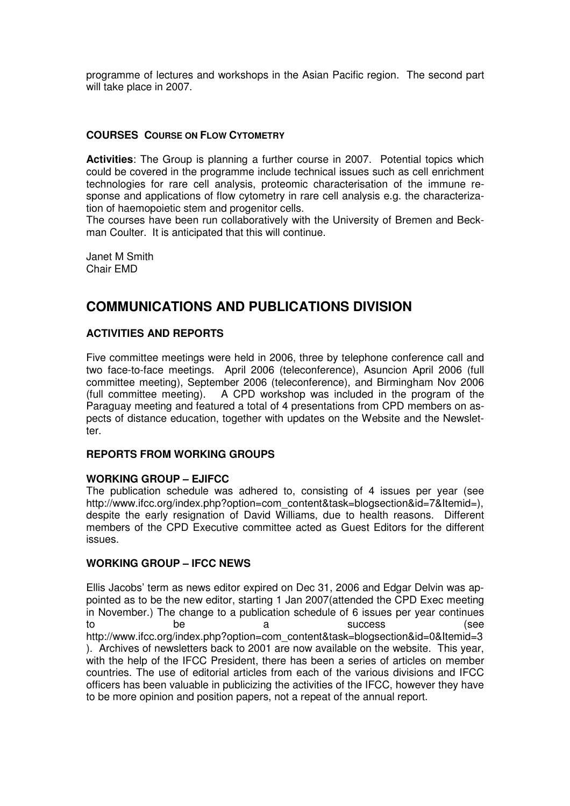programme of lectures and workshops in the Asian Pacific region. The second part will take place in 2007.

#### **COURSES COURSE ON FLOW CYTOMETRY**

**Activities**: The Group is planning a further course in 2007. Potential topics which could be covered in the programme include technical issues such as cell enrichment technologies for rare cell analysis, proteomic characterisation of the immune response and applications of flow cytometry in rare cell analysis e.g. the characterization of haemopoietic stem and progenitor cells.

The courses have been run collaboratively with the University of Bremen and Beckman Coulter. It is anticipated that this will continue.

Janet M Smith Chair EMD

# **COMMUNICATIONS AND PUBLICATIONS DIVISION**

#### **ACTIVITIES AND REPORTS**

Five committee meetings were held in 2006, three by telephone conference call and two face-to-face meetings. April 2006 (teleconference), Asuncion April 2006 (full committee meeting), September 2006 (teleconference), and Birmingham Nov 2006 (full committee meeting). A CPD workshop was included in the program of the Paraguay meeting and featured a total of 4 presentations from CPD members on aspects of distance education, together with updates on the Website and the Newsletter.

#### **REPORTS FROM WORKING GROUPS**

#### **WORKING GROUP – EJIFCC**

The publication schedule was adhered to, consisting of 4 issues per year (see http://www.ifcc.org/index.php?option=com\_content&task=blogsection&id=7&Itemid=). despite the early resignation of David Williams, due to health reasons. Different members of the CPD Executive committee acted as Guest Editors for the different issues.

#### **WORKING GROUP – IFCC NEWS**

Ellis Jacobs' term as news editor expired on Dec 31, 2006 and Edgar Delvin was appointed as to be the new editor, starting 1 Jan 2007(attended the CPD Exec meeting in November.) The change to a publication schedule of 6 issues per year continues to be a success (see http://www.ifcc.org/index.php?option=com\_content&task=blogsection&id=0&Itemid=3 ). Archives of newsletters back to 2001 are now available on the website. This year, with the help of the IFCC President, there has been a series of articles on member countries. The use of editorial articles from each of the various divisions and IFCC officers has been valuable in publicizing the activities of the IFCC, however they have to be more opinion and position papers, not a repeat of the annual report.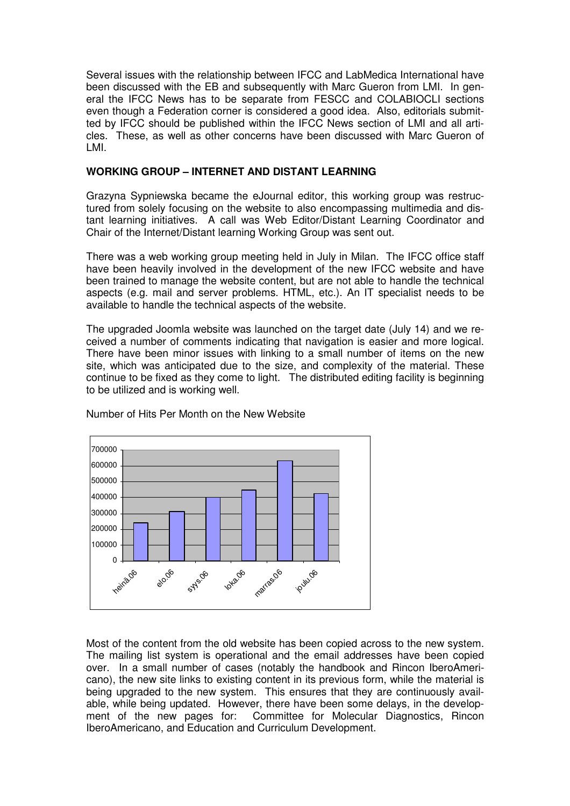Several issues with the relationship between IFCC and LabMedica International have been discussed with the EB and subsequently with Marc Gueron from LMI. In general the IFCC News has to be separate from FESCC and COLABIOCLI sections even though a Federation corner is considered a good idea. Also, editorials submitted by IFCC should be published within the IFCC News section of LMI and all articles. These, as well as other concerns have been discussed with Marc Gueron of LMI.

#### **WORKING GROUP – INTERNET AND DISTANT LEARNING**

Grazyna Sypniewska became the eJournal editor, this working group was restructured from solely focusing on the website to also encompassing multimedia and distant learning initiatives. A call was Web Editor/Distant Learning Coordinator and Chair of the Internet/Distant learning Working Group was sent out.

There was a web working group meeting held in July in Milan. The IFCC office staff have been heavily involved in the development of the new IFCC website and have been trained to manage the website content, but are not able to handle the technical aspects (e.g. mail and server problems. HTML, etc.). An IT specialist needs to be available to handle the technical aspects of the website.

The upgraded Joomla website was launched on the target date (July 14) and we received a number of comments indicating that navigation is easier and more logical. There have been minor issues with linking to a small number of items on the new site, which was anticipated due to the size, and complexity of the material. These continue to be fixed as they come to light. The distributed editing facility is beginning to be utilized and is working well.



Number of Hits Per Month on the New Website

Most of the content from the old website has been copied across to the new system. The mailing list system is operational and the email addresses have been copied over. In a small number of cases (notably the handbook and Rincon IberoAmericano), the new site links to existing content in its previous form, while the material is being upgraded to the new system. This ensures that they are continuously available, while being updated. However, there have been some delays, in the development of the new pages for: Committee for Molecular Diagnostics, Rincon IberoAmericano, and Education and Curriculum Development.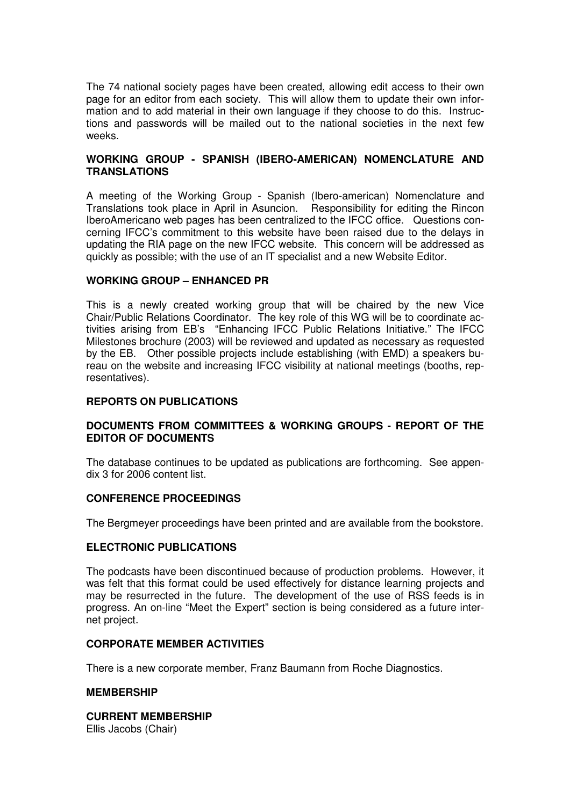The 74 national society pages have been created, allowing edit access to their own page for an editor from each society. This will allow them to update their own information and to add material in their own language if they choose to do this. Instructions and passwords will be mailed out to the national societies in the next few weeks.

#### **WORKING GROUP - SPANISH (IBERO-AMERICAN) NOMENCLATURE AND TRANSLATIONS**

A meeting of the Working Group - Spanish (Ibero-american) Nomenclature and Translations took place in April in Asuncion. Responsibility for editing the Rincon IberoAmericano web pages has been centralized to the IFCC office. Questions concerning IFCC's commitment to this website have been raised due to the delays in updating the RIA page on the new IFCC website. This concern will be addressed as quickly as possible; with the use of an IT specialist and a new Website Editor.

#### **WORKING GROUP – ENHANCED PR**

This is a newly created working group that will be chaired by the new Vice Chair/Public Relations Coordinator. The key role of this WG will be to coordinate activities arising from EB's "Enhancing IFCC Public Relations Initiative." The IFCC Milestones brochure (2003) will be reviewed and updated as necessary as requested by the EB. Other possible projects include establishing (with EMD) a speakers bureau on the website and increasing IFCC visibility at national meetings (booths, representatives).

#### **REPORTS ON PUBLICATIONS**

#### **DOCUMENTS FROM COMMITTEES & WORKING GROUPS - REPORT OF THE EDITOR OF DOCUMENTS**

The database continues to be updated as publications are forthcoming. See appendix 3 for 2006 content list.

#### **CONFERENCE PROCEEDINGS**

The Bergmeyer proceedings have been printed and are available from the bookstore.

#### **ELECTRONIC PUBLICATIONS**

The podcasts have been discontinued because of production problems. However, it was felt that this format could be used effectively for distance learning projects and may be resurrected in the future. The development of the use of RSS feeds is in progress. An on-line "Meet the Expert" section is being considered as a future internet project.

#### **CORPORATE MEMBER ACTIVITIES**

There is a new corporate member, Franz Baumann from Roche Diagnostics.

#### **MEMBERSHIP**

#### **CURRENT MEMBERSHIP**

Ellis Jacobs (Chair)